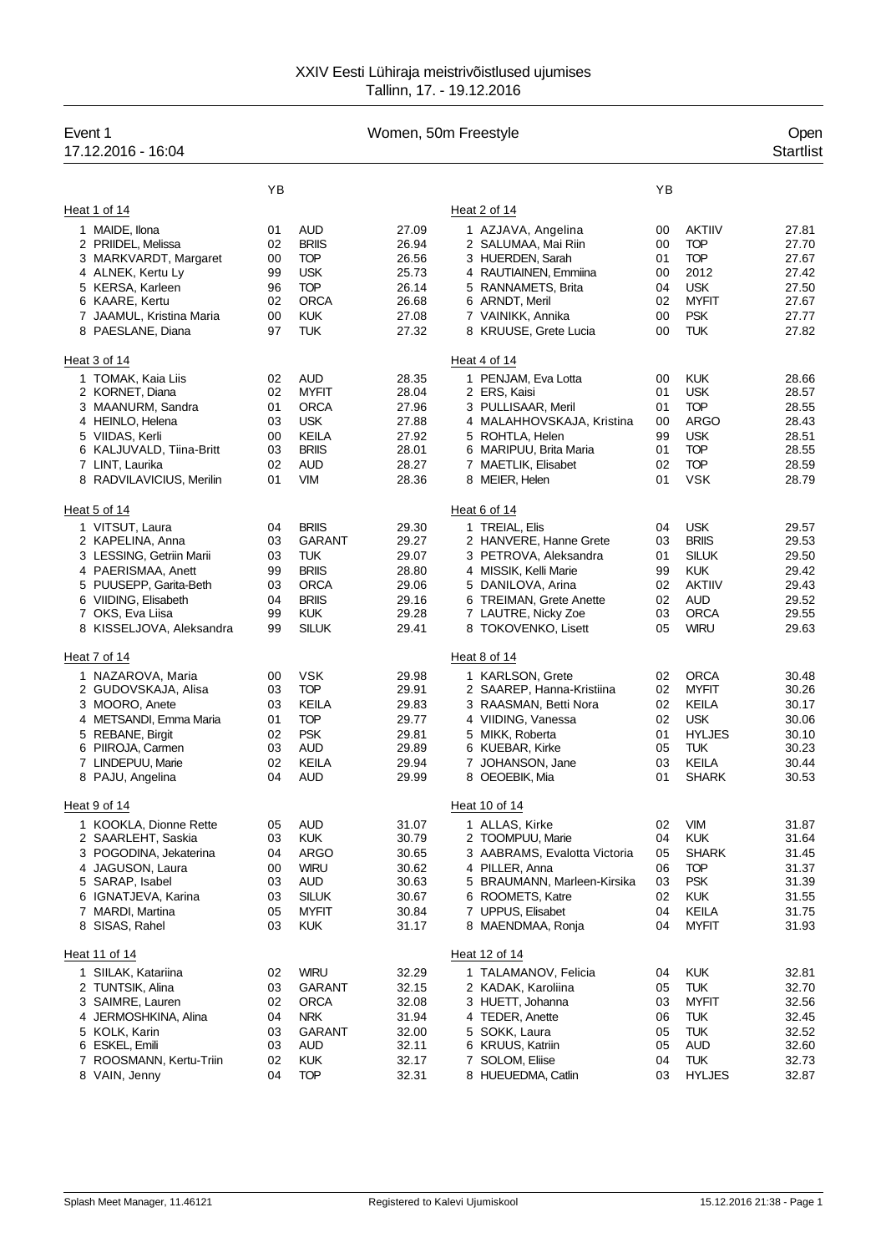| YB<br>YB<br>Heat 1 of 14<br>Heat 2 of 14<br>1 MAIDE, Ilona<br><b>AUD</b><br>27.09<br><b>AKTIIV</b><br>27.81<br>01<br>1 AZJAVA, Angelina<br>00<br>2 PRIIDEL, Melissa<br>02<br><b>BRIIS</b><br>26.94<br><b>TOP</b><br>27.70<br>2 SALUMAA, Mai Riin<br>00<br><b>TOP</b><br>26.56<br><b>TOP</b><br>3 MARKVARDT, Margaret<br>00<br>3 HUERDEN, Sarah<br>01<br>27.67<br><b>USK</b><br>25.73<br>2012<br>27.42<br>4 ALNEK, Kertu Ly<br>99<br>4 RAUTIAINEN, Emmiina<br>00<br><b>TOP</b><br>5 KERSA, Karleen<br>96<br>26.14<br><b>USK</b><br>27.50<br>5 RANNAMETS, Brita<br>04<br>02<br><b>ORCA</b><br>26.68<br>02<br><b>MYFIT</b><br>27.67<br>6 KAARE, Kertu<br>6 ARNDT, Meril<br><b>KUK</b><br><b>PSK</b><br>27.77<br>7 JAAMUL, Kristina Maria<br>00<br>27.08<br>7 VAINIKK, Annika<br>00<br>97<br><b>TUK</b><br>27.32<br><b>TUK</b><br>27.82<br>8 PAESLANE, Diana<br>8 KRUUSE, Grete Lucia<br>00<br>Heat 3 of 14<br>Heat 4 of 14<br><b>AUD</b><br>28.35<br><b>KUK</b><br>28.66<br>1 TOMAK, Kaia Liis<br>02<br>1 PENJAM, Eva Lotta<br>00<br><b>USK</b><br>2 KORNET, Diana<br>02<br><b>MYFIT</b><br>28.04<br>2 ERS, Kaisi<br>01<br>28.57<br><b>TOP</b><br><b>ORCA</b><br>3 MAANURM, Sandra<br>01<br>27.96<br>3 PULLISAAR, Meril<br>01<br>28.55<br>4 HEINLO, Helena<br>03<br><b>USK</b><br>27.88<br><b>ARGO</b><br>28.43<br>4 MALAHHOVSKAJA, Kristina<br>00<br>KEILA<br>27.92<br><b>USK</b><br>28.51<br>5 VIIDAS, Kerli<br>00<br>5 ROHTLA, Helen<br>99<br><b>BRIIS</b><br>28.01<br>28.55<br>6 KALJUVALD, Tiina-Britt<br>03<br>6 MARIPUU, Brita Maria<br>01<br><b>TOP</b><br>02<br><b>AUD</b><br>28.27<br><b>TOP</b><br>28.59<br>7 LINT, Laurika<br>7 MAETLIK, Elisabet<br>02<br><b>VIM</b><br><b>VSK</b><br>01<br>28.36<br>8 MEIER, Helen<br>01<br>28.79<br>8 RADVILAVICIUS, Merilin<br>Heat 5 of 14<br>Heat 6 of 14<br><b>BRIIS</b><br><b>USK</b><br>1 VITSUT, Laura<br>04<br>29.30<br>1 TREIAL, Elis<br>04<br>29.57<br><b>BRIIS</b><br>2 KAPELINA, Anna<br>03<br>GARANT<br>29.27<br>2 HANVERE, Hanne Grete<br>03<br>29.53<br><b>TUK</b><br><b>SILUK</b><br>29.50<br>3 LESSING, Getriin Marii<br>03<br>29.07<br>3 PETROVA, Aleksandra<br>01<br>99<br><b>BRIIS</b><br>28.80<br><b>KUK</b><br>4 PAERISMAA, Anett<br>4 MISSIK, Kelli Marie<br>99<br>29.42<br>5 PUUSEPP, Garita-Beth<br><b>ORCA</b><br>29.06<br><b>AKTIIV</b><br>29.43<br>03<br>5 DANILOVA, Arina<br>02<br><b>BRIIS</b><br>6 VIIDING, Elisabeth<br>04<br>29.16<br><b>AUD</b><br>29.52<br>6 TREIMAN, Grete Anette<br>02<br><b>ORCA</b><br>29.55<br>7 OKS, Eva Liisa<br>99<br><b>KUK</b><br>29.28<br>7 LAUTRE, Nicky Zoe<br>03<br>99<br><b>SILUK</b><br>29.41<br><b>WIRU</b><br>29.63<br>8 KISSELJOVA, Aleksandra<br>8 TOKOVENKO, Lisett<br>05<br>Heat 7 of 14<br>Heat 8 of 14<br><b>VSK</b><br>29.98<br>1 KARLSON, Grete<br><b>ORCA</b><br>1 NAZAROVA, Maria<br>00<br>02<br>30.48<br><b>TOP</b><br>2 GUDOVSKAJA, Alisa<br>03<br>29.91<br>2 SAAREP, Hanna-Kristiina<br>02<br><b>MYFIT</b><br>30.26<br><b>KEILA</b><br>29.83<br>3 RAASMAN, Betti Nora<br>KEILA<br>3 MOORO, Anete<br>03<br>02<br>30.17<br><b>TOP</b><br>29.77<br><b>USK</b><br>4 METSANDI, Emma Maria<br>01<br>4 VIIDING, Vanessa<br>02<br>30.06<br><b>PSK</b><br><b>HYLJES</b><br>5 REBANE, Birgit<br>02<br>29.81<br>5 MIKK, Roberta<br>01<br>30.10<br>03<br>AUD<br>29.89<br>05<br><b>TUK</b><br>6 PIIROJA, Carmen<br>6 KUEBAR, Kirke<br>30.23<br><b>KEILA</b><br>7 LINDEPUU, Marie<br>02<br>29.94<br>KEILA<br>30.44<br>7 JOHANSON, Jane<br>03<br>04<br><b>AUD</b><br><b>SHARK</b><br>8 PAJU, Angelina<br>29.99<br>8 OEOEBIK, Mia<br>01<br>30.53<br>Heat 9 of 14<br>Heat 10 of 14<br><b>VIM</b><br>1 KOOKLA, Dionne Rette<br><b>AUD</b><br>31.07<br>1 ALLAS, Kirke<br>31.87<br>05<br>02<br><b>KUK</b><br><b>KUK</b><br>2 SAARLEHT, Saskia<br>03<br>30.79<br>2 TOOMPUU, Marie<br>04<br>31.64<br>3 POGODINA, Jekaterina<br><b>ARGO</b><br><b>SHARK</b><br>04<br>30.65<br>3 AABRAMS, Evalotta Victoria<br>05<br>31.45<br><b>TOP</b><br>4 JAGUSON, Laura<br><b>WIRU</b><br>30.62<br>4 PILLER, Anna<br>00<br>06<br>31.37<br><b>PSK</b><br>5 SARAP, Isabel<br>03<br>AUD<br>30.63<br>5 BRAUMANN, Marleen-Kirsika<br>03<br>31.39<br><b>SILUK</b><br>30.67<br>6 ROOMETS, Katre<br><b>KUK</b><br>31.55<br>6 IGNATJEVA, Karina<br>03<br>02<br><b>MYFIT</b><br>30.84<br>7 UPPUS, Elisabet<br>KEILA<br>31.75<br>7 MARDI, Martina<br>05<br>04<br>8 SISAS, Rahel<br>03<br><b>KUK</b><br>31.17<br>8 MAENDMAA, Ronja<br><b>MYFIT</b><br>04<br>31.93<br>Heat 11 of 14<br>Heat 12 of 14<br><b>WIRU</b><br>32.29<br>1 TALAMANOV, Felicia<br><b>KUK</b><br>1 SIILAK, Katariina<br>02<br>32.81<br>04<br>2 TUNTSIK, Alina<br>32.15<br>2 KADAK, Karoliina<br><b>TUK</b><br>32.70<br>03<br>GARANT<br>05<br>3 SAIMRE, Lauren<br><b>ORCA</b><br>32.08<br>3 HUETT, Johanna<br><b>MYFIT</b><br>32.56<br>02<br>03<br>4 JERMOSHKINA, Alina<br><b>NRK</b><br>31.94<br>4 TEDER, Anette<br><b>TUK</b><br>04<br>32.45<br>06<br>5 KOLK, Karin<br>5 SOKK, Laura<br><b>TUK</b><br>03<br>GARANT<br>32.00<br>05<br>32.52<br>6 ESKEL, Emili<br>03<br>AUD<br>32.11<br>6 KRUUS, Katriin<br>05<br><b>AUD</b><br>32.60<br>7 ROOSMANN, Kertu-Triin<br><b>KUK</b><br>7 SOLOM, Eliise<br><b>TUK</b><br>02<br>32.17<br>32.73<br>04<br>32.31<br>8 VAIN, Jenny<br>04<br><b>TOP</b><br>8 HUEUEDMA, Catlin<br><b>HYLJES</b><br>32.87<br>03 | Event 1<br>17.12.2016 - 16:04 |  | Women, 50m Freestyle |  | Open<br><b>Startlist</b> |
|-----------------------------------------------------------------------------------------------------------------------------------------------------------------------------------------------------------------------------------------------------------------------------------------------------------------------------------------------------------------------------------------------------------------------------------------------------------------------------------------------------------------------------------------------------------------------------------------------------------------------------------------------------------------------------------------------------------------------------------------------------------------------------------------------------------------------------------------------------------------------------------------------------------------------------------------------------------------------------------------------------------------------------------------------------------------------------------------------------------------------------------------------------------------------------------------------------------------------------------------------------------------------------------------------------------------------------------------------------------------------------------------------------------------------------------------------------------------------------------------------------------------------------------------------------------------------------------------------------------------------------------------------------------------------------------------------------------------------------------------------------------------------------------------------------------------------------------------------------------------------------------------------------------------------------------------------------------------------------------------------------------------------------------------------------------------------------------------------------------------------------------------------------------------------------------------------------------------------------------------------------------------------------------------------------------------------------------------------------------------------------------------------------------------------------------------------------------------------------------------------------------------------------------------------------------------------------------------------------------------------------------------------------------------------------------------------------------------------------------------------------------------------------------------------------------------------------------------------------------------------------------------------------------------------------------------------------------------------------------------------------------------------------------------------------------------------------------------------------------------------------------------------------------------------------------------------------------------------------------------------------------------------------------------------------------------------------------------------------------------------------------------------------------------------------------------------------------------------------------------------------------------------------------------------------------------------------------------------------------------------------------------------------------------------------------------------------------------------------------------------------------------------------------------------------------------------------------------------------------------------------------------------------------------------------------------------------------------------------------------------------------------------------------------------------------------------------------------------------------------------------------------------------------------------------------------------------------------------------------------------------------------------------------------------------------------------------------------------------------------------------------------------------------------------------------------------------------------------------------------------------------------------------------------------------------------------------------------------------------------------------------------------------------------------------------------------------------------------------------------------------------------------------------------------------------------------------------------------------------------------------------------------------------------------------------------------------------------------------------------------------------------------------------------------------------------------------------------------------------------------------------------------------------------------------------------------------------------------------------------------------------------------------------------------------|-------------------------------|--|----------------------|--|--------------------------|
|                                                                                                                                                                                                                                                                                                                                                                                                                                                                                                                                                                                                                                                                                                                                                                                                                                                                                                                                                                                                                                                                                                                                                                                                                                                                                                                                                                                                                                                                                                                                                                                                                                                                                                                                                                                                                                                                                                                                                                                                                                                                                                                                                                                                                                                                                                                                                                                                                                                                                                                                                                                                                                                                                                                                                                                                                                                                                                                                                                                                                                                                                                                                                                                                                                                                                                                                                                                                                                                                                                                                                                                                                                                                                                                                                                                                                                                                                                                                                                                                                                                                                                                                                                                                                                                                                                                                                                                                                                                                                                                                                                                                                                                                                                                                                                                                                                                                                                                                                                                                                                                                                                                                                                                                                                                                                                     |                               |  |                      |  |                          |
|                                                                                                                                                                                                                                                                                                                                                                                                                                                                                                                                                                                                                                                                                                                                                                                                                                                                                                                                                                                                                                                                                                                                                                                                                                                                                                                                                                                                                                                                                                                                                                                                                                                                                                                                                                                                                                                                                                                                                                                                                                                                                                                                                                                                                                                                                                                                                                                                                                                                                                                                                                                                                                                                                                                                                                                                                                                                                                                                                                                                                                                                                                                                                                                                                                                                                                                                                                                                                                                                                                                                                                                                                                                                                                                                                                                                                                                                                                                                                                                                                                                                                                                                                                                                                                                                                                                                                                                                                                                                                                                                                                                                                                                                                                                                                                                                                                                                                                                                                                                                                                                                                                                                                                                                                                                                                                     |                               |  |                      |  |                          |
|                                                                                                                                                                                                                                                                                                                                                                                                                                                                                                                                                                                                                                                                                                                                                                                                                                                                                                                                                                                                                                                                                                                                                                                                                                                                                                                                                                                                                                                                                                                                                                                                                                                                                                                                                                                                                                                                                                                                                                                                                                                                                                                                                                                                                                                                                                                                                                                                                                                                                                                                                                                                                                                                                                                                                                                                                                                                                                                                                                                                                                                                                                                                                                                                                                                                                                                                                                                                                                                                                                                                                                                                                                                                                                                                                                                                                                                                                                                                                                                                                                                                                                                                                                                                                                                                                                                                                                                                                                                                                                                                                                                                                                                                                                                                                                                                                                                                                                                                                                                                                                                                                                                                                                                                                                                                                                     |                               |  |                      |  |                          |
|                                                                                                                                                                                                                                                                                                                                                                                                                                                                                                                                                                                                                                                                                                                                                                                                                                                                                                                                                                                                                                                                                                                                                                                                                                                                                                                                                                                                                                                                                                                                                                                                                                                                                                                                                                                                                                                                                                                                                                                                                                                                                                                                                                                                                                                                                                                                                                                                                                                                                                                                                                                                                                                                                                                                                                                                                                                                                                                                                                                                                                                                                                                                                                                                                                                                                                                                                                                                                                                                                                                                                                                                                                                                                                                                                                                                                                                                                                                                                                                                                                                                                                                                                                                                                                                                                                                                                                                                                                                                                                                                                                                                                                                                                                                                                                                                                                                                                                                                                                                                                                                                                                                                                                                                                                                                                                     |                               |  |                      |  |                          |
|                                                                                                                                                                                                                                                                                                                                                                                                                                                                                                                                                                                                                                                                                                                                                                                                                                                                                                                                                                                                                                                                                                                                                                                                                                                                                                                                                                                                                                                                                                                                                                                                                                                                                                                                                                                                                                                                                                                                                                                                                                                                                                                                                                                                                                                                                                                                                                                                                                                                                                                                                                                                                                                                                                                                                                                                                                                                                                                                                                                                                                                                                                                                                                                                                                                                                                                                                                                                                                                                                                                                                                                                                                                                                                                                                                                                                                                                                                                                                                                                                                                                                                                                                                                                                                                                                                                                                                                                                                                                                                                                                                                                                                                                                                                                                                                                                                                                                                                                                                                                                                                                                                                                                                                                                                                                                                     |                               |  |                      |  |                          |
|                                                                                                                                                                                                                                                                                                                                                                                                                                                                                                                                                                                                                                                                                                                                                                                                                                                                                                                                                                                                                                                                                                                                                                                                                                                                                                                                                                                                                                                                                                                                                                                                                                                                                                                                                                                                                                                                                                                                                                                                                                                                                                                                                                                                                                                                                                                                                                                                                                                                                                                                                                                                                                                                                                                                                                                                                                                                                                                                                                                                                                                                                                                                                                                                                                                                                                                                                                                                                                                                                                                                                                                                                                                                                                                                                                                                                                                                                                                                                                                                                                                                                                                                                                                                                                                                                                                                                                                                                                                                                                                                                                                                                                                                                                                                                                                                                                                                                                                                                                                                                                                                                                                                                                                                                                                                                                     |                               |  |                      |  |                          |
|                                                                                                                                                                                                                                                                                                                                                                                                                                                                                                                                                                                                                                                                                                                                                                                                                                                                                                                                                                                                                                                                                                                                                                                                                                                                                                                                                                                                                                                                                                                                                                                                                                                                                                                                                                                                                                                                                                                                                                                                                                                                                                                                                                                                                                                                                                                                                                                                                                                                                                                                                                                                                                                                                                                                                                                                                                                                                                                                                                                                                                                                                                                                                                                                                                                                                                                                                                                                                                                                                                                                                                                                                                                                                                                                                                                                                                                                                                                                                                                                                                                                                                                                                                                                                                                                                                                                                                                                                                                                                                                                                                                                                                                                                                                                                                                                                                                                                                                                                                                                                                                                                                                                                                                                                                                                                                     |                               |  |                      |  |                          |
|                                                                                                                                                                                                                                                                                                                                                                                                                                                                                                                                                                                                                                                                                                                                                                                                                                                                                                                                                                                                                                                                                                                                                                                                                                                                                                                                                                                                                                                                                                                                                                                                                                                                                                                                                                                                                                                                                                                                                                                                                                                                                                                                                                                                                                                                                                                                                                                                                                                                                                                                                                                                                                                                                                                                                                                                                                                                                                                                                                                                                                                                                                                                                                                                                                                                                                                                                                                                                                                                                                                                                                                                                                                                                                                                                                                                                                                                                                                                                                                                                                                                                                                                                                                                                                                                                                                                                                                                                                                                                                                                                                                                                                                                                                                                                                                                                                                                                                                                                                                                                                                                                                                                                                                                                                                                                                     |                               |  |                      |  |                          |
|                                                                                                                                                                                                                                                                                                                                                                                                                                                                                                                                                                                                                                                                                                                                                                                                                                                                                                                                                                                                                                                                                                                                                                                                                                                                                                                                                                                                                                                                                                                                                                                                                                                                                                                                                                                                                                                                                                                                                                                                                                                                                                                                                                                                                                                                                                                                                                                                                                                                                                                                                                                                                                                                                                                                                                                                                                                                                                                                                                                                                                                                                                                                                                                                                                                                                                                                                                                                                                                                                                                                                                                                                                                                                                                                                                                                                                                                                                                                                                                                                                                                                                                                                                                                                                                                                                                                                                                                                                                                                                                                                                                                                                                                                                                                                                                                                                                                                                                                                                                                                                                                                                                                                                                                                                                                                                     |                               |  |                      |  |                          |
|                                                                                                                                                                                                                                                                                                                                                                                                                                                                                                                                                                                                                                                                                                                                                                                                                                                                                                                                                                                                                                                                                                                                                                                                                                                                                                                                                                                                                                                                                                                                                                                                                                                                                                                                                                                                                                                                                                                                                                                                                                                                                                                                                                                                                                                                                                                                                                                                                                                                                                                                                                                                                                                                                                                                                                                                                                                                                                                                                                                                                                                                                                                                                                                                                                                                                                                                                                                                                                                                                                                                                                                                                                                                                                                                                                                                                                                                                                                                                                                                                                                                                                                                                                                                                                                                                                                                                                                                                                                                                                                                                                                                                                                                                                                                                                                                                                                                                                                                                                                                                                                                                                                                                                                                                                                                                                     |                               |  |                      |  |                          |
|                                                                                                                                                                                                                                                                                                                                                                                                                                                                                                                                                                                                                                                                                                                                                                                                                                                                                                                                                                                                                                                                                                                                                                                                                                                                                                                                                                                                                                                                                                                                                                                                                                                                                                                                                                                                                                                                                                                                                                                                                                                                                                                                                                                                                                                                                                                                                                                                                                                                                                                                                                                                                                                                                                                                                                                                                                                                                                                                                                                                                                                                                                                                                                                                                                                                                                                                                                                                                                                                                                                                                                                                                                                                                                                                                                                                                                                                                                                                                                                                                                                                                                                                                                                                                                                                                                                                                                                                                                                                                                                                                                                                                                                                                                                                                                                                                                                                                                                                                                                                                                                                                                                                                                                                                                                                                                     |                               |  |                      |  |                          |
|                                                                                                                                                                                                                                                                                                                                                                                                                                                                                                                                                                                                                                                                                                                                                                                                                                                                                                                                                                                                                                                                                                                                                                                                                                                                                                                                                                                                                                                                                                                                                                                                                                                                                                                                                                                                                                                                                                                                                                                                                                                                                                                                                                                                                                                                                                                                                                                                                                                                                                                                                                                                                                                                                                                                                                                                                                                                                                                                                                                                                                                                                                                                                                                                                                                                                                                                                                                                                                                                                                                                                                                                                                                                                                                                                                                                                                                                                                                                                                                                                                                                                                                                                                                                                                                                                                                                                                                                                                                                                                                                                                                                                                                                                                                                                                                                                                                                                                                                                                                                                                                                                                                                                                                                                                                                                                     |                               |  |                      |  |                          |
|                                                                                                                                                                                                                                                                                                                                                                                                                                                                                                                                                                                                                                                                                                                                                                                                                                                                                                                                                                                                                                                                                                                                                                                                                                                                                                                                                                                                                                                                                                                                                                                                                                                                                                                                                                                                                                                                                                                                                                                                                                                                                                                                                                                                                                                                                                                                                                                                                                                                                                                                                                                                                                                                                                                                                                                                                                                                                                                                                                                                                                                                                                                                                                                                                                                                                                                                                                                                                                                                                                                                                                                                                                                                                                                                                                                                                                                                                                                                                                                                                                                                                                                                                                                                                                                                                                                                                                                                                                                                                                                                                                                                                                                                                                                                                                                                                                                                                                                                                                                                                                                                                                                                                                                                                                                                                                     |                               |  |                      |  |                          |
|                                                                                                                                                                                                                                                                                                                                                                                                                                                                                                                                                                                                                                                                                                                                                                                                                                                                                                                                                                                                                                                                                                                                                                                                                                                                                                                                                                                                                                                                                                                                                                                                                                                                                                                                                                                                                                                                                                                                                                                                                                                                                                                                                                                                                                                                                                                                                                                                                                                                                                                                                                                                                                                                                                                                                                                                                                                                                                                                                                                                                                                                                                                                                                                                                                                                                                                                                                                                                                                                                                                                                                                                                                                                                                                                                                                                                                                                                                                                                                                                                                                                                                                                                                                                                                                                                                                                                                                                                                                                                                                                                                                                                                                                                                                                                                                                                                                                                                                                                                                                                                                                                                                                                                                                                                                                                                     |                               |  |                      |  |                          |
|                                                                                                                                                                                                                                                                                                                                                                                                                                                                                                                                                                                                                                                                                                                                                                                                                                                                                                                                                                                                                                                                                                                                                                                                                                                                                                                                                                                                                                                                                                                                                                                                                                                                                                                                                                                                                                                                                                                                                                                                                                                                                                                                                                                                                                                                                                                                                                                                                                                                                                                                                                                                                                                                                                                                                                                                                                                                                                                                                                                                                                                                                                                                                                                                                                                                                                                                                                                                                                                                                                                                                                                                                                                                                                                                                                                                                                                                                                                                                                                                                                                                                                                                                                                                                                                                                                                                                                                                                                                                                                                                                                                                                                                                                                                                                                                                                                                                                                                                                                                                                                                                                                                                                                                                                                                                                                     |                               |  |                      |  |                          |
|                                                                                                                                                                                                                                                                                                                                                                                                                                                                                                                                                                                                                                                                                                                                                                                                                                                                                                                                                                                                                                                                                                                                                                                                                                                                                                                                                                                                                                                                                                                                                                                                                                                                                                                                                                                                                                                                                                                                                                                                                                                                                                                                                                                                                                                                                                                                                                                                                                                                                                                                                                                                                                                                                                                                                                                                                                                                                                                                                                                                                                                                                                                                                                                                                                                                                                                                                                                                                                                                                                                                                                                                                                                                                                                                                                                                                                                                                                                                                                                                                                                                                                                                                                                                                                                                                                                                                                                                                                                                                                                                                                                                                                                                                                                                                                                                                                                                                                                                                                                                                                                                                                                                                                                                                                                                                                     |                               |  |                      |  |                          |
|                                                                                                                                                                                                                                                                                                                                                                                                                                                                                                                                                                                                                                                                                                                                                                                                                                                                                                                                                                                                                                                                                                                                                                                                                                                                                                                                                                                                                                                                                                                                                                                                                                                                                                                                                                                                                                                                                                                                                                                                                                                                                                                                                                                                                                                                                                                                                                                                                                                                                                                                                                                                                                                                                                                                                                                                                                                                                                                                                                                                                                                                                                                                                                                                                                                                                                                                                                                                                                                                                                                                                                                                                                                                                                                                                                                                                                                                                                                                                                                                                                                                                                                                                                                                                                                                                                                                                                                                                                                                                                                                                                                                                                                                                                                                                                                                                                                                                                                                                                                                                                                                                                                                                                                                                                                                                                     |                               |  |                      |  |                          |
|                                                                                                                                                                                                                                                                                                                                                                                                                                                                                                                                                                                                                                                                                                                                                                                                                                                                                                                                                                                                                                                                                                                                                                                                                                                                                                                                                                                                                                                                                                                                                                                                                                                                                                                                                                                                                                                                                                                                                                                                                                                                                                                                                                                                                                                                                                                                                                                                                                                                                                                                                                                                                                                                                                                                                                                                                                                                                                                                                                                                                                                                                                                                                                                                                                                                                                                                                                                                                                                                                                                                                                                                                                                                                                                                                                                                                                                                                                                                                                                                                                                                                                                                                                                                                                                                                                                                                                                                                                                                                                                                                                                                                                                                                                                                                                                                                                                                                                                                                                                                                                                                                                                                                                                                                                                                                                     |                               |  |                      |  |                          |
|                                                                                                                                                                                                                                                                                                                                                                                                                                                                                                                                                                                                                                                                                                                                                                                                                                                                                                                                                                                                                                                                                                                                                                                                                                                                                                                                                                                                                                                                                                                                                                                                                                                                                                                                                                                                                                                                                                                                                                                                                                                                                                                                                                                                                                                                                                                                                                                                                                                                                                                                                                                                                                                                                                                                                                                                                                                                                                                                                                                                                                                                                                                                                                                                                                                                                                                                                                                                                                                                                                                                                                                                                                                                                                                                                                                                                                                                                                                                                                                                                                                                                                                                                                                                                                                                                                                                                                                                                                                                                                                                                                                                                                                                                                                                                                                                                                                                                                                                                                                                                                                                                                                                                                                                                                                                                                     |                               |  |                      |  |                          |
|                                                                                                                                                                                                                                                                                                                                                                                                                                                                                                                                                                                                                                                                                                                                                                                                                                                                                                                                                                                                                                                                                                                                                                                                                                                                                                                                                                                                                                                                                                                                                                                                                                                                                                                                                                                                                                                                                                                                                                                                                                                                                                                                                                                                                                                                                                                                                                                                                                                                                                                                                                                                                                                                                                                                                                                                                                                                                                                                                                                                                                                                                                                                                                                                                                                                                                                                                                                                                                                                                                                                                                                                                                                                                                                                                                                                                                                                                                                                                                                                                                                                                                                                                                                                                                                                                                                                                                                                                                                                                                                                                                                                                                                                                                                                                                                                                                                                                                                                                                                                                                                                                                                                                                                                                                                                                                     |                               |  |                      |  |                          |
|                                                                                                                                                                                                                                                                                                                                                                                                                                                                                                                                                                                                                                                                                                                                                                                                                                                                                                                                                                                                                                                                                                                                                                                                                                                                                                                                                                                                                                                                                                                                                                                                                                                                                                                                                                                                                                                                                                                                                                                                                                                                                                                                                                                                                                                                                                                                                                                                                                                                                                                                                                                                                                                                                                                                                                                                                                                                                                                                                                                                                                                                                                                                                                                                                                                                                                                                                                                                                                                                                                                                                                                                                                                                                                                                                                                                                                                                                                                                                                                                                                                                                                                                                                                                                                                                                                                                                                                                                                                                                                                                                                                                                                                                                                                                                                                                                                                                                                                                                                                                                                                                                                                                                                                                                                                                                                     |                               |  |                      |  |                          |
|                                                                                                                                                                                                                                                                                                                                                                                                                                                                                                                                                                                                                                                                                                                                                                                                                                                                                                                                                                                                                                                                                                                                                                                                                                                                                                                                                                                                                                                                                                                                                                                                                                                                                                                                                                                                                                                                                                                                                                                                                                                                                                                                                                                                                                                                                                                                                                                                                                                                                                                                                                                                                                                                                                                                                                                                                                                                                                                                                                                                                                                                                                                                                                                                                                                                                                                                                                                                                                                                                                                                                                                                                                                                                                                                                                                                                                                                                                                                                                                                                                                                                                                                                                                                                                                                                                                                                                                                                                                                                                                                                                                                                                                                                                                                                                                                                                                                                                                                                                                                                                                                                                                                                                                                                                                                                                     |                               |  |                      |  |                          |
|                                                                                                                                                                                                                                                                                                                                                                                                                                                                                                                                                                                                                                                                                                                                                                                                                                                                                                                                                                                                                                                                                                                                                                                                                                                                                                                                                                                                                                                                                                                                                                                                                                                                                                                                                                                                                                                                                                                                                                                                                                                                                                                                                                                                                                                                                                                                                                                                                                                                                                                                                                                                                                                                                                                                                                                                                                                                                                                                                                                                                                                                                                                                                                                                                                                                                                                                                                                                                                                                                                                                                                                                                                                                                                                                                                                                                                                                                                                                                                                                                                                                                                                                                                                                                                                                                                                                                                                                                                                                                                                                                                                                                                                                                                                                                                                                                                                                                                                                                                                                                                                                                                                                                                                                                                                                                                     |                               |  |                      |  |                          |
|                                                                                                                                                                                                                                                                                                                                                                                                                                                                                                                                                                                                                                                                                                                                                                                                                                                                                                                                                                                                                                                                                                                                                                                                                                                                                                                                                                                                                                                                                                                                                                                                                                                                                                                                                                                                                                                                                                                                                                                                                                                                                                                                                                                                                                                                                                                                                                                                                                                                                                                                                                                                                                                                                                                                                                                                                                                                                                                                                                                                                                                                                                                                                                                                                                                                                                                                                                                                                                                                                                                                                                                                                                                                                                                                                                                                                                                                                                                                                                                                                                                                                                                                                                                                                                                                                                                                                                                                                                                                                                                                                                                                                                                                                                                                                                                                                                                                                                                                                                                                                                                                                                                                                                                                                                                                                                     |                               |  |                      |  |                          |
|                                                                                                                                                                                                                                                                                                                                                                                                                                                                                                                                                                                                                                                                                                                                                                                                                                                                                                                                                                                                                                                                                                                                                                                                                                                                                                                                                                                                                                                                                                                                                                                                                                                                                                                                                                                                                                                                                                                                                                                                                                                                                                                                                                                                                                                                                                                                                                                                                                                                                                                                                                                                                                                                                                                                                                                                                                                                                                                                                                                                                                                                                                                                                                                                                                                                                                                                                                                                                                                                                                                                                                                                                                                                                                                                                                                                                                                                                                                                                                                                                                                                                                                                                                                                                                                                                                                                                                                                                                                                                                                                                                                                                                                                                                                                                                                                                                                                                                                                                                                                                                                                                                                                                                                                                                                                                                     |                               |  |                      |  |                          |
|                                                                                                                                                                                                                                                                                                                                                                                                                                                                                                                                                                                                                                                                                                                                                                                                                                                                                                                                                                                                                                                                                                                                                                                                                                                                                                                                                                                                                                                                                                                                                                                                                                                                                                                                                                                                                                                                                                                                                                                                                                                                                                                                                                                                                                                                                                                                                                                                                                                                                                                                                                                                                                                                                                                                                                                                                                                                                                                                                                                                                                                                                                                                                                                                                                                                                                                                                                                                                                                                                                                                                                                                                                                                                                                                                                                                                                                                                                                                                                                                                                                                                                                                                                                                                                                                                                                                                                                                                                                                                                                                                                                                                                                                                                                                                                                                                                                                                                                                                                                                                                                                                                                                                                                                                                                                                                     |                               |  |                      |  |                          |
|                                                                                                                                                                                                                                                                                                                                                                                                                                                                                                                                                                                                                                                                                                                                                                                                                                                                                                                                                                                                                                                                                                                                                                                                                                                                                                                                                                                                                                                                                                                                                                                                                                                                                                                                                                                                                                                                                                                                                                                                                                                                                                                                                                                                                                                                                                                                                                                                                                                                                                                                                                                                                                                                                                                                                                                                                                                                                                                                                                                                                                                                                                                                                                                                                                                                                                                                                                                                                                                                                                                                                                                                                                                                                                                                                                                                                                                                                                                                                                                                                                                                                                                                                                                                                                                                                                                                                                                                                                                                                                                                                                                                                                                                                                                                                                                                                                                                                                                                                                                                                                                                                                                                                                                                                                                                                                     |                               |  |                      |  |                          |
|                                                                                                                                                                                                                                                                                                                                                                                                                                                                                                                                                                                                                                                                                                                                                                                                                                                                                                                                                                                                                                                                                                                                                                                                                                                                                                                                                                                                                                                                                                                                                                                                                                                                                                                                                                                                                                                                                                                                                                                                                                                                                                                                                                                                                                                                                                                                                                                                                                                                                                                                                                                                                                                                                                                                                                                                                                                                                                                                                                                                                                                                                                                                                                                                                                                                                                                                                                                                                                                                                                                                                                                                                                                                                                                                                                                                                                                                                                                                                                                                                                                                                                                                                                                                                                                                                                                                                                                                                                                                                                                                                                                                                                                                                                                                                                                                                                                                                                                                                                                                                                                                                                                                                                                                                                                                                                     |                               |  |                      |  |                          |
|                                                                                                                                                                                                                                                                                                                                                                                                                                                                                                                                                                                                                                                                                                                                                                                                                                                                                                                                                                                                                                                                                                                                                                                                                                                                                                                                                                                                                                                                                                                                                                                                                                                                                                                                                                                                                                                                                                                                                                                                                                                                                                                                                                                                                                                                                                                                                                                                                                                                                                                                                                                                                                                                                                                                                                                                                                                                                                                                                                                                                                                                                                                                                                                                                                                                                                                                                                                                                                                                                                                                                                                                                                                                                                                                                                                                                                                                                                                                                                                                                                                                                                                                                                                                                                                                                                                                                                                                                                                                                                                                                                                                                                                                                                                                                                                                                                                                                                                                                                                                                                                                                                                                                                                                                                                                                                     |                               |  |                      |  |                          |
|                                                                                                                                                                                                                                                                                                                                                                                                                                                                                                                                                                                                                                                                                                                                                                                                                                                                                                                                                                                                                                                                                                                                                                                                                                                                                                                                                                                                                                                                                                                                                                                                                                                                                                                                                                                                                                                                                                                                                                                                                                                                                                                                                                                                                                                                                                                                                                                                                                                                                                                                                                                                                                                                                                                                                                                                                                                                                                                                                                                                                                                                                                                                                                                                                                                                                                                                                                                                                                                                                                                                                                                                                                                                                                                                                                                                                                                                                                                                                                                                                                                                                                                                                                                                                                                                                                                                                                                                                                                                                                                                                                                                                                                                                                                                                                                                                                                                                                                                                                                                                                                                                                                                                                                                                                                                                                     |                               |  |                      |  |                          |
|                                                                                                                                                                                                                                                                                                                                                                                                                                                                                                                                                                                                                                                                                                                                                                                                                                                                                                                                                                                                                                                                                                                                                                                                                                                                                                                                                                                                                                                                                                                                                                                                                                                                                                                                                                                                                                                                                                                                                                                                                                                                                                                                                                                                                                                                                                                                                                                                                                                                                                                                                                                                                                                                                                                                                                                                                                                                                                                                                                                                                                                                                                                                                                                                                                                                                                                                                                                                                                                                                                                                                                                                                                                                                                                                                                                                                                                                                                                                                                                                                                                                                                                                                                                                                                                                                                                                                                                                                                                                                                                                                                                                                                                                                                                                                                                                                                                                                                                                                                                                                                                                                                                                                                                                                                                                                                     |                               |  |                      |  |                          |
|                                                                                                                                                                                                                                                                                                                                                                                                                                                                                                                                                                                                                                                                                                                                                                                                                                                                                                                                                                                                                                                                                                                                                                                                                                                                                                                                                                                                                                                                                                                                                                                                                                                                                                                                                                                                                                                                                                                                                                                                                                                                                                                                                                                                                                                                                                                                                                                                                                                                                                                                                                                                                                                                                                                                                                                                                                                                                                                                                                                                                                                                                                                                                                                                                                                                                                                                                                                                                                                                                                                                                                                                                                                                                                                                                                                                                                                                                                                                                                                                                                                                                                                                                                                                                                                                                                                                                                                                                                                                                                                                                                                                                                                                                                                                                                                                                                                                                                                                                                                                                                                                                                                                                                                                                                                                                                     |                               |  |                      |  |                          |
|                                                                                                                                                                                                                                                                                                                                                                                                                                                                                                                                                                                                                                                                                                                                                                                                                                                                                                                                                                                                                                                                                                                                                                                                                                                                                                                                                                                                                                                                                                                                                                                                                                                                                                                                                                                                                                                                                                                                                                                                                                                                                                                                                                                                                                                                                                                                                                                                                                                                                                                                                                                                                                                                                                                                                                                                                                                                                                                                                                                                                                                                                                                                                                                                                                                                                                                                                                                                                                                                                                                                                                                                                                                                                                                                                                                                                                                                                                                                                                                                                                                                                                                                                                                                                                                                                                                                                                                                                                                                                                                                                                                                                                                                                                                                                                                                                                                                                                                                                                                                                                                                                                                                                                                                                                                                                                     |                               |  |                      |  |                          |
|                                                                                                                                                                                                                                                                                                                                                                                                                                                                                                                                                                                                                                                                                                                                                                                                                                                                                                                                                                                                                                                                                                                                                                                                                                                                                                                                                                                                                                                                                                                                                                                                                                                                                                                                                                                                                                                                                                                                                                                                                                                                                                                                                                                                                                                                                                                                                                                                                                                                                                                                                                                                                                                                                                                                                                                                                                                                                                                                                                                                                                                                                                                                                                                                                                                                                                                                                                                                                                                                                                                                                                                                                                                                                                                                                                                                                                                                                                                                                                                                                                                                                                                                                                                                                                                                                                                                                                                                                                                                                                                                                                                                                                                                                                                                                                                                                                                                                                                                                                                                                                                                                                                                                                                                                                                                                                     |                               |  |                      |  |                          |
|                                                                                                                                                                                                                                                                                                                                                                                                                                                                                                                                                                                                                                                                                                                                                                                                                                                                                                                                                                                                                                                                                                                                                                                                                                                                                                                                                                                                                                                                                                                                                                                                                                                                                                                                                                                                                                                                                                                                                                                                                                                                                                                                                                                                                                                                                                                                                                                                                                                                                                                                                                                                                                                                                                                                                                                                                                                                                                                                                                                                                                                                                                                                                                                                                                                                                                                                                                                                                                                                                                                                                                                                                                                                                                                                                                                                                                                                                                                                                                                                                                                                                                                                                                                                                                                                                                                                                                                                                                                                                                                                                                                                                                                                                                                                                                                                                                                                                                                                                                                                                                                                                                                                                                                                                                                                                                     |                               |  |                      |  |                          |
|                                                                                                                                                                                                                                                                                                                                                                                                                                                                                                                                                                                                                                                                                                                                                                                                                                                                                                                                                                                                                                                                                                                                                                                                                                                                                                                                                                                                                                                                                                                                                                                                                                                                                                                                                                                                                                                                                                                                                                                                                                                                                                                                                                                                                                                                                                                                                                                                                                                                                                                                                                                                                                                                                                                                                                                                                                                                                                                                                                                                                                                                                                                                                                                                                                                                                                                                                                                                                                                                                                                                                                                                                                                                                                                                                                                                                                                                                                                                                                                                                                                                                                                                                                                                                                                                                                                                                                                                                                                                                                                                                                                                                                                                                                                                                                                                                                                                                                                                                                                                                                                                                                                                                                                                                                                                                                     |                               |  |                      |  |                          |
|                                                                                                                                                                                                                                                                                                                                                                                                                                                                                                                                                                                                                                                                                                                                                                                                                                                                                                                                                                                                                                                                                                                                                                                                                                                                                                                                                                                                                                                                                                                                                                                                                                                                                                                                                                                                                                                                                                                                                                                                                                                                                                                                                                                                                                                                                                                                                                                                                                                                                                                                                                                                                                                                                                                                                                                                                                                                                                                                                                                                                                                                                                                                                                                                                                                                                                                                                                                                                                                                                                                                                                                                                                                                                                                                                                                                                                                                                                                                                                                                                                                                                                                                                                                                                                                                                                                                                                                                                                                                                                                                                                                                                                                                                                                                                                                                                                                                                                                                                                                                                                                                                                                                                                                                                                                                                                     |                               |  |                      |  |                          |
|                                                                                                                                                                                                                                                                                                                                                                                                                                                                                                                                                                                                                                                                                                                                                                                                                                                                                                                                                                                                                                                                                                                                                                                                                                                                                                                                                                                                                                                                                                                                                                                                                                                                                                                                                                                                                                                                                                                                                                                                                                                                                                                                                                                                                                                                                                                                                                                                                                                                                                                                                                                                                                                                                                                                                                                                                                                                                                                                                                                                                                                                                                                                                                                                                                                                                                                                                                                                                                                                                                                                                                                                                                                                                                                                                                                                                                                                                                                                                                                                                                                                                                                                                                                                                                                                                                                                                                                                                                                                                                                                                                                                                                                                                                                                                                                                                                                                                                                                                                                                                                                                                                                                                                                                                                                                                                     |                               |  |                      |  |                          |
|                                                                                                                                                                                                                                                                                                                                                                                                                                                                                                                                                                                                                                                                                                                                                                                                                                                                                                                                                                                                                                                                                                                                                                                                                                                                                                                                                                                                                                                                                                                                                                                                                                                                                                                                                                                                                                                                                                                                                                                                                                                                                                                                                                                                                                                                                                                                                                                                                                                                                                                                                                                                                                                                                                                                                                                                                                                                                                                                                                                                                                                                                                                                                                                                                                                                                                                                                                                                                                                                                                                                                                                                                                                                                                                                                                                                                                                                                                                                                                                                                                                                                                                                                                                                                                                                                                                                                                                                                                                                                                                                                                                                                                                                                                                                                                                                                                                                                                                                                                                                                                                                                                                                                                                                                                                                                                     |                               |  |                      |  |                          |
|                                                                                                                                                                                                                                                                                                                                                                                                                                                                                                                                                                                                                                                                                                                                                                                                                                                                                                                                                                                                                                                                                                                                                                                                                                                                                                                                                                                                                                                                                                                                                                                                                                                                                                                                                                                                                                                                                                                                                                                                                                                                                                                                                                                                                                                                                                                                                                                                                                                                                                                                                                                                                                                                                                                                                                                                                                                                                                                                                                                                                                                                                                                                                                                                                                                                                                                                                                                                                                                                                                                                                                                                                                                                                                                                                                                                                                                                                                                                                                                                                                                                                                                                                                                                                                                                                                                                                                                                                                                                                                                                                                                                                                                                                                                                                                                                                                                                                                                                                                                                                                                                                                                                                                                                                                                                                                     |                               |  |                      |  |                          |
|                                                                                                                                                                                                                                                                                                                                                                                                                                                                                                                                                                                                                                                                                                                                                                                                                                                                                                                                                                                                                                                                                                                                                                                                                                                                                                                                                                                                                                                                                                                                                                                                                                                                                                                                                                                                                                                                                                                                                                                                                                                                                                                                                                                                                                                                                                                                                                                                                                                                                                                                                                                                                                                                                                                                                                                                                                                                                                                                                                                                                                                                                                                                                                                                                                                                                                                                                                                                                                                                                                                                                                                                                                                                                                                                                                                                                                                                                                                                                                                                                                                                                                                                                                                                                                                                                                                                                                                                                                                                                                                                                                                                                                                                                                                                                                                                                                                                                                                                                                                                                                                                                                                                                                                                                                                                                                     |                               |  |                      |  |                          |
|                                                                                                                                                                                                                                                                                                                                                                                                                                                                                                                                                                                                                                                                                                                                                                                                                                                                                                                                                                                                                                                                                                                                                                                                                                                                                                                                                                                                                                                                                                                                                                                                                                                                                                                                                                                                                                                                                                                                                                                                                                                                                                                                                                                                                                                                                                                                                                                                                                                                                                                                                                                                                                                                                                                                                                                                                                                                                                                                                                                                                                                                                                                                                                                                                                                                                                                                                                                                                                                                                                                                                                                                                                                                                                                                                                                                                                                                                                                                                                                                                                                                                                                                                                                                                                                                                                                                                                                                                                                                                                                                                                                                                                                                                                                                                                                                                                                                                                                                                                                                                                                                                                                                                                                                                                                                                                     |                               |  |                      |  |                          |
|                                                                                                                                                                                                                                                                                                                                                                                                                                                                                                                                                                                                                                                                                                                                                                                                                                                                                                                                                                                                                                                                                                                                                                                                                                                                                                                                                                                                                                                                                                                                                                                                                                                                                                                                                                                                                                                                                                                                                                                                                                                                                                                                                                                                                                                                                                                                                                                                                                                                                                                                                                                                                                                                                                                                                                                                                                                                                                                                                                                                                                                                                                                                                                                                                                                                                                                                                                                                                                                                                                                                                                                                                                                                                                                                                                                                                                                                                                                                                                                                                                                                                                                                                                                                                                                                                                                                                                                                                                                                                                                                                                                                                                                                                                                                                                                                                                                                                                                                                                                                                                                                                                                                                                                                                                                                                                     |                               |  |                      |  |                          |
|                                                                                                                                                                                                                                                                                                                                                                                                                                                                                                                                                                                                                                                                                                                                                                                                                                                                                                                                                                                                                                                                                                                                                                                                                                                                                                                                                                                                                                                                                                                                                                                                                                                                                                                                                                                                                                                                                                                                                                                                                                                                                                                                                                                                                                                                                                                                                                                                                                                                                                                                                                                                                                                                                                                                                                                                                                                                                                                                                                                                                                                                                                                                                                                                                                                                                                                                                                                                                                                                                                                                                                                                                                                                                                                                                                                                                                                                                                                                                                                                                                                                                                                                                                                                                                                                                                                                                                                                                                                                                                                                                                                                                                                                                                                                                                                                                                                                                                                                                                                                                                                                                                                                                                                                                                                                                                     |                               |  |                      |  |                          |
|                                                                                                                                                                                                                                                                                                                                                                                                                                                                                                                                                                                                                                                                                                                                                                                                                                                                                                                                                                                                                                                                                                                                                                                                                                                                                                                                                                                                                                                                                                                                                                                                                                                                                                                                                                                                                                                                                                                                                                                                                                                                                                                                                                                                                                                                                                                                                                                                                                                                                                                                                                                                                                                                                                                                                                                                                                                                                                                                                                                                                                                                                                                                                                                                                                                                                                                                                                                                                                                                                                                                                                                                                                                                                                                                                                                                                                                                                                                                                                                                                                                                                                                                                                                                                                                                                                                                                                                                                                                                                                                                                                                                                                                                                                                                                                                                                                                                                                                                                                                                                                                                                                                                                                                                                                                                                                     |                               |  |                      |  |                          |
|                                                                                                                                                                                                                                                                                                                                                                                                                                                                                                                                                                                                                                                                                                                                                                                                                                                                                                                                                                                                                                                                                                                                                                                                                                                                                                                                                                                                                                                                                                                                                                                                                                                                                                                                                                                                                                                                                                                                                                                                                                                                                                                                                                                                                                                                                                                                                                                                                                                                                                                                                                                                                                                                                                                                                                                                                                                                                                                                                                                                                                                                                                                                                                                                                                                                                                                                                                                                                                                                                                                                                                                                                                                                                                                                                                                                                                                                                                                                                                                                                                                                                                                                                                                                                                                                                                                                                                                                                                                                                                                                                                                                                                                                                                                                                                                                                                                                                                                                                                                                                                                                                                                                                                                                                                                                                                     |                               |  |                      |  |                          |
|                                                                                                                                                                                                                                                                                                                                                                                                                                                                                                                                                                                                                                                                                                                                                                                                                                                                                                                                                                                                                                                                                                                                                                                                                                                                                                                                                                                                                                                                                                                                                                                                                                                                                                                                                                                                                                                                                                                                                                                                                                                                                                                                                                                                                                                                                                                                                                                                                                                                                                                                                                                                                                                                                                                                                                                                                                                                                                                                                                                                                                                                                                                                                                                                                                                                                                                                                                                                                                                                                                                                                                                                                                                                                                                                                                                                                                                                                                                                                                                                                                                                                                                                                                                                                                                                                                                                                                                                                                                                                                                                                                                                                                                                                                                                                                                                                                                                                                                                                                                                                                                                                                                                                                                                                                                                                                     |                               |  |                      |  |                          |
|                                                                                                                                                                                                                                                                                                                                                                                                                                                                                                                                                                                                                                                                                                                                                                                                                                                                                                                                                                                                                                                                                                                                                                                                                                                                                                                                                                                                                                                                                                                                                                                                                                                                                                                                                                                                                                                                                                                                                                                                                                                                                                                                                                                                                                                                                                                                                                                                                                                                                                                                                                                                                                                                                                                                                                                                                                                                                                                                                                                                                                                                                                                                                                                                                                                                                                                                                                                                                                                                                                                                                                                                                                                                                                                                                                                                                                                                                                                                                                                                                                                                                                                                                                                                                                                                                                                                                                                                                                                                                                                                                                                                                                                                                                                                                                                                                                                                                                                                                                                                                                                                                                                                                                                                                                                                                                     |                               |  |                      |  |                          |
|                                                                                                                                                                                                                                                                                                                                                                                                                                                                                                                                                                                                                                                                                                                                                                                                                                                                                                                                                                                                                                                                                                                                                                                                                                                                                                                                                                                                                                                                                                                                                                                                                                                                                                                                                                                                                                                                                                                                                                                                                                                                                                                                                                                                                                                                                                                                                                                                                                                                                                                                                                                                                                                                                                                                                                                                                                                                                                                                                                                                                                                                                                                                                                                                                                                                                                                                                                                                                                                                                                                                                                                                                                                                                                                                                                                                                                                                                                                                                                                                                                                                                                                                                                                                                                                                                                                                                                                                                                                                                                                                                                                                                                                                                                                                                                                                                                                                                                                                                                                                                                                                                                                                                                                                                                                                                                     |                               |  |                      |  |                          |
|                                                                                                                                                                                                                                                                                                                                                                                                                                                                                                                                                                                                                                                                                                                                                                                                                                                                                                                                                                                                                                                                                                                                                                                                                                                                                                                                                                                                                                                                                                                                                                                                                                                                                                                                                                                                                                                                                                                                                                                                                                                                                                                                                                                                                                                                                                                                                                                                                                                                                                                                                                                                                                                                                                                                                                                                                                                                                                                                                                                                                                                                                                                                                                                                                                                                                                                                                                                                                                                                                                                                                                                                                                                                                                                                                                                                                                                                                                                                                                                                                                                                                                                                                                                                                                                                                                                                                                                                                                                                                                                                                                                                                                                                                                                                                                                                                                                                                                                                                                                                                                                                                                                                                                                                                                                                                                     |                               |  |                      |  |                          |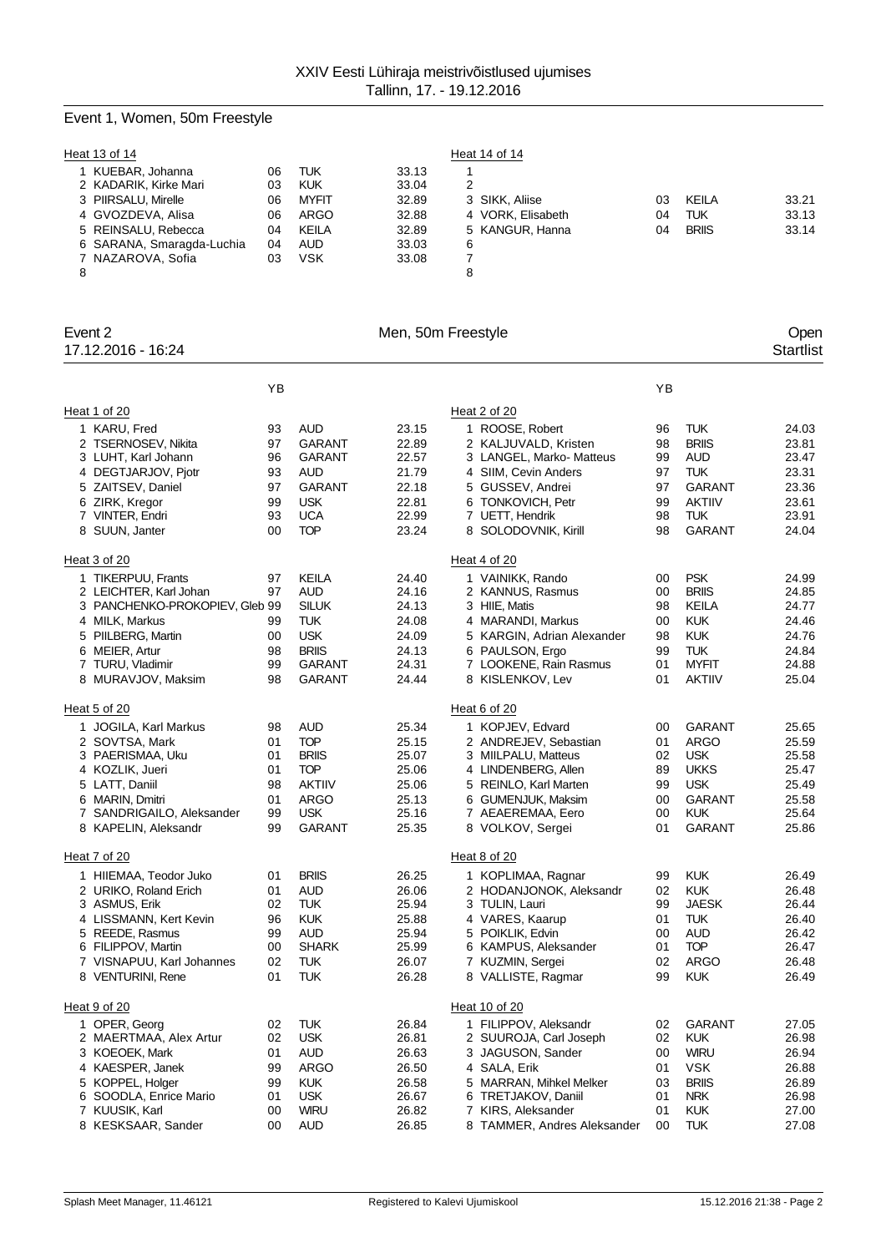# Event 1, Women, 50m Freestyle

| Heat 13 of 14             |    |              |       | Heat 14 of 14     |    |              |       |
|---------------------------|----|--------------|-------|-------------------|----|--------------|-------|
| KUEBAR, Johanna           | 06 | TUK          | 33.13 |                   |    |              |       |
| 2 KADARIK, Kirke Mari     | 03 | <b>KUK</b>   | 33.04 | 2                 |    |              |       |
| 3 PIIRSALU, Mirelle       | 06 | <b>MYFIT</b> | 32.89 | 3 SIKK, Aliise    | 03 | <b>KEILA</b> | 33.21 |
| 4 GVOZDEVA, Alisa         | 06 | <b>ARGO</b>  | 32.88 | 4 VORK. Elisabeth | 04 | TUK          | 33.13 |
| 5 REINSALU, Rebecca       | 04 | <b>KEILA</b> | 32.89 | 5 KANGUR, Hanna   | 04 | <b>BRIIS</b> | 33.14 |
| 6 SARANA, Smaragda-Luchia | 04 | <b>AUD</b>   | 33.03 | 6                 |    |              |       |
| 7 NAZAROVA, Sofia         | 03 | VSK          | 33.08 |                   |    |              |       |
| 8                         |    |              |       | 8                 |    |              |       |

| Event 2<br>17.12.2016 - 16:24              |          |                            |                | Men, 50m Freestyle                              |                          | Open<br><b>Startlist</b> |
|--------------------------------------------|----------|----------------------------|----------------|-------------------------------------------------|--------------------------|--------------------------|
|                                            | YB       |                            |                |                                                 | YB                       |                          |
| Heat 1 of 20                               |          |                            |                | Heat 2 of 20                                    |                          |                          |
| 1 KARU, Fred                               | 93       | <b>AUD</b>                 | 23.15          | 1 ROOSE, Robert<br>96                           | <b>TUK</b>               | 24.03                    |
| 2 TSERNOSEV, Nikita                        | 97       | <b>GARANT</b>              | 22.89          | 2 KALJUVALD, Kristen<br>98                      | <b>BRIIS</b>             | 23.81                    |
| 3 LUHT, Karl Johann                        | 96       | <b>GARANT</b>              | 22.57          | 3 LANGEL, Marko- Matteus<br>99                  | AUD                      | 23.47                    |
| 4 DEGTJARJOV, Pjotr                        | 93       | <b>AUD</b>                 | 21.79          | 4 SIIM, Cevin Anders<br>97                      | <b>TUK</b>               | 23.31                    |
| 5 ZAITSEV, Daniel                          | 97       | <b>GARANT</b>              | 22.18          | 5 GUSSEV, Andrei<br>97                          | GARANT                   | 23.36                    |
| 6 ZIRK, Kregor                             | 99       | <b>USK</b>                 | 22.81          | 6 TONKOVICH, Petr<br>99                         | <b>AKTIIV</b>            | 23.61                    |
| 7 VINTER, Endri                            | 93       | <b>UCA</b>                 | 22.99          | 7 UETT, Hendrik<br>98                           | <b>TUK</b>               | 23.91                    |
| 8 SUUN, Janter                             | 00       | <b>TOP</b>                 | 23.24          | 8 SOLODOVNIK, Kirill<br>98                      | <b>GARANT</b>            | 24.04                    |
| Heat 3 of 20                               |          |                            |                | Heat 4 of 20                                    |                          |                          |
| 1 TIKERPUU, Frants                         | 97       | KEILA                      | 24.40          | 1 VAINIKK, Rando<br>00                          | <b>PSK</b>               | 24.99                    |
| 2 LEICHTER, Karl Johan                     | 97       | <b>AUD</b>                 | 24.16          | 2 KANNUS, Rasmus<br>00                          | <b>BRIIS</b>             | 24.85                    |
| 3 PANCHENKO-PROKOPIEV, Gleb 99             |          | <b>SILUK</b>               | 24.13          | 3 HIIE, Matis<br>98                             | KEILA                    | 24.77                    |
| 4 MILK, Markus                             | 99       | <b>TUK</b>                 | 24.08          | 4 MARANDI, Markus<br>00                         | <b>KUK</b>               | 24.46                    |
| 5 PIILBERG, Martin                         | 00       | <b>USK</b>                 | 24.09          | 5 KARGIN, Adrian Alexander<br>98                | <b>KUK</b>               | 24.76                    |
| 6 MEIER, Artur                             | 98       | <b>BRIIS</b>               | 24.13          | 6 PAULSON, Ergo<br>99                           | <b>TUK</b>               | 24.84                    |
| 7 TURU, Vladimir                           | 99       | <b>GARANT</b>              | 24.31          | 7 LOOKENE, Rain Rasmus<br>01                    | <b>MYFIT</b>             | 24.88                    |
| 8 MURAVJOV, Maksim                         | 98       | <b>GARANT</b>              | 24.44          | 8 KISLENKOV, Lev<br>01                          | <b>AKTIIV</b>            | 25.04                    |
| Heat 5 of 20                               |          |                            |                | Heat 6 of 20                                    |                          |                          |
| 1 JOGILA, Karl Markus                      | 98       | <b>AUD</b>                 | 25.34          | 1 KOPJEV, Edvard<br>00                          | <b>GARANT</b>            | 25.65                    |
| 2 SOVTSA, Mark                             | 01       | <b>TOP</b>                 | 25.15          | 2 ANDREJEV, Sebastian<br>01                     | <b>ARGO</b>              | 25.59                    |
| 3 PAERISMAA, Uku                           | 01       | <b>BRIIS</b>               | 25.07          | 3 MIILPALU, Matteus<br>02                       | <b>USK</b>               | 25.58                    |
| 4 KOZLIK, Jueri                            | 01       | <b>TOP</b>                 | 25.06          | 4 LINDENBERG, Allen<br>89                       | <b>UKKS</b>              | 25.47                    |
| 5 LATT, Daniil                             | 98       | <b>AKTIIV</b>              | 25.06          | 5 REINLO, Karl Marten<br>99                     | <b>USK</b>               | 25.49                    |
| 6 MARIN, Dmitri                            | 01       | <b>ARGO</b>                | 25.13          | 6 GUMENJUK, Maksim<br>00                        | <b>GARANT</b>            | 25.58                    |
| 7 SANDRIGAILO, Aleksander                  | 99       | <b>USK</b>                 | 25.16          | 7 AEAEREMAA, Eero<br>00                         | <b>KUK</b>               | 25.64                    |
| 8 KAPELIN, Aleksandr                       | 99       | GARANT                     | 25.35          | 8 VOLKOV, Sergei<br>01                          | GARANT                   | 25.86                    |
| Heat 7 of 20                               |          |                            |                | Heat 8 of 20                                    |                          |                          |
| 1 HIIEMAA, Teodor Juko                     | 01       | <b>BRIIS</b>               | 26.25          | 1 KOPLIMAA, Ragnar<br>99                        | <b>KUK</b>               | 26.49                    |
| 2 URIKO, Roland Erich                      | 01       | <b>AUD</b>                 | 26.06          | 2 HODANJONOK, Aleksandr<br>02                   | <b>KUK</b>               | 26.48                    |
| 3 ASMUS, Erik                              | 02       | <b>TUK</b>                 | 25.94          | 3 TULIN, Lauri<br>99                            | <b>JAESK</b>             | 26.44                    |
| 4 LISSMANN, Kert Kevin                     | 96       | <b>KUK</b>                 | 25.88          | 4 VARES, Kaarup<br>01                           | <b>TUK</b>               | 26.40                    |
| 5 REEDE, Rasmus                            | 99       | <b>AUD</b><br><b>SHARK</b> | 25.94          | 5 POIKLIK, Edvin<br>00                          | AUD                      | 26.42                    |
| 6 FILIPPOV, Martin                         | 00       |                            | 25.99          | 6 KAMPUS, Aleksander<br>01                      | <b>TOP</b>               | 26.47                    |
| 7 VISNAPUU, Karl Johannes                  | 02<br>01 | <b>TUK</b><br><b>TUK</b>   | 26.07          | 7 KUZMIN, Sergei<br>02<br>99                    | <b>ARGO</b>              | 26.48                    |
| 8 VENTURINI, Rene                          |          |                            | 26.28          | 8 VALLISTE, Ragmar                              | <b>KUK</b>               | 26.49                    |
| Heat 9 of 20                               |          |                            |                | Heat 10 of 20                                   |                          |                          |
| 1 OPER, Georg                              | 02       | <b>TUK</b>                 | 26.84          | 1 FILIPPOV, Aleksandr<br>02                     | <b>GARANT</b>            | 27.05                    |
| 2 MAERTMAA, Alex Artur                     | 02       | <b>USK</b>                 | 26.81          | 2 SUUROJA, Carl Joseph<br>02                    | <b>KUK</b>               | 26.98                    |
| 3 KOEOEK, Mark                             | 01       | <b>AUD</b>                 | 26.63          | 3 JAGUSON, Sander<br>00                         | <b>WIRU</b>              | 26.94                    |
| 4 KAESPER, Janek                           | 99       | <b>ARGO</b>                | 26.50          | 4 SALA, Erik<br>01                              | <b>VSK</b>               | 26.88                    |
| 5 KOPPEL, Holger<br>6 SOODLA, Enrice Mario | 99       | <b>KUK</b>                 | 26.58          | 5 MARRAN, Mihkel Melker<br>03                   | <b>BRIIS</b>             | 26.89                    |
| 7 KUUSIK, Karl                             | 01       | <b>USK</b><br><b>WIRU</b>  | 26.67<br>26.82 | 6 TRETJAKOV, Daniil<br>01<br>7 KIRS, Aleksander | <b>NRK</b><br><b>KUK</b> | 26.98<br>27.00           |
|                                            | 00       |                            |                | 01                                              |                          | 27.08                    |
| 8 KESKSAAR, Sander                         | 00       | <b>AUD</b>                 | 26.85          | 8 TAMMER, Andres Aleksander<br>00               | <b>TUK</b>               |                          |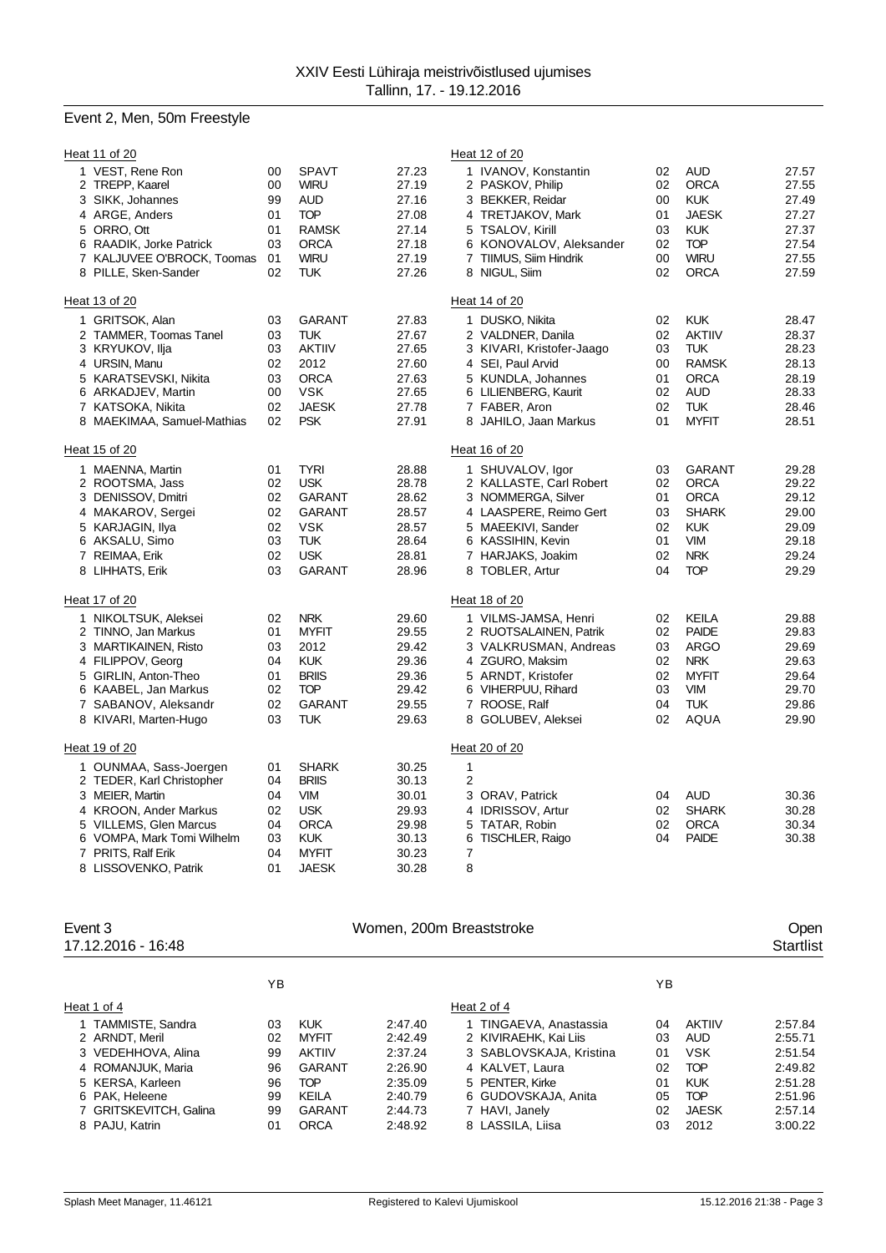# Event 2, Men, 50m Freestyle

|   | Heat 11 of 20                       |          |                             |                | Heat 12 of 20                                                                     |                        |
|---|-------------------------------------|----------|-----------------------------|----------------|-----------------------------------------------------------------------------------|------------------------|
|   | 1 VEST, Rene Ron<br>2 TREPP, Kaarel | 00<br>00 | <b>SPAVT</b><br><b>WIRU</b> | 27.23<br>27.19 | <b>AUD</b><br>1 IVANOV, Konstantin<br>02<br>02<br><b>ORCA</b><br>2 PASKOV, Philip | 27.57<br>27.55         |
|   | 3 SIKK, Johannes                    | 99       | <b>AUD</b>                  | 27.16          | 00<br><b>KUK</b><br>3 BEKKER, Reidar                                              | 27.49                  |
|   | 4 ARGE, Anders                      | 01       | <b>TOP</b>                  | 27.08          | <b>JAESK</b><br>4 TRETJAKOV, Mark<br>01                                           | 27.27                  |
|   | 5 ORRO, Ott                         | 01       | <b>RAMSK</b>                | 27.14          | <b>KUK</b><br>5 TSALOV, Kirill<br>03                                              | 27.37                  |
|   | 6 RAADIK, Jorke Patrick             | 03       | <b>ORCA</b>                 | 27.18          | 6 KONOVALOV, Aleksander<br><b>TOP</b><br>02                                       | 27.54                  |
|   | 7 KALJUVEE O'BROCK, Toomas          | 01       | <b>WIRU</b>                 | 27.19          | <b>WIRU</b><br>7 TIIMUS, Siim Hindrik<br>00                                       | 27.55                  |
| 8 | PILLE, Sken-Sander                  | 02       | <b>TUK</b>                  | 27.26          | 8 NIGUL, Siim<br>02<br><b>ORCA</b>                                                | 27.59                  |
|   | Heat 13 of 20                       |          |                             |                | Heat 14 of 20                                                                     |                        |
|   | 1 GRITSOK, Alan                     | 03       | <b>GARANT</b>               | 27.83          | 1 DUSKO, Nikita<br>02<br><b>KUK</b>                                               | 28.47                  |
|   | 2 TAMMER, Toomas Tanel              | 03       | <b>TUK</b>                  | 27.67          | 02<br>2 VALDNER, Danila<br><b>AKTIIV</b>                                          | 28.37                  |
|   | 3 KRYUKOV, Ilja                     | 03       | <b>AKTIIV</b>               | 27.65          | 03<br><b>TUK</b><br>3 KIVARI, Kristofer-Jaago                                     | 28.23                  |
|   | 4 URSIN, Manu                       | 02       | 2012                        | 27.60          | 4 SEI, Paul Arvid<br>00                                                           | <b>RAMSK</b><br>28.13  |
|   | 5 KARATSEVSKI, Nikita               | 03       | <b>ORCA</b>                 | 27.63          | 5 KUNDLA, Johannes<br><b>ORCA</b><br>01                                           | 28.19                  |
|   | 6 ARKADJEV, Martin                  | 00       | <b>VSK</b>                  | 27.65          | 6 LILIENBERG, Kaurit<br>02<br><b>AUD</b>                                          | 28.33                  |
|   | 7 KATSOKA, Nikita                   | 02       | <b>JAESK</b>                | 27.78          | 7 FABER, Aron<br>02<br><b>TUK</b>                                                 | 28.46                  |
|   | 8 MAEKIMAA, Samuel-Mathias          | 02       | <b>PSK</b>                  | 27.91          | <b>MYFIT</b><br>8 JAHILO, Jaan Markus<br>01                                       | 28.51                  |
|   | Heat 15 of 20                       |          |                             |                | Heat 16 of 20                                                                     |                        |
|   | 1 MAENNA, Martin                    | 01       | <b>TYRI</b>                 | 28.88          | 1 SHUVALOV, Igor<br>03                                                            | <b>GARANT</b><br>29.28 |
|   | 2 ROOTSMA, Jass                     | 02       | <b>USK</b>                  | 28.78          | 02<br><b>ORCA</b><br>2 KALLASTE, Carl Robert                                      | 29.22                  |
|   | 3 DENISSOV, Dmitri                  | 02       | GARANT                      | 28.62          | <b>ORCA</b><br>3 NOMMERGA, Silver<br>01                                           | 29.12                  |
|   | 4 MAKAROV, Sergei                   | 02       | <b>GARANT</b>               | 28.57          | 4 LAASPERE, Reimo Gert<br>03                                                      | <b>SHARK</b><br>29.00  |
|   | 5 KARJAGIN, Ilya                    | 02       | <b>VSK</b>                  | 28.57          | <b>KUK</b><br>5 MAEEKIVI, Sander<br>02                                            | 29.09                  |
|   | 6 AKSALU, Simo                      | 03       | <b>TUK</b>                  | 28.64          | 6 KASSIHIN, Kevin<br>01<br><b>VIM</b>                                             | 29.18                  |
|   | 7 REIMAA, Erik                      | 02       | <b>USK</b>                  | 28.81          | 02<br><b>NRK</b><br>7 HARJAKS, Joakim                                             | 29.24                  |
|   | 8 LIHHATS, Erik                     | 03       | <b>GARANT</b>               | 28.96          | <b>TOP</b><br>8 TOBLER, Artur<br>04                                               | 29.29                  |
|   | Heat 17 of 20                       |          |                             |                | Heat 18 of 20                                                                     |                        |
|   | 1 NIKOLTSUK, Aleksei                | 02       | <b>NRK</b>                  | 29.60          | <b>KEILA</b><br>1 VILMS-JAMSA, Henri<br>02                                        | 29.88                  |
|   | 2 TINNO, Jan Markus                 | 01       | <b>MYFIT</b>                | 29.55          | 02<br><b>PAIDE</b><br>2 RUOTSALAINEN, Patrik                                      | 29.83                  |
|   | 3 MARTIKAINEN, Risto                | 03       | 2012                        | 29.42          | 3 VALKRUSMAN, Andreas<br>03<br><b>ARGO</b>                                        | 29.69                  |
|   | 4 FILIPPOV, Georg                   | 04       | <b>KUK</b>                  | 29.36          | 4 ZGURO, Maksim<br>02<br><b>NRK</b>                                               | 29.63                  |
|   | 5 GIRLIN, Anton-Theo                | 01       | <b>BRIIS</b>                | 29.36          | 5 ARNDT, Kristofer<br>02<br><b>MYFIT</b>                                          | 29.64                  |
|   | 6 KAABEL, Jan Markus                | 02       | <b>TOP</b>                  | 29.42          | 6 VIHERPUU, Rihard<br>03<br><b>VIM</b>                                            | 29.70                  |
|   | 7 SABANOV, Aleksandr                | 02       | <b>GARANT</b>               | 29.55          | <b>TUK</b><br>7 ROOSE, Ralf<br>04                                                 | 29.86                  |
|   | 8 KIVARI, Marten-Hugo               | 03       | <b>TUK</b>                  | 29.63          | 02<br><b>AQUA</b><br>8 GOLUBEV, Aleksei                                           | 29.90                  |
|   | Heat 19 of 20                       |          |                             |                | Heat 20 of 20                                                                     |                        |
|   | 1 OUNMAA, Sass-Joergen              | 01       | <b>SHARK</b>                | 30.25          | $\mathbf{1}$                                                                      |                        |
|   | 2 TEDER, Karl Christopher           | 04       | <b>BRIIS</b>                | 30.13          | 2                                                                                 |                        |
|   | 3 MEIER, Martin                     | 04       | <b>VIM</b>                  | 30.01          | <b>AUD</b><br>3 ORAV, Patrick<br>04                                               | 30.36                  |
|   | 4 KROON, Ander Markus               | 02       | <b>USK</b>                  | 29.93          | 4 IDRISSOV, Artur<br>02                                                           | <b>SHARK</b><br>30.28  |
| 5 | <b>VILLEMS, Glen Marcus</b>         | 04       | <b>ORCA</b>                 | 29.98          | <b>ORCA</b><br>5<br>TATAR, Robin<br>02                                            | 30.34                  |
| 6 | VOMPA, Mark Tomi Wilhelm            | 03       | <b>KUK</b>                  | 30.13          | 04<br><b>PAIDE</b><br>TISCHLER, Raigo<br>6                                        | 30.38                  |
|   | 7 PRITS, Ralf Erik                  | 04       | <b>MYFIT</b>                | 30.23          | 7                                                                                 |                        |
|   | 8 LISSOVENKO, Patrik                | 01       | <b>JAESK</b>                | 30.28          | 8                                                                                 |                        |

| Event 3<br>17.12.2016 - 16:48 | Women, 200m Breaststroke |              |         |                         |    |               |         |  |
|-------------------------------|--------------------------|--------------|---------|-------------------------|----|---------------|---------|--|
|                               | ΥB                       |              |         |                         | YB |               |         |  |
| Heat 1 of 4                   |                          |              |         | Heat 2 of 4             |    |               |         |  |
| 1 TAMMISTE, Sandra            | 03                       | <b>KUK</b>   | 2:47.40 | 1 TINGAEVA, Anastassia  | 04 | <b>AKTIIV</b> | 2:57.84 |  |
| 2 ARNDT, Meril                | 02                       | <b>MYFIT</b> | 2:42.49 | 2 KIVIRAEHK, Kai Liis   | 03 | AUD           | 2:55.71 |  |
| 3 VEDEHHOVA, Alina            | 99                       | AKTIIV       | 2:37.24 | 3 SABLOVSKAJA, Kristina | 01 | <b>VSK</b>    | 2:51.54 |  |
| 4 ROMANJUK, Maria             | 96                       | GARANT       | 2:26.90 | 4 KALVET, Laura         | 02 | <b>TOP</b>    | 2:49.82 |  |
| 5 KERSA, Karleen              | 96                       | <b>TOP</b>   | 2:35.09 | 5 PENTER, Kirke         | 01 | KUK           | 2:51.28 |  |
| 6 PAK, Heleene                | 99                       | KEILA        | 2:40.79 | 6 GUDOVSKAJA, Anita     | 05 | <b>TOP</b>    | 2:51.96 |  |
| 7 GRITSKEVITCH, Galina        | 99                       | GARANT       | 2:44.73 | 7 HAVI, Janely          | 02 | <b>JAESK</b>  | 2:57.14 |  |
| 8 PAJU, Katrin                | 01                       | <b>ORCA</b>  | 2:48.92 | 8 LASSILA, Liisa        | 03 | 2012          | 3:00.22 |  |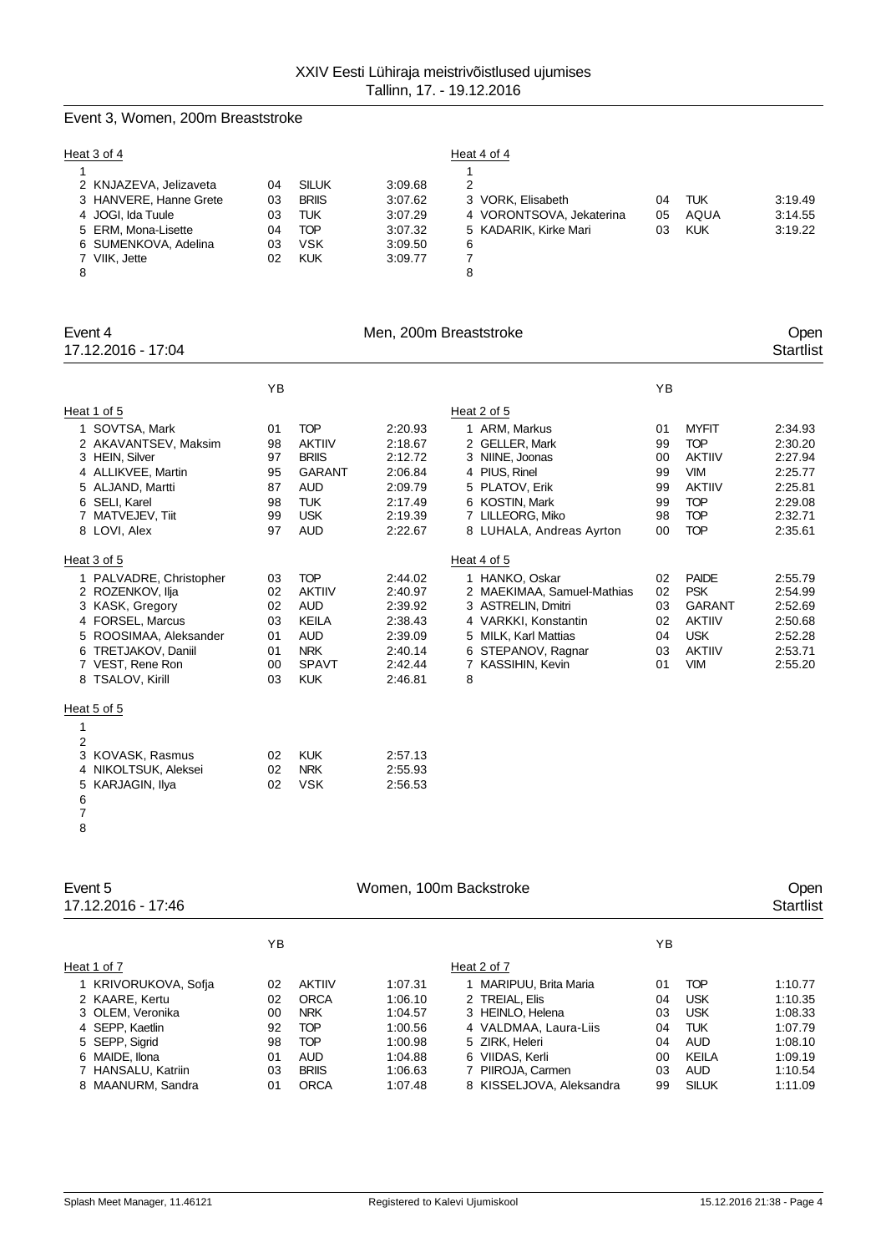# Event 3, Women, 200m Breaststroke

| Heat 3 of 4            |    |              |         | Heat 4 of 4              |    |            |         |
|------------------------|----|--------------|---------|--------------------------|----|------------|---------|
|                        |    |              |         |                          |    |            |         |
| 2 KNJAZEVA, Jelizaveta | 04 | <b>SILUK</b> | 3:09.68 | 2                        |    |            |         |
| 3 HANVERE, Hanne Grete | 03 | <b>BRIIS</b> | 3:07.62 | 3 VORK, Elisabeth        | 04 | <b>TUK</b> | 3:19.49 |
| 4 JOGI, Ida Tuule      | 03 | TUK          | 3:07.29 | 4 VORONTSOVA, Jekaterina | 05 | AQUA       | 3:14.55 |
| 5 ERM. Mona-Lisette    | 04 | TOP          | 3:07.32 | 5 KADARIK, Kirke Mari    | 03 | <b>KUK</b> | 3:19.22 |
| 6 SUMENKOVA, Adelina   | 03 | VSK          | 3:09.50 | 6                        |    |            |         |
| 7 VIIK, Jette          | 02 | <b>KUK</b>   | 3:09.77 |                          |    |            |         |
| 8                      |    |              |         | 8                        |    |            |         |

| Event 4<br>17.12.2016 - 17:04                                                                                                                                               |                                              |                                                                                                                      | Men, 200m Breaststroke                                                               |                                                                                                                                                                    |                                              |                                                                                                                      | Open<br><b>Startlist</b>                                                             |
|-----------------------------------------------------------------------------------------------------------------------------------------------------------------------------|----------------------------------------------|----------------------------------------------------------------------------------------------------------------------|--------------------------------------------------------------------------------------|--------------------------------------------------------------------------------------------------------------------------------------------------------------------|----------------------------------------------|----------------------------------------------------------------------------------------------------------------------|--------------------------------------------------------------------------------------|
|                                                                                                                                                                             | YB                                           |                                                                                                                      |                                                                                      |                                                                                                                                                                    | YB                                           |                                                                                                                      |                                                                                      |
| Heat 1 of 5                                                                                                                                                                 |                                              |                                                                                                                      |                                                                                      | Heat 2 of 5                                                                                                                                                        |                                              |                                                                                                                      |                                                                                      |
| SOVTSA, Mark<br>1<br>2 AKAVANTSEV, Maksim<br>3 HEIN, Silver<br>4 ALLIKVEE, Martin<br>5 ALJAND, Martti<br>6 SELI, Karel<br>7 MATVEJEV, Tiit<br>8 LOVI, Alex                  | 01<br>98<br>97<br>95<br>87<br>98<br>99<br>97 | <b>TOP</b><br><b>AKTIIV</b><br><b>BRIIS</b><br><b>GARANT</b><br><b>AUD</b><br><b>TUK</b><br><b>USK</b><br><b>AUD</b> | 2:20.93<br>2:18.67<br>2:12.72<br>2:06.84<br>2:09.79<br>2:17.49<br>2:19.39<br>2:22.67 | 1 ARM, Markus<br>2 GELLER, Mark<br>3 NIINE, Joonas<br>4 PIUS, Rinel<br>5 PLATOV, Erik<br>6 KOSTIN, Mark<br>7 LILLEORG, Miko<br>8 LUHALA, Andreas Ayrton            | 01<br>99<br>00<br>99<br>99<br>99<br>98<br>00 | <b>MYFIT</b><br><b>TOP</b><br><b>AKTIIV</b><br><b>VIM</b><br><b>AKTIIV</b><br><b>TOP</b><br><b>TOP</b><br><b>TOP</b> | 2:34.93<br>2:30.20<br>2:27.94<br>2:25.77<br>2:25.81<br>2:29.08<br>2:32.71<br>2:35.61 |
| Heat 3 of 5                                                                                                                                                                 |                                              |                                                                                                                      |                                                                                      | Heat 4 of 5                                                                                                                                                        |                                              |                                                                                                                      |                                                                                      |
| 1 PALVADRE, Christopher<br>2 ROZENKOV, Ilja<br>3 KASK, Gregory<br>4 FORSEL, Marcus<br>5 ROOSIMAA, Aleksander<br>6 TRETJAKOV, Daniil<br>7 VEST, Rene Ron<br>8 TSALOV, Kirill | 03<br>02<br>02<br>03<br>01<br>01<br>00<br>03 | <b>TOP</b><br><b>AKTIIV</b><br><b>AUD</b><br><b>KEILA</b><br><b>AUD</b><br><b>NRK</b><br><b>SPAVT</b><br><b>KUK</b>  | 2:44.02<br>2:40.97<br>2:39.92<br>2:38.43<br>2:39.09<br>2:40.14<br>2:42.44<br>2:46.81 | 1 HANKO, Oskar<br>2 MAEKIMAA, Samuel-Mathias<br>3 ASTRELIN, Dmitri<br>4 VARKKI, Konstantin<br>5 MILK, Karl Mattias<br>6 STEPANOV, Ragnar<br>7 KASSIHIN, Kevin<br>8 | 02<br>02<br>03<br>02<br>04<br>03<br>01       | <b>PAIDE</b><br><b>PSK</b><br><b>GARANT</b><br><b>AKTIIV</b><br><b>USK</b><br><b>AKTIIV</b><br><b>VIM</b>            | 2:55.79<br>2:54.99<br>2:52.69<br>2:50.68<br>2:52.28<br>2:53.71<br>2:55.20            |
| Heat 5 of 5                                                                                                                                                                 |                                              |                                                                                                                      |                                                                                      |                                                                                                                                                                    |                                              |                                                                                                                      |                                                                                      |
| 1<br>$\overline{2}$<br>3<br>KOVASK, Rasmus<br>NIKOLTSUK, Aleksei<br>5<br>KARJAGIN, Ilya<br>6<br>$\overline{ }$                                                              | 02<br>02<br>02                               | <b>KUK</b><br><b>NRK</b><br><b>VSK</b>                                                                               | 2:57.13<br>2:55.93<br>2:56.53                                                        |                                                                                                                                                                    |                                              |                                                                                                                      |                                                                                      |

| ΥB |               |         |                          | ΥB                     |              |         |  |
|----|---------------|---------|--------------------------|------------------------|--------------|---------|--|
|    |               |         | Heat 2 of 7              |                        |              |         |  |
| 02 | <b>AKTIIV</b> | 1:07.31 | 1 MARIPUU, Brita Maria   | 01                     | <b>TOP</b>   | 1:10.77 |  |
| 02 | ORCA          | 1:06.10 | 2 TREIAL, Elis           | 04                     | <b>USK</b>   | 1:10.35 |  |
| 00 | <b>NRK</b>    | 1:04.57 | 3 HEINLO, Helena         | 03                     | <b>USK</b>   | 1:08.33 |  |
| 92 | <b>TOP</b>    | 1:00.56 | 4 VALDMAA, Laura-Liis    | 04                     | <b>TUK</b>   | 1:07.79 |  |
| 98 | <b>TOP</b>    | 1:00.98 | 5 ZIRK, Heleri           | 04                     | <b>AUD</b>   | 1:08.10 |  |
| 01 | <b>AUD</b>    | 1:04.88 | 6 VIIDAS, Kerli          | 00                     | <b>KEILA</b> | 1:09.19 |  |
| 03 | <b>BRIIS</b>  | 1:06.63 | 7 PIIROJA, Carmen        | 03                     | <b>AUD</b>   | 1:10.54 |  |
| 01 | <b>ORCA</b>   | 1:07.48 | 8 KISSELJOVA, Aleksandra | 99                     | <b>SILUK</b> | 1:11.09 |  |
|    |               |         |                          | Women, 100m Backstroke |              |         |  |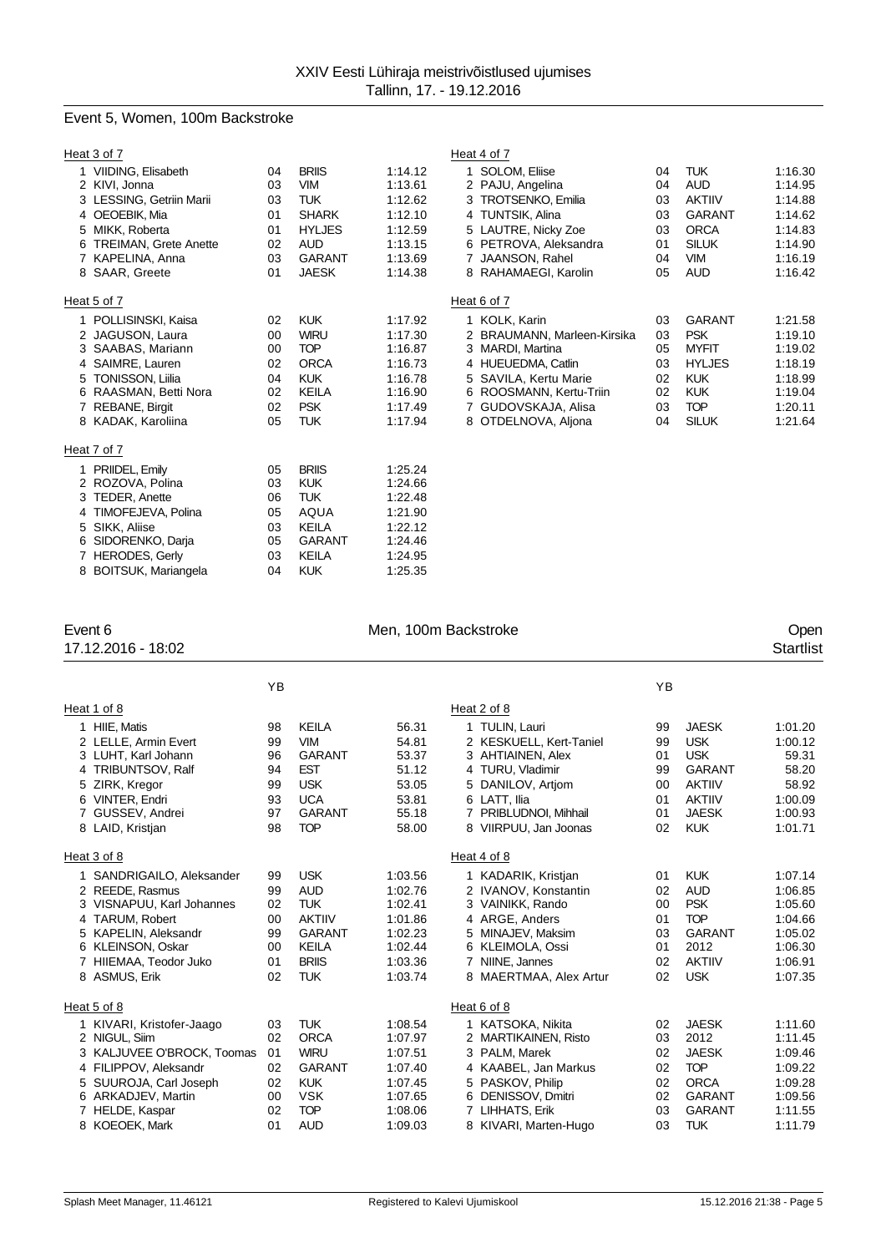## Event 5, Women, 100m Backstroke

| Heat 3 of 7                                                                                                                                                                             |                                              |                                                                                                                          |                                                                                      | Heat 4 of 7                                                                                                                                                                              |                                              |                                                                                                                        |                                                                                      |
|-----------------------------------------------------------------------------------------------------------------------------------------------------------------------------------------|----------------------------------------------|--------------------------------------------------------------------------------------------------------------------------|--------------------------------------------------------------------------------------|------------------------------------------------------------------------------------------------------------------------------------------------------------------------------------------|----------------------------------------------|------------------------------------------------------------------------------------------------------------------------|--------------------------------------------------------------------------------------|
| 1 VIIDING, Elisabeth<br>2 KIVI, Jonna<br>3 LESSING, Getriin Marii<br>4 OEOEBIK. Mia<br>5 MIKK, Roberta<br><b>TREIMAN, Grete Anette</b><br>7 KAPELINA, Anna<br>8 SAAR, Greete            | 04<br>03<br>03<br>01<br>01<br>02<br>03<br>01 | <b>BRIIS</b><br><b>VIM</b><br><b>TUK</b><br><b>SHARK</b><br><b>HYLJES</b><br><b>AUD</b><br><b>GARANT</b><br><b>JAESK</b> | 1:14.12<br>1:13.61<br>1:12.62<br>1:12.10<br>1:12.59<br>1:13.15<br>1:13.69<br>1:14.38 | 1 SOLOM, Eliise<br>2 PAJU, Angelina<br>3 TROTSENKO, Emilia<br>4 TUNTSIK, Alina<br>5 LAUTRE, Nicky Zoe<br>6 PETROVA, Aleksandra<br>7 JAANSON, Rahel<br>8 RAHAMAEGI, Karolin               | 04<br>04<br>03<br>03<br>03<br>01<br>04<br>05 | <b>TUK</b><br><b>AUD</b><br><b>AKTIIV</b><br><b>GARANT</b><br><b>ORCA</b><br><b>SILUK</b><br><b>VIM</b><br><b>AUD</b>  | 1:16.30<br>1:14.95<br>1:14.88<br>1:14.62<br>1:14.83<br>1:14.90<br>1:16.19<br>1:16.42 |
| Heat 5 of 7                                                                                                                                                                             |                                              |                                                                                                                          |                                                                                      | Heat 6 of 7                                                                                                                                                                              |                                              |                                                                                                                        |                                                                                      |
| 1 POLLISINSKI, Kaisa<br>2 JAGUSON, Laura<br>3 SAABAS, Mariann<br>4 SAIMRE, Lauren<br><b>TONISSON, Liilia</b><br>5<br>RAASMAN, Betti Nora<br>6<br>7 REBANE, Birgit<br>8 KADAK, Karoliina | 02<br>00<br>00<br>02<br>04<br>02<br>02<br>05 | <b>KUK</b><br><b>WIRU</b><br><b>TOP</b><br><b>ORCA</b><br><b>KUK</b><br><b>KEILA</b><br><b>PSK</b><br><b>TUK</b>         | 1:17.92<br>1:17.30<br>1:16.87<br>1:16.73<br>1:16.78<br>1:16.90<br>1:17.49<br>1:17.94 | 1 KOLK, Karin<br>2 BRAUMANN, Marleen-Kirsika<br>3 MARDI, Martina<br>4 HUEUEDMA, Catlin<br>5 SAVILA, Kertu Marie<br>6 ROOSMANN, Kertu-Triin<br>7 GUDOVSKAJA, Alisa<br>8 OTDELNOVA, Aljona | 03<br>03<br>05<br>03<br>02<br>02<br>03<br>04 | <b>GARANT</b><br><b>PSK</b><br><b>MYFIT</b><br><b>HYLJES</b><br><b>KUK</b><br><b>KUK</b><br><b>TOP</b><br><b>SILUK</b> | 1:21.58<br>1:19.10<br>1:19.02<br>1:18.19<br>1:18.99<br>1:19.04<br>1:20.11<br>1:21.64 |
| Heat 7 of 7                                                                                                                                                                             |                                              |                                                                                                                          |                                                                                      |                                                                                                                                                                                          |                                              |                                                                                                                        |                                                                                      |
| 1 PRIIDEL, Emily<br>2 ROZOVA, Polina<br>3 TEDER, Anette<br>TIMOFEJEVA, Polina<br>4<br>SIKK, Aliise<br>5<br>SIDORENKO, Darja<br>6.<br>7 HERODES, Gerly                                   | 05<br>03<br>06<br>05<br>03<br>05<br>03       | <b>BRIIS</b><br><b>KUK</b><br><b>TUK</b><br>AQUA<br><b>KEILA</b><br><b>GARANT</b><br><b>KEILA</b>                        | 1:25.24<br>1:24.66<br>1:22.48<br>1:21.90<br>1:22.12<br>1:24.46<br>1:24.95            |                                                                                                                                                                                          |                                              |                                                                                                                        |                                                                                      |

17.12.2016 - 18:02

BOITSUK, Mariangela 04 KUK 1:25.35

# Event 6 Communication of the Men, 100m Backstroke Communication of the Open Communication of the Men, 100m Backstroke Communication of the Startlist<br>17.12.2016 - 18:02

|        |                                                                                                                                                                                                   | YB                                           |                                                                                                                        |                                                                                      |                                                                                                                                                                                        | YB                                           |                                                                                                              |                                                                                      |
|--------|---------------------------------------------------------------------------------------------------------------------------------------------------------------------------------------------------|----------------------------------------------|------------------------------------------------------------------------------------------------------------------------|--------------------------------------------------------------------------------------|----------------------------------------------------------------------------------------------------------------------------------------------------------------------------------------|----------------------------------------------|--------------------------------------------------------------------------------------------------------------|--------------------------------------------------------------------------------------|
|        | Heat 1 of 8                                                                                                                                                                                       |                                              |                                                                                                                        |                                                                                      | Heat 2 of 8                                                                                                                                                                            |                                              |                                                                                                              |                                                                                      |
|        | 1 HIIE, Matis<br>2 LELLE, Armin Evert<br>3 LUHT, Karl Johann                                                                                                                                      | 98<br>99<br>96                               | <b>KEILA</b><br><b>VIM</b><br><b>GARANT</b>                                                                            | 56.31<br>54.81<br>53.37                                                              | 1 TULIN, Lauri<br>2 KESKUELL, Kert-Taniel<br>3 AHTIAINEN, Alex                                                                                                                         | 99<br>99<br>01                               | <b>JAESK</b><br><b>USK</b><br><b>USK</b>                                                                     | 1:01.20<br>1:00.12<br>59.31                                                          |
| 4<br>5 | TRIBUNTSOV, Ralf<br>ZIRK, Kregor<br>6 VINTER, Endri<br>GUSSEV, Andrei                                                                                                                             | 94<br>99<br>93<br>97                         | <b>EST</b><br><b>USK</b><br><b>UCA</b><br><b>GARANT</b>                                                                | 51.12<br>53.05<br>53.81<br>55.18                                                     | 4 TURU, Vladimir<br>5 DANILOV, Artjom<br>6 LATT. Ilia<br>7 PRIBLUDNOI, Mihhail                                                                                                         | 99<br>00<br>01<br>01                         | <b>GARANT</b><br><b>AKTIIV</b><br><b>AKTIIV</b><br><b>JAESK</b>                                              | 58.20<br>58.92<br>1:00.09<br>1:00.93                                                 |
|        | 8 LAID, Kristjan                                                                                                                                                                                  | 98                                           | <b>TOP</b>                                                                                                             | 58.00                                                                                | 8 VIIRPUU, Jan Joonas                                                                                                                                                                  | 02                                           | <b>KUK</b>                                                                                                   | 1:01.71                                                                              |
|        | Heat 3 of 8<br>1 SANDRIGAILO, Aleksander<br>2 REEDE, Rasmus<br>VISNAPUU, Karl Johannes<br>4 TARUM, Robert<br>5 KAPELIN, Aleksandr<br>6 KLEINSON, Oskar<br>7 HIIEMAA, Teodor Juko<br>8 ASMUS, Erik | 99<br>99<br>02<br>00<br>99<br>00<br>01<br>02 | <b>USK</b><br><b>AUD</b><br><b>TUK</b><br><b>AKTIIV</b><br><b>GARANT</b><br><b>KEILA</b><br><b>BRIIS</b><br><b>TUK</b> | 1:03.56<br>1:02.76<br>1:02.41<br>1:01.86<br>1:02.23<br>1:02.44<br>1:03.36<br>1:03.74 | Heat 4 of 8<br>1 KADARIK, Kristjan<br>2 IVANOV, Konstantin<br>3 VAINIKK, Rando<br>4 ARGE, Anders<br>5 MINAJEV. Maksim<br>6 KLEIMOLA, Ossi<br>7 NIINE, Jannes<br>8 MAERTMAA, Alex Artur | 01<br>02<br>00<br>01<br>03<br>01<br>02<br>02 | <b>KUK</b><br><b>AUD</b><br><b>PSK</b><br><b>TOP</b><br><b>GARANT</b><br>2012<br><b>AKTIIV</b><br><b>USK</b> | 1:07.14<br>1:06.85<br>1:05.60<br>1:04.66<br>1:05.02<br>1:06.30<br>1:06.91<br>1:07.35 |
|        | Heat 5 of 8                                                                                                                                                                                       |                                              |                                                                                                                        |                                                                                      | Heat 6 of 8                                                                                                                                                                            |                                              |                                                                                                              |                                                                                      |
|        | 1 KIVARI, Kristofer-Jaago<br>2 NIGUL, Siim<br>3 KALJUVEE O'BROCK, Toomas<br>4 FILIPPOV, Aleksandr                                                                                                 | 03<br>02<br>01<br>02                         | <b>TUK</b><br><b>ORCA</b><br><b>WIRU</b><br><b>GARANT</b>                                                              | 1:08.54<br>1:07.97<br>1:07.51<br>1:07.40                                             | 1 KATSOKA, Nikita<br>2 MARTIKAINEN, Risto<br>3 PALM, Marek<br>4 KAABEL, Jan Markus                                                                                                     | 02<br>03<br>02<br>02                         | <b>JAESK</b><br>2012<br><b>JAESK</b><br><b>TOP</b>                                                           | 1:11.60<br>1:11.45<br>1:09.46<br>1:09.22                                             |
| 5      | SUUROJA, Carl Joseph<br>6 ARKADJEV, Martin<br>7 HELDE, Kaspar<br>8 KOEOEK, Mark                                                                                                                   | 02<br>00<br>02<br>01                         | <b>KUK</b><br><b>VSK</b><br><b>TOP</b><br><b>AUD</b>                                                                   | 1:07.45<br>1:07.65<br>1:08.06<br>1:09.03                                             | 5 PASKOV, Philip<br>6 DENISSOV, Dmitri<br>7 LIHHATS, Erik<br>8 KIVARI, Marten-Hugo                                                                                                     | 02<br>02<br>03<br>03                         | <b>ORCA</b><br><b>GARANT</b><br><b>GARANT</b><br><b>TUK</b>                                                  | 1:09.28<br>1:09.56<br>1:11.55<br>1:11.79                                             |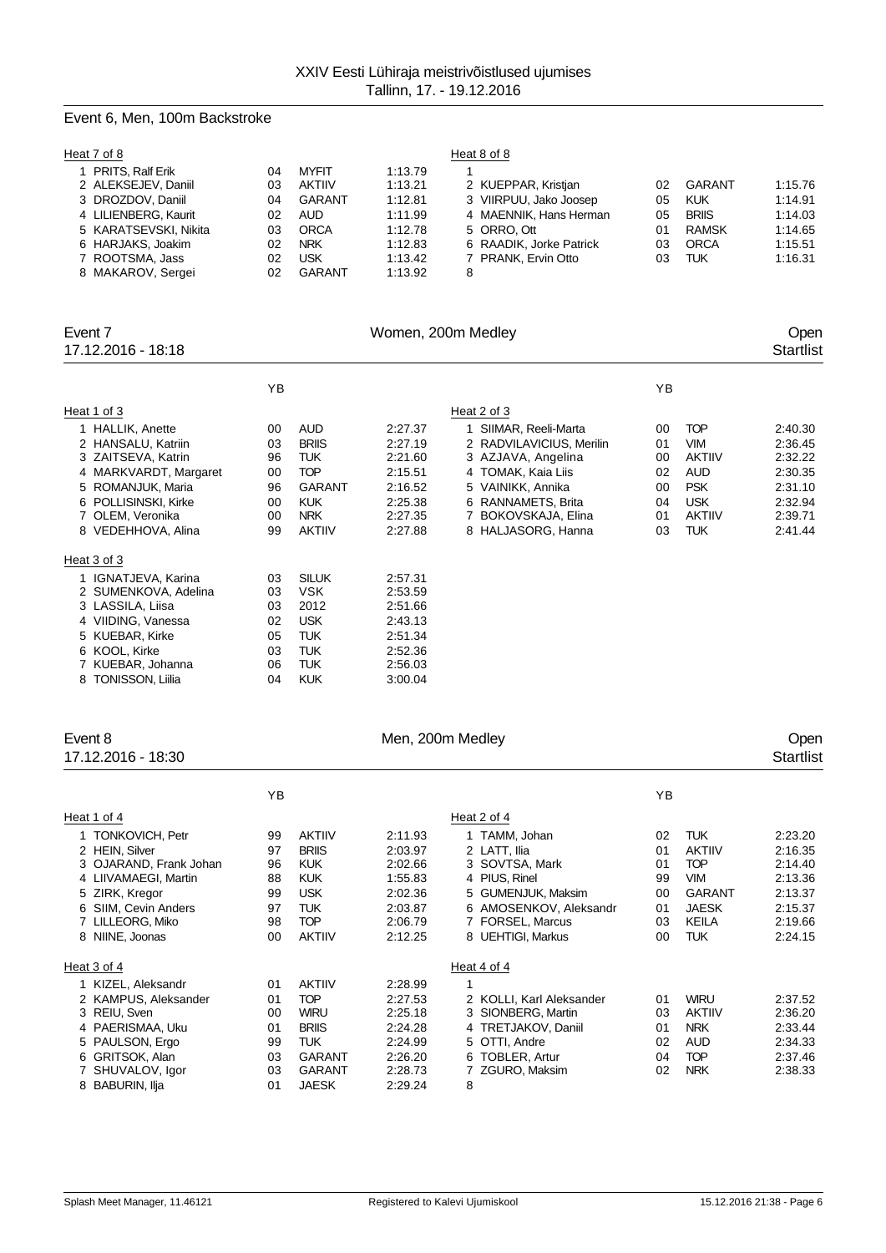# Event 6, Men, 100m Backstroke

| Heat 7 of 8                              |          |                                |                    | Heat 8 of 8                                   |          |                      |                    |
|------------------------------------------|----------|--------------------------------|--------------------|-----------------------------------------------|----------|----------------------|--------------------|
| PRITS, Ralf Erik                         | 04       | <b>MYFIT</b>                   | 1:13.79            |                                               |          |                      |                    |
| 2 ALEKSEJEV, Daniil<br>3 DROZDOV, Daniil | 03<br>04 | <b>AKTIIV</b><br><b>GARANT</b> | 1:13.21<br>1:12.81 | 2 KUEPPAR, Kristjan<br>3 VIIRPUU, Jako Joosep | 02<br>05 | GARANT<br><b>KUK</b> | 1:15.76<br>1:14.91 |
| 4 LILIENBERG, Kaurit                     | 02       | AUD                            | 1:11.99            | 4 MAENNIK, Hans Herman                        | 05       | <b>BRIIS</b>         | 1:14.03            |
| 5 KARATSEVSKI, Nikita                    | 03       | <b>ORCA</b>                    | 1:12.78            | 5 ORRO. Ott                                   | 01       | <b>RAMSK</b>         | 1:14.65            |
| 6 HARJAKS, Joakim                        | 02       | <b>NRK</b>                     | 1:12.83            | 6 RAADIK, Jorke Patrick                       | 03       | <b>ORCA</b>          | 1:15.51            |
| 7 ROOTSMA, Jass                          | 02       | <b>USK</b>                     | 1:13.42            | 7 PRANK, Ervin Otto                           | 03       | TUK                  | 1:16.31            |
| 8 MAKAROV, Sergei                        | 02       | GARANT                         | 1:13.92            | 8                                             |          |                      |                    |

| Event 7                                                                                                                                                                      |                                              |                                                                                                                | Women, 200m Medley                                                                   |                                                                                                                                                                                       |                                              |                                                                                                             | Open                                                                                 |  |
|------------------------------------------------------------------------------------------------------------------------------------------------------------------------------|----------------------------------------------|----------------------------------------------------------------------------------------------------------------|--------------------------------------------------------------------------------------|---------------------------------------------------------------------------------------------------------------------------------------------------------------------------------------|----------------------------------------------|-------------------------------------------------------------------------------------------------------------|--------------------------------------------------------------------------------------|--|
| 17.12.2016 - 18:18                                                                                                                                                           |                                              |                                                                                                                |                                                                                      |                                                                                                                                                                                       |                                              |                                                                                                             | <b>Startlist</b>                                                                     |  |
|                                                                                                                                                                              | YB                                           |                                                                                                                |                                                                                      |                                                                                                                                                                                       | YB                                           |                                                                                                             |                                                                                      |  |
| Heat 1 of 3                                                                                                                                                                  |                                              |                                                                                                                |                                                                                      | Heat 2 of 3                                                                                                                                                                           |                                              |                                                                                                             |                                                                                      |  |
| 1 HALLIK, Anette<br>2 HANSALU, Katriin<br>3 ZAITSEVA, Katrin<br>4 MARKVARDT, Margaret<br>5 ROMANJUK, Maria<br>6 POLLISINSKI, Kirke<br>7 OLEM, Veronika<br>8 VEDEHHOVA, Alina | 00<br>03<br>96<br>00<br>96<br>00<br>00<br>99 | <b>AUD</b><br><b>BRIIS</b><br>TUK.<br><b>TOP</b><br><b>GARANT</b><br><b>KUK</b><br><b>NRK</b><br><b>AKTIIV</b> | 2:27.37<br>2:27.19<br>2:21.60<br>2:15.51<br>2:16.52<br>2:25.38<br>2:27.35<br>2:27.88 | 1 SIIMAR, Reeli-Marta<br>2 RADVILAVICIUS, Merilin<br>3 AZJAVA, Angelina<br>4 TOMAK, Kaia Liis<br>5 VAINIKK, Annika<br>6 RANNAMETS, Brita<br>7 BOKOVSKAJA, Elina<br>8 HALJASORG, Hanna | 00<br>01<br>00<br>02<br>00<br>04<br>01<br>03 | <b>TOP</b><br><b>VIM</b><br><b>AKTIIV</b><br>AUD<br><b>PSK</b><br><b>USK</b><br><b>AKTIIV</b><br><b>TUK</b> | 2:40.30<br>2:36.45<br>2:32.22<br>2:30.35<br>2:31.10<br>2:32.94<br>2:39.71<br>2:41.44 |  |
| Heat 3 of 3                                                                                                                                                                  |                                              |                                                                                                                |                                                                                      |                                                                                                                                                                                       |                                              |                                                                                                             |                                                                                      |  |
| 1 IGNATJEVA, Karina<br>2 SUMENKOVA, Adelina<br>3 LASSILA, Liisa<br>4 VIIDING, Vanessa<br>5 KUEBAR, Kirke<br>6 KOOL, Kirke<br>7 KUEBAR, Johanna<br>8 TONISSON, Liilia         | 03<br>03<br>03<br>02<br>05<br>03<br>06<br>04 | <b>SILUK</b><br><b>VSK</b><br>2012<br><b>USK</b><br><b>TUK</b><br><b>TUK</b><br>TUK<br><b>KUK</b>              | 2:57.31<br>2:53.59<br>2:51.66<br>2:43.13<br>2:51.34<br>2:52.36<br>2:56.03<br>3:00.04 |                                                                                                                                                                                       |                                              |                                                                                                             |                                                                                      |  |

| Event 8<br>17.12.2016 - 18:30 |    |               | Men, 200m Medley |                          |    |               | Open<br><b>Startlist</b> |
|-------------------------------|----|---------------|------------------|--------------------------|----|---------------|--------------------------|
|                               | YB |               |                  |                          | YB |               |                          |
| Heat 1 of 4                   |    |               |                  | Heat 2 of 4              |    |               |                          |
| <b>TONKOVICH, Petr</b>        | 99 | <b>AKTIIV</b> | 2:11.93          | 1 TAMM, Johan            | 02 | <b>TUK</b>    | 2:23.20                  |
| 2 HEIN, Silver                | 97 | <b>BRIIS</b>  | 2:03.97          | 2 LATT. Ilia             | 01 | <b>AKTIIV</b> | 2:16.35                  |
| OJARAND, Frank Johan<br>3     | 96 | <b>KUK</b>    | 2:02.66          | 3 SOVTSA, Mark           | 01 | <b>TOP</b>    | 2:14.40                  |
| 4 LIIVAMAEGI, Martin          | 88 | <b>KUK</b>    | 1:55.83          | 4 PIUS, Rinel            | 99 | <b>VIM</b>    | 2:13.36                  |
| 5 ZIRK, Kregor                | 99 | <b>USK</b>    | 2:02.36          | 5 GUMENJUK, Maksim       | 00 | <b>GARANT</b> | 2:13.37                  |
| 6 SIIM, Cevin Anders          | 97 | <b>TUK</b>    | 2:03.87          | 6 AMOSENKOV, Aleksandr   | 01 | <b>JAESK</b>  | 2:15.37                  |
| 7 LILLEORG, Miko              | 98 | <b>TOP</b>    | 2:06.79          | 7 FORSEL, Marcus         | 03 | <b>KEILA</b>  | 2:19.66                  |
| 8 NIINE, Joonas               | 00 | <b>AKTIIV</b> | 2:12.25          | 8 UEHTIGI, Markus        | 00 | <b>TUK</b>    | 2:24.15                  |
| Heat 3 of 4                   |    |               |                  | Heat 4 of 4              |    |               |                          |
| 1 KIZEL, Aleksandr            | 01 | <b>AKTIIV</b> | 2:28.99          | 1                        |    |               |                          |
| 2 KAMPUS, Aleksander          | 01 | <b>TOP</b>    | 2:27.53          | 2 KOLLI, Karl Aleksander | 01 | <b>WIRU</b>   | 2:37.52                  |
| REIU, Sven<br>3               | 00 | <b>WIRU</b>   | 2:25.18          | 3 SIONBERG, Martin       | 03 | <b>AKTIIV</b> | 2:36.20                  |
| 4 PAERISMAA, Uku              | 01 | <b>BRIIS</b>  | 2:24.28          | 4 TRETJAKOV, Daniil      | 01 | <b>NRK</b>    | 2:33.44                  |
| 5 PAULSON, Ergo               | 99 | <b>TUK</b>    | 2:24.99          | 5 OTTI, Andre            | 02 | <b>AUD</b>    | 2:34.33                  |
| 6 GRITSOK, Alan               | 03 | <b>GARANT</b> | 2:26.20          | 6 TOBLER, Artur          | 04 | <b>TOP</b>    | 2:37.46                  |
| 7 SHUVALOV, Igor              | 03 | <b>GARANT</b> | 2:28.73          | 7 ZGURO, Maksim          | 02 | <b>NRK</b>    | 2:38.33                  |
| <b>BABURIN, Ilja</b><br>8     | 01 | <b>JAESK</b>  | 2:29.24          | 8                        |    |               |                          |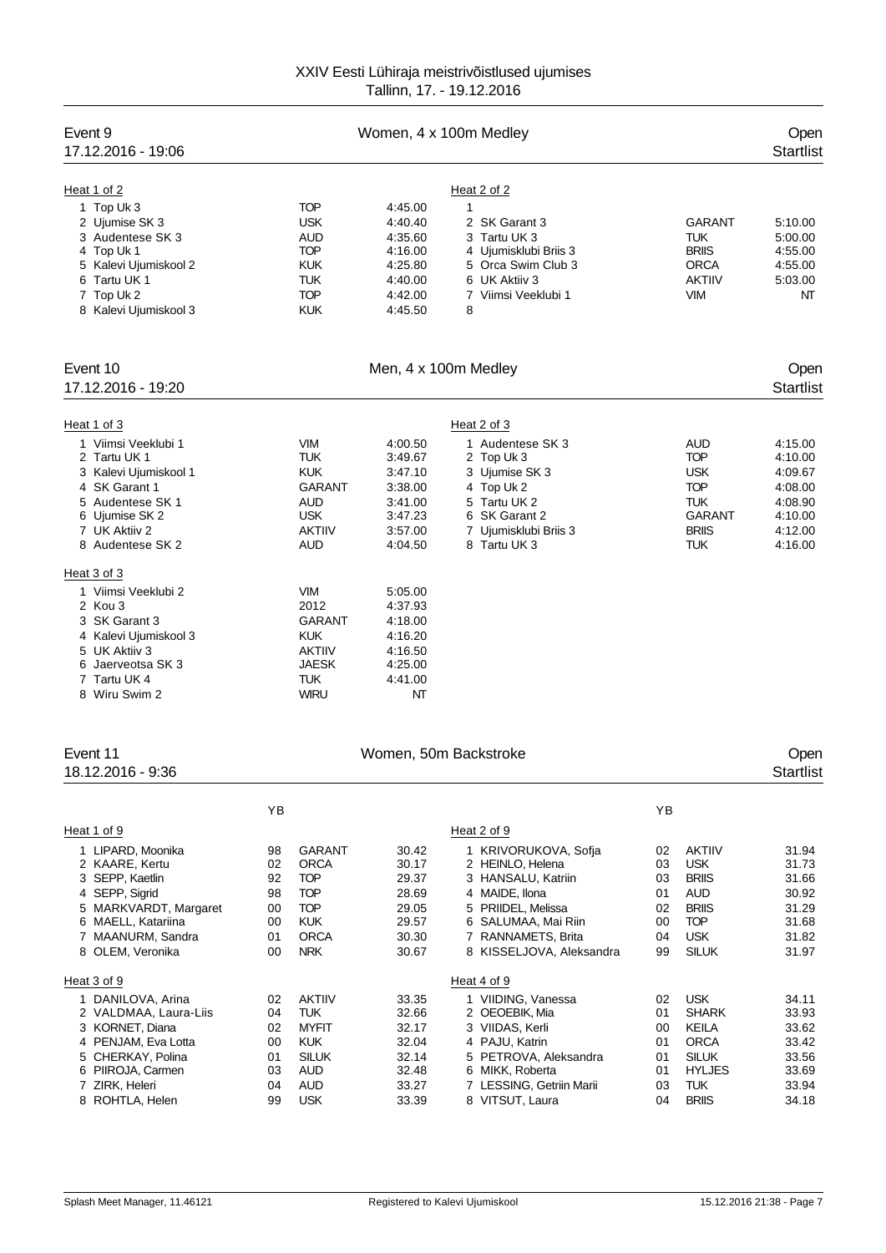| Event 9<br>17.12.2016 - 19:06            |          |                              |                      | Women, 4 x 100m Medley                   |          |                             | Open<br><b>Startlist</b> |
|------------------------------------------|----------|------------------------------|----------------------|------------------------------------------|----------|-----------------------------|--------------------------|
|                                          |          |                              |                      |                                          |          |                             |                          |
| Heat 1 of 2                              |          |                              |                      | Heat 2 of 2                              |          |                             |                          |
| 1 Top Uk 3                               |          | <b>TOP</b>                   | 4:45.00              | 1                                        |          |                             |                          |
| 2 Ujumise SK 3                           |          | <b>USK</b>                   | 4:40.40              | 2 SK Garant 3                            |          | <b>GARANT</b>               | 5:10.00                  |
| 3 Audentese SK 3<br>4 Top Uk 1           |          | <b>AUD</b><br><b>TOP</b>     | 4:35.60<br>4:16.00   | 3 Tartu UK 3<br>4 Ujumisklubi Briis 3    |          | <b>TUK</b><br><b>BRIIS</b>  | 5:00.00<br>4:55.00       |
| 5 Kalevi Ujumiskool 2                    |          | <b>KUK</b>                   | 4:25.80              | 5 Orca Swim Club 3                       |          | <b>ORCA</b>                 | 4:55.00                  |
| 6 Tartu UK 1                             |          | TUK                          | 4:40.00              | 6 UK Aktiiv 3                            |          | <b>AKTIIV</b>               | 5:03.00                  |
| 7 Top Uk 2                               |          | <b>TOP</b>                   | 4:42.00              | 7 Viimsi Veeklubi 1                      |          | VIM                         | NT                       |
| 8 Kalevi Ujumiskool 3                    |          | <b>KUK</b>                   | 4:45.50              | 8                                        |          |                             |                          |
| Event 10                                 |          |                              | Men, 4 x 100m Medley |                                          |          |                             | Open                     |
| 17.12.2016 - 19:20                       |          |                              |                      |                                          |          |                             | <b>Startlist</b>         |
| Heat 1 of 3                              |          |                              |                      | Heat 2 of 3                              |          |                             |                          |
| 1 Viimsi Veeklubi 1                      |          | VIM                          | 4:00.50              | 1 Audentese SK 3                         |          | <b>AUD</b>                  | 4:15.00                  |
| 2 Tartu UK 1                             |          | TUK                          | 3:49.67              | 2 Top Uk 3                               |          | <b>TOP</b>                  | 4:10.00                  |
| 3 Kalevi Ujumiskool 1                    |          | <b>KUK</b>                   | 3:47.10              | 3 Ujumise SK 3                           |          | <b>USK</b>                  | 4:09.67                  |
| 4 SK Garant 1<br>5 Audentese SK 1        |          | GARANT<br>AUD                | 3:38.00<br>3:41.00   | 4 Top Uk 2<br>5 Tartu UK 2               |          | <b>TOP</b><br><b>TUK</b>    | 4:08.00<br>4:08.90       |
| 6 Ujumise SK 2                           |          | <b>USK</b>                   | 3:47.23              | 6 SK Garant 2                            |          | <b>GARANT</b>               | 4:10.00                  |
| 7 UK Aktiiv 2                            |          | <b>AKTIIV</b>                | 3:57.00              | 7 Ujumisklubi Briis 3                    |          | <b>BRIIS</b>                | 4:12.00                  |
| 8 Audentese SK 2                         |          | <b>AUD</b>                   | 4:04.50              | 8 Tartu UK 3                             |          | TUK                         | 4:16.00                  |
| Heat 3 of 3                              |          |                              |                      |                                          |          |                             |                          |
| 1 Viimsi Veeklubi 2                      |          | VIM                          | 5:05.00              |                                          |          |                             |                          |
| 2 Kou 3                                  |          | 2012                         | 4:37.93              |                                          |          |                             |                          |
| 3 SK Garant 3                            |          | GARANT                       | 4:18.00              |                                          |          |                             |                          |
| 4 Kalevi Ujumiskool 3                    |          | <b>KUK</b>                   | 4:16.20              |                                          |          |                             |                          |
| 5 UK Aktiiv 3<br>6 Jaerveotsa SK 3       |          | <b>AKTIIV</b><br>JAESK       | 4:16.50<br>4:25.00   |                                          |          |                             |                          |
| 7 Tartu UK 4                             |          | TUK                          | 4:41.00              |                                          |          |                             |                          |
| 8 Wiru Swim 2                            |          | <b>WIRU</b>                  | NT                   |                                          |          |                             |                          |
| Event 11                                 |          |                              |                      | Women, 50m Backstroke                    |          |                             | Open                     |
| 18.12.2016 - 9:36                        |          |                              |                      |                                          |          |                             | Startlist                |
|                                          |          |                              |                      |                                          |          |                             |                          |
| Heat 1 of 9                              | YB       |                              |                      | Heat 2 of 9                              | ΥB       |                             |                          |
|                                          |          |                              |                      |                                          |          |                             |                          |
| 1 LIPARD, Moonika<br>2 KAARE, Kertu      | 98<br>02 | <b>GARANT</b><br><b>ORCA</b> | 30.42<br>30.17       | 1 KRIVORUKOVA, Sofja<br>2 HEINLO, Helena | 02<br>03 | <b>AKTIIV</b><br><b>USK</b> | 31.94<br>31.73           |
| 3 SEPP, Kaetlin                          | 92       | <b>TOP</b>                   | 29.37                | 3 HANSALU, Katriin                       | 03       | <b>BRIIS</b>                | 31.66                    |
| 4 SEPP, Sigrid                           | 98       | <b>TOP</b>                   | 28.69                | 4 MAIDE, Ilona                           | 01       | AUD                         | 30.92                    |
| 5 MARKVARDT, Margaret                    | 00       | <b>TOP</b>                   | 29.05                | 5 PRIIDEL, Melissa                       | 02       | <b>BRIIS</b>                | 31.29                    |
| 6 MAELL, Katariina                       | 00       | <b>KUK</b>                   | 29.57                | 6 SALUMAA, Mai Riin                      | 00       | <b>TOP</b>                  | 31.68                    |
| 7 MAANURM, Sandra                        | 01       | <b>ORCA</b>                  | 30.30                | 7 RANNAMETS, Brita                       | 04       | <b>USK</b>                  | 31.82                    |
| 8 OLEM, Veronika                         | 00       | <b>NRK</b>                   | 30.67                | 8 KISSELJOVA, Aleksandra                 | 99       | <b>SILUK</b>                | 31.97                    |
| Heat 3 of 9                              |          |                              |                      | Heat 4 of 9                              |          |                             |                          |
| 1 DANILOVA, Arina                        | 02       | <b>AKTIIV</b>                | 33.35                | 1 VIIDING, Vanessa                       | 02       | <b>USK</b>                  | 34.11                    |
| 2 VALDMAA, Laura-Liis<br>3 KORNET, Diana | 04<br>02 | <b>TUK</b><br><b>MYFIT</b>   | 32.66<br>32.17       | 2 OEOEBIK, Mia<br>3 VIIDAS, Kerli        | 01<br>00 | <b>SHARK</b><br>KEILA       | 33.93<br>33.62           |
| 4 PENJAM, Eva Lotta                      | 00       | <b>KUK</b>                   | 32.04                | 4 PAJU, Katrin                           | 01       | <b>ORCA</b>                 | 33.42                    |
| 5 CHERKAY, Polina                        | 01       | <b>SILUK</b>                 | 32.14                | 5 PETROVA, Aleksandra                    | 01       | <b>SILUK</b>                | 33.56                    |
| 6 PIIROJA, Carmen                        | 03       | AUD                          | 32.48                | 6 MIKK, Roberta                          | 01       | <b>HYLJES</b>               | 33.69                    |
| 7 ZIRK, Heleri                           | 04       | <b>AUD</b>                   | 33.27                | 7 LESSING, Getriin Marii                 | 03       | TUK                         | 33.94                    |
| 8 ROHTLA, Helen                          | 99       | <b>USK</b>                   | 33.39                | 8 VITSUT, Laura                          | 04       | <b>BRIIS</b>                | 34.18                    |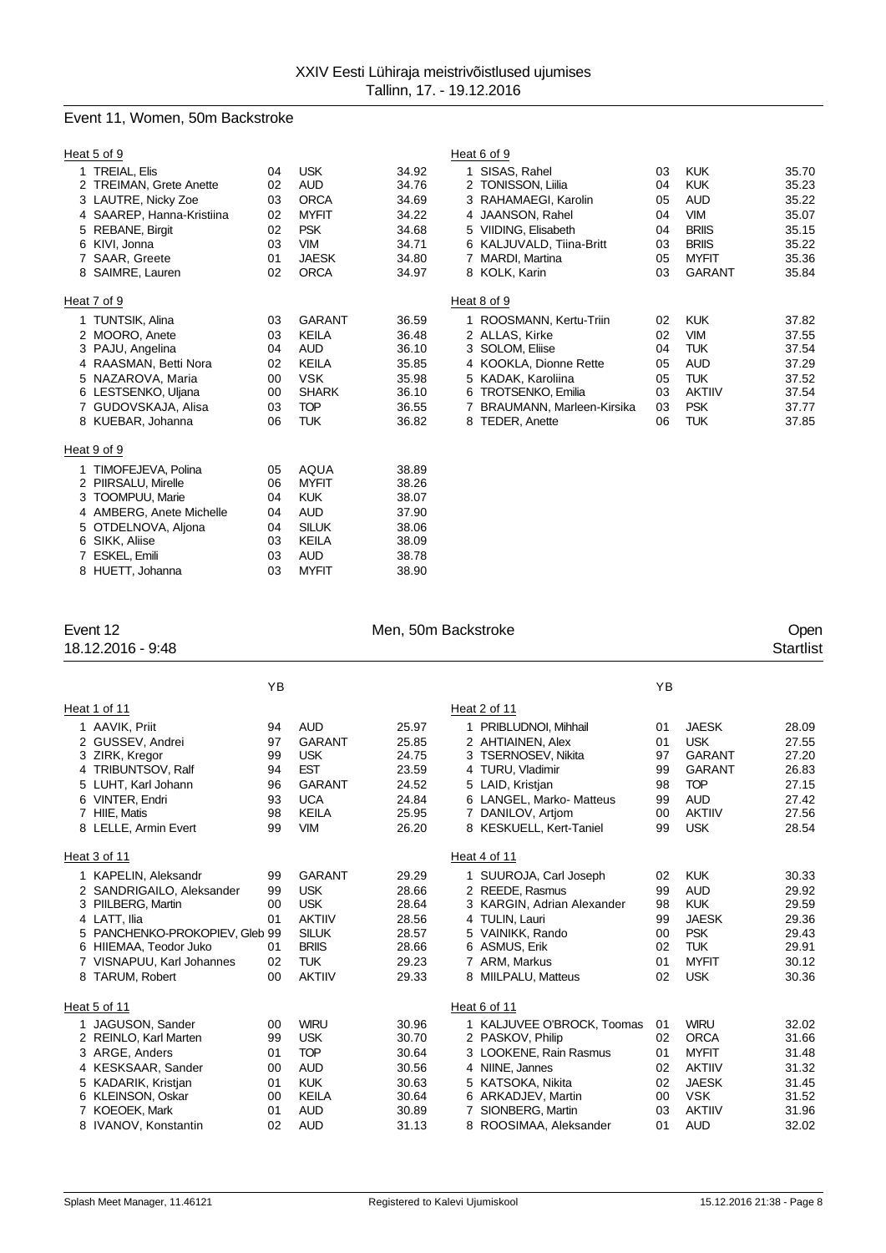## Event 11, Women, 50m Backstroke

|   | Heat 5 of 9                                                                                                                                                                   |                                              |                                                                                                                       |                                                                      | Heat 6 of 9                                                                                                                                                                                                                                                                                                                                               |                                                                      |
|---|-------------------------------------------------------------------------------------------------------------------------------------------------------------------------------|----------------------------------------------|-----------------------------------------------------------------------------------------------------------------------|----------------------------------------------------------------------|-----------------------------------------------------------------------------------------------------------------------------------------------------------------------------------------------------------------------------------------------------------------------------------------------------------------------------------------------------------|----------------------------------------------------------------------|
|   | <b>TREIAL, Elis</b><br>2 TREIMAN, Grete Anette<br>3 LAUTRE, Nicky Zoe<br>4 SAAREP, Hanna-Kristiina<br>5 REBANE, Birgit<br>6 KIVI. Jonna<br>7 SAAR, Greete<br>8 SAIMRE, Lauren | 04<br>02<br>03<br>02<br>02<br>03<br>01<br>02 | <b>USK</b><br><b>AUD</b><br><b>ORCA</b><br><b>MYFIT</b><br><b>PSK</b><br><b>VIM</b><br><b>JAESK</b><br><b>ORCA</b>    | 34.92<br>34.76<br>34.69<br>34.22<br>34.68<br>34.71<br>34.80<br>34.97 | SISAS, Rahel<br><b>KUK</b><br>03<br>1<br><b>KUK</b><br>2 TONISSON, Liilia<br>04<br>3 RAHAMAEGI, Karolin<br>AUD<br>05<br>4 JAANSON, Rahel<br><b>VIM</b><br>04<br><b>BRIIS</b><br>5 VIIDING, Elisabeth<br>04<br><b>BRIIS</b><br>6 KALJUVALD, Tiina-Britt<br>03<br><b>MYFIT</b><br>7 MARDI, Martina<br>05<br>8 KOLK, Karin<br><b>GARANT</b><br>03            | 35.70<br>35.23<br>35.22<br>35.07<br>35.15<br>35.22<br>35.36<br>35.84 |
|   | Heat 7 of 9                                                                                                                                                                   |                                              |                                                                                                                       |                                                                      | Heat 8 of 9                                                                                                                                                                                                                                                                                                                                               |                                                                      |
|   | <b>TUNTSIK, Alina</b><br>2 MOORO, Anete<br>3 PAJU, Angelina<br>RAASMAN, Betti Nora<br>5 NAZAROVA, Maria<br>6 LESTSENKO, Uljana<br>7 GUDOVSKAJA, Alisa<br>8 KUEBAR, Johanna    | 03<br>03<br>04<br>02<br>00<br>00<br>03<br>06 | <b>GARANT</b><br>KEILA<br>AUD<br><b>KEILA</b><br><b>VSK</b><br><b>SHARK</b><br><b>TOP</b><br><b>TUK</b>               | 36.59<br>36.48<br>36.10<br>35.85<br>35.98<br>36.10<br>36.55<br>36.82 | ROOSMANN, Kertu-Triin<br><b>KUK</b><br>02<br>2 ALLAS, Kirke<br>02<br><b>VIM</b><br><b>TUK</b><br>3 SOLOM, Eliise<br>04<br><b>AUD</b><br>4 KOOKLA, Dionne Rette<br>05<br><b>TUK</b><br>5 KADAK, Karoliina<br>05<br>6 TROTSENKO, Emilia<br><b>AKTIIV</b><br>03<br><b>PSK</b><br>BRAUMANN, Marleen-Kirsika<br>03<br>7<br>8 TEDER, Anette<br><b>TUK</b><br>06 | 37.82<br>37.55<br>37.54<br>37.29<br>37.52<br>37.54<br>37.77<br>37.85 |
|   | Heat 9 of 9                                                                                                                                                                   |                                              |                                                                                                                       |                                                                      |                                                                                                                                                                                                                                                                                                                                                           |                                                                      |
| 5 | TIMOFEJEVA, Polina<br>2 PIIRSALU, Mirelle<br><b>TOOMPUU, Marie</b><br>4 AMBERG, Anete Michelle<br>OTDELNOVA, Aljona<br>6 SIKK, Aliise<br>ESKEL, Emili<br>8 HUETT, Johanna     | 05<br>06<br>04<br>04<br>04<br>03<br>03<br>03 | <b>AQUA</b><br><b>MYFIT</b><br><b>KUK</b><br><b>AUD</b><br><b>SILUK</b><br><b>KEILA</b><br><b>AUD</b><br><b>MYFIT</b> | 38.89<br>38.26<br>38.07<br>37.90<br>38.06<br>38.09<br>38.78<br>38.90 |                                                                                                                                                                                                                                                                                                                                                           |                                                                      |

18.12.2016 - 9:48

8 HUETT, Johanna

# Event 12 Communication of the Men, 50m Backstroke Communication of the Open Communication of the Men, 50m Backstroke Communication of the Startlist<br>
18.12.2016 - 9:48

|   |                              | ΥB |               |       |                            | YB |               |       |
|---|------------------------------|----|---------------|-------|----------------------------|----|---------------|-------|
|   | Heat 1 of 11                 |    |               |       | Heat 2 of 11               |    |               |       |
|   | 1 AAVIK, Priit               | 94 | <b>AUD</b>    | 25.97 | 1 PRIBLUDNOI, Mihhail      | 01 | <b>JAESK</b>  | 28.09 |
|   | 2 GUSSEV, Andrei             | 97 | <b>GARANT</b> | 25.85 | 2 AHTIAINEN, Alex          | 01 | <b>USK</b>    | 27.55 |
| 3 | ZIRK, Kregor                 | 99 | <b>USK</b>    | 24.75 | 3 TSERNOSEV, Nikita        | 97 | <b>GARANT</b> | 27.20 |
| 4 | <b>TRIBUNTSOV, Ralf</b>      | 94 | <b>EST</b>    | 23.59 | 4 TURU, Vladimir           | 99 | <b>GARANT</b> | 26.83 |
|   | LUHT. Karl Johann            | 96 | <b>GARANT</b> | 24.52 | 5 LAID, Kristjan           | 98 | <b>TOP</b>    | 27.15 |
| 6 | VINTER, Endri                | 93 | <b>UCA</b>    | 24.84 | 6 LANGEL, Marko- Matteus   | 99 | <b>AUD</b>    | 27.42 |
|   | HIIE, Matis                  | 98 | <b>KEILA</b>  | 25.95 | 7 DANILOV, Artjom          | 00 | <b>AKTIIV</b> | 27.56 |
|   | 8 LELLE, Armin Evert         | 99 | <b>VIM</b>    | 26.20 | 8 KESKUELL, Kert-Taniel    | 99 | <b>USK</b>    | 28.54 |
|   | Heat 3 of 11                 |    |               |       | Heat 4 of 11               |    |               |       |
|   | 1 KAPELIN, Aleksandr         | 99 | <b>GARANT</b> | 29.29 | 1 SUUROJA, Carl Joseph     | 02 | <b>KUK</b>    | 30.33 |
|   | 2 SANDRIGAILO, Aleksander    | 99 | <b>USK</b>    | 28.66 | 2 REEDE, Rasmus            | 99 | <b>AUD</b>    | 29.92 |
| 3 | PIILBERG, Martin             | 00 | <b>USK</b>    | 28.64 | 3 KARGIN, Adrian Alexander | 98 | <b>KUK</b>    | 29.59 |
|   | 4 LATT, Ilia                 | 01 | <b>AKTIIV</b> | 28.56 | 4 TULIN, Lauri             | 99 | <b>JAESK</b>  | 29.36 |
|   | PANCHENKO-PROKOPIEV, Gleb 99 |    | <b>SILUK</b>  | 28.57 | 5 VAINIKK, Rando           | 00 | <b>PSK</b>    | 29.43 |
| 6 | HIIEMAA, Teodor Juko         | 01 | <b>BRIIS</b>  | 28.66 | 6 ASMUS, Erik              | 02 | <b>TUK</b>    | 29.91 |
|   | VISNAPUU, Karl Johannes      | 02 | <b>TUK</b>    | 29.23 | 7 ARM, Markus              | 01 | <b>MYFIT</b>  | 30.12 |
| 8 | TARUM, Robert                | 00 | <b>AKTIIV</b> | 29.33 | 8 MIILPALU, Matteus        | 02 | <b>USK</b>    | 30.36 |
|   | Heat 5 of 11                 |    |               |       | Heat 6 of 11               |    |               |       |
|   | 1 JAGUSON, Sander            | 00 | <b>WIRU</b>   | 30.96 | 1 KALJUVEE O'BROCK, Toomas | 01 | <b>WIRU</b>   | 32.02 |
|   | 2 REINLO, Karl Marten        | 99 | <b>USK</b>    | 30.70 | 2 PASKOV, Philip           | 02 | <b>ORCA</b>   | 31.66 |
| 3 | ARGE, Anders                 | 01 | <b>TOP</b>    | 30.64 | 3 LOOKENE, Rain Rasmus     | 01 | <b>MYFIT</b>  | 31.48 |
| 4 | <b>KESKSAAR, Sander</b>      | 00 | <b>AUD</b>    | 30.56 | 4 NIINE, Jannes            | 02 | <b>AKTIIV</b> | 31.32 |
|   | KADARIK, Kristjan            | 01 | <b>KUK</b>    | 30.63 | 5 KATSOKA, Nikita          | 02 | <b>JAESK</b>  | 31.45 |
| 6 | KLEINSON, Oskar              | 00 | <b>KEILA</b>  | 30.64 | 6 ARKADJEV, Martin         | 00 | <b>VSK</b>    | 31.52 |
|   | <b>KOEOEK, Mark</b>          | 01 | <b>AUD</b>    | 30.89 | 7 SIONBERG, Martin         | 03 | <b>AKTIIV</b> | 31.96 |
|   | 8 IVANOV, Konstantin         | 02 | <b>AUD</b>    | 31.13 | 8 ROOSIMAA, Aleksander     | 01 | <b>AUD</b>    | 32.02 |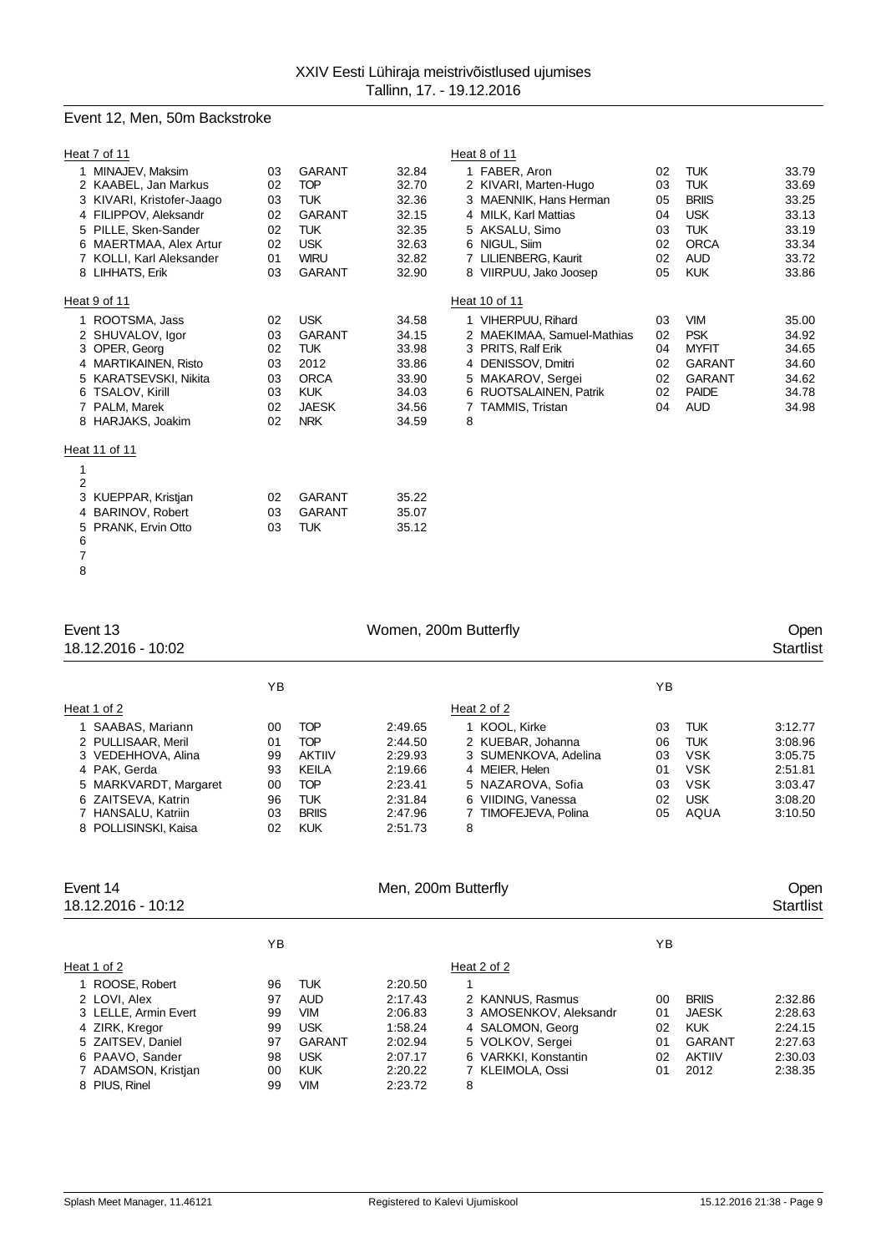## Event 12, Men, 50m Backstroke

|                | Heat 7 of 11              |    |               |       |   | Heat 8 of 11               |    |               |       |
|----------------|---------------------------|----|---------------|-------|---|----------------------------|----|---------------|-------|
|                | 1 MINAJEV, Maksim         | 03 | <b>GARANT</b> | 32.84 |   | 1 FABER, Aron              | 02 | <b>TUK</b>    | 33.79 |
|                | 2 KAABEL, Jan Markus      | 02 | <b>TOP</b>    | 32.70 |   | 2 KIVARI, Marten-Hugo      | 03 | <b>TUK</b>    | 33.69 |
|                | 3 KIVARI, Kristofer-Jaago | 03 | <b>TUK</b>    | 32.36 |   | 3 MAENNIK, Hans Herman     | 05 | <b>BRIIS</b>  | 33.25 |
|                | 4 FILIPPOV, Aleksandr     | 02 | <b>GARANT</b> | 32.15 |   | 4 MILK, Karl Mattias       | 04 | <b>USK</b>    | 33.13 |
|                | 5 PILLE, Sken-Sander      | 02 | <b>TUK</b>    | 32.35 |   | 5 AKSALU, Simo             | 03 | <b>TUK</b>    | 33.19 |
|                | 6 MAERTMAA, Alex Artur    | 02 | <b>USK</b>    | 32.63 |   | 6 NIGUL, Siim              | 02 | <b>ORCA</b>   | 33.34 |
|                | 7 KOLLI, Karl Aleksander  | 01 | <b>WIRU</b>   | 32.82 |   | 7 LILIENBERG, Kaurit       | 02 | <b>AUD</b>    | 33.72 |
|                | 8 LIHHATS, Erik           | 03 | <b>GARANT</b> | 32.90 |   | 8 VIIRPUU, Jako Joosep     | 05 | <b>KUK</b>    | 33.86 |
|                | Heat 9 of 11              |    |               |       |   | Heat 10 of 11              |    |               |       |
|                | 1 ROOTSMA, Jass           | 02 | <b>USK</b>    | 34.58 |   | 1 VIHERPUU, Rihard         | 03 | <b>VIM</b>    | 35.00 |
|                | 2 SHUVALOV, laor          | 03 | <b>GARANT</b> | 34.15 |   | 2 MAEKIMAA, Samuel-Mathias | 02 | <b>PSK</b>    | 34.92 |
|                | 3 OPER, Georg             | 02 | <b>TUK</b>    | 33.98 |   | 3 PRITS, Ralf Erik         | 04 | <b>MYFIT</b>  | 34.65 |
|                | 4 MARTIKAINEN, Risto      | 03 | 2012          | 33.86 |   | 4 DENISSOV, Dmitri         | 02 | <b>GARANT</b> | 34.60 |
|                | 5 KARATSEVSKI, Nikita     | 03 | <b>ORCA</b>   | 33.90 |   | 5 MAKAROV, Sergei          | 02 | <b>GARANT</b> | 34.62 |
|                | 6 TSALOV, Kirill          | 03 | <b>KUK</b>    | 34.03 |   | 6 RUOTSALAINEN, Patrik     | 02 | <b>PAIDE</b>  | 34.78 |
|                | 7 PALM, Marek             | 02 | <b>JAESK</b>  | 34.56 |   | 7 TAMMIS, Tristan          | 04 | <b>AUD</b>    | 34.98 |
|                | 8 HARJAKS, Joakim         | 02 | <b>NRK</b>    | 34.59 | 8 |                            |    |               |       |
|                | Heat 11 of 11             |    |               |       |   |                            |    |               |       |
| 1              |                           |    |               |       |   |                            |    |               |       |
| $\overline{2}$ |                           |    |               |       |   |                            |    |               |       |
|                | 3 KUEPPAR, Kristjan       | 02 | <b>GARANT</b> | 35.22 |   |                            |    |               |       |
|                | 4 BARINOV, Robert         | 03 | <b>GARANT</b> | 35.07 |   |                            |    |               |       |
| 5              | PRANK, Ervin Otto         | 03 | <b>TUK</b>    | 35.12 |   |                            |    |               |       |
| 6              |                           |    |               |       |   |                            |    |               |       |
| $\overline{7}$ |                           |    |               |       |   |                            |    |               |       |
| 8              |                           |    |               |       |   |                            |    |               |       |

| Event 13<br>18.12.2016 - 10:02                                                                                                                                              |                                              |                                                                                                                     | Women, 200m Butterfly                                                                |                                                                                                                                                      |                                        |                                                                                          | Open<br><b>Startlist</b>                                                  |
|-----------------------------------------------------------------------------------------------------------------------------------------------------------------------------|----------------------------------------------|---------------------------------------------------------------------------------------------------------------------|--------------------------------------------------------------------------------------|------------------------------------------------------------------------------------------------------------------------------------------------------|----------------------------------------|------------------------------------------------------------------------------------------|---------------------------------------------------------------------------|
|                                                                                                                                                                             | YB                                           |                                                                                                                     |                                                                                      |                                                                                                                                                      | YB                                     |                                                                                          |                                                                           |
| Heat 1 of 2                                                                                                                                                                 |                                              |                                                                                                                     |                                                                                      | Heat 2 of 2                                                                                                                                          |                                        |                                                                                          |                                                                           |
| 1 SAABAS, Mariann<br>2 PULLISAAR, Meril<br>3 VEDEHHOVA, Alina<br>4 PAK, Gerda<br>MARKVARDT, Margaret<br>ZAITSEVA, Katrin<br>6<br>7 HANSALU, Katriin<br>8 POLLISINSKI, Kaisa | 00<br>01<br>99<br>93<br>00<br>96<br>03<br>02 | <b>TOP</b><br><b>TOP</b><br><b>AKTIIV</b><br><b>KEILA</b><br><b>TOP</b><br><b>TUK</b><br><b>BRIIS</b><br><b>KUK</b> | 2:49.65<br>2:44.50<br>2:29.93<br>2:19.66<br>2:23.41<br>2:31.84<br>2:47.96<br>2:51.73 | 1 KOOL, Kirke<br>2 KUEBAR, Johanna<br>3 SUMENKOVA, Adelina<br>4 MEIER, Helen<br>5 NAZAROVA, Sofia<br>6 VIIDING, Vanessa<br>7 TIMOFEJEVA, Polina<br>8 | 03<br>06<br>03<br>01<br>03<br>02<br>05 | <b>TUK</b><br><b>TUK</b><br><b>VSK</b><br><b>VSK</b><br><b>VSK</b><br><b>USK</b><br>AQUA | 3:12.77<br>3:08.96<br>3:05.75<br>2:51.81<br>3:03.47<br>3:08.20<br>3:10.50 |
| Event 14<br>18.12.2016 - 10:12                                                                                                                                              |                                              |                                                                                                                     | Men, 200m Butterfly                                                                  |                                                                                                                                                      |                                        |                                                                                          | Open<br><b>Startlist</b>                                                  |
|                                                                                                                                                                             | ΥB                                           |                                                                                                                     |                                                                                      |                                                                                                                                                      | ΥB                                     |                                                                                          |                                                                           |
| Heat 1 of 2                                                                                                                                                                 |                                              |                                                                                                                     |                                                                                      | Heat 2 of 2                                                                                                                                          |                                        |                                                                                          |                                                                           |
| 1 ROOSE, Robert<br>2 LOVI, Alex<br>3 LELLE, Armin Evert                                                                                                                     | 96<br>97<br>99                               | <b>TUK</b><br><b>AUD</b><br><b>VIM</b>                                                                              | 2:20.50<br>2:17.43<br>2:06.83                                                        | 2 KANNUS, Rasmus<br>3 AMOSENKOV, Aleksandr                                                                                                           | 00<br>01                               | <b>BRIIS</b><br><b>JAESK</b>                                                             | 2:32.86<br>2:28.63                                                        |

 ZIRK, Kregor 99 USK 1:58.24 4 SALOMON, Georg 02 KUK 2:24.15 ZAITSEV, Daniel 97 GARANT 2:02.94 5 VOLKOV, Sergei 01 GARANT 2:27.63 PAAVO, Sander 98 USK 2:07.17 6 VARKKI, Konstantin 02 AKTIIV 2:30.03 7 ADAMSON, Kristjan 00 KUK 2:20.22<br>8 PIUS, Rinel 99 VIM 2:23.72 PIUS, Rinel 99 VIM 2:23.72 8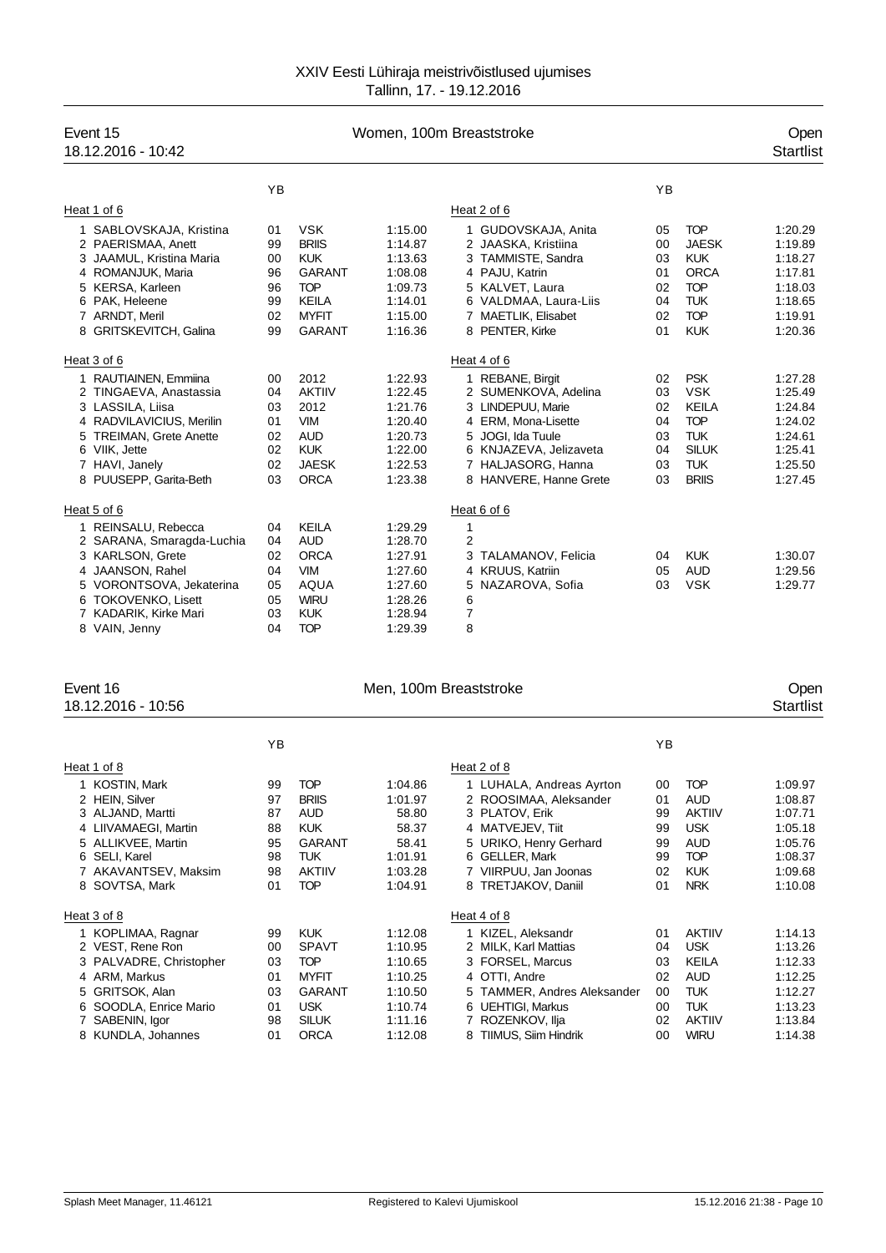| Event 15<br>18.12.2016 - 10:42 | Women, 100m Breaststroke |               |         |                            |    |              |         |  |  |
|--------------------------------|--------------------------|---------------|---------|----------------------------|----|--------------|---------|--|--|
|                                | YB                       |               |         |                            | YB |              |         |  |  |
| Heat 1 of 6                    |                          |               |         | Heat 2 of 6                |    |              |         |  |  |
| 1 SABLOVSKAJA, Kristina        | 01                       | <b>VSK</b>    | 1:15.00 | 1 GUDOVSKAJA, Anita        | 05 | <b>TOP</b>   | 1:20.29 |  |  |
| 2 PAERISMAA, Anett             | 99                       | <b>BRIIS</b>  | 1:14.87 | 2 JAASKA, Kristiina        | 00 | <b>JAESK</b> | 1:19.89 |  |  |
| JAAMUL, Kristina Maria<br>3    | 00                       | <b>KUK</b>    | 1:13.63 | 3 TAMMISTE, Sandra         | 03 | <b>KUK</b>   | 1:18.27 |  |  |
| 4 ROMANJUK, Maria              | 96                       | <b>GARANT</b> | 1:08.08 | 4 PAJU, Katrin             | 01 | <b>ORCA</b>  | 1:17.81 |  |  |
| KERSA, Karleen<br>5            | 96                       | <b>TOP</b>    | 1:09.73 | 5 KALVET, Laura            | 02 | <b>TOP</b>   | 1:18.03 |  |  |
| 6 PAK, Heleene                 | 99                       | <b>KEILA</b>  | 1:14.01 | 6 VALDMAA, Laura-Liis      | 04 | <b>TUK</b>   | 1:18.65 |  |  |
| 7 ARNDT, Meril                 | 02                       | <b>MYFIT</b>  | 1:15.00 | 7 MAETLIK, Elisabet        | 02 | <b>TOP</b>   | 1:19.91 |  |  |
| 8 GRITSKEVITCH, Galina         | 99                       | <b>GARANT</b> | 1:16.36 | 8 PENTER, Kirke            | 01 | <b>KUK</b>   | 1:20.36 |  |  |
| Heat 3 of 6                    |                          |               |         | Heat 4 of 6                |    |              |         |  |  |
| 1 RAUTIAINEN, Emmiina          | $00 \,$                  | 2012          | 1:22.93 | 1 REBANE, Birgit           | 02 | <b>PSK</b>   | 1:27.28 |  |  |
| 2 TINGAEVA, Anastassia         | 04                       | <b>AKTIIV</b> | 1:22.45 | 2 SUMENKOVA, Adelina       | 03 | <b>VSK</b>   | 1:25.49 |  |  |
| 3 LASSILA, Liisa               | 03                       | 2012          | 1:21.76 | LINDEPUU, Marie<br>3       | 02 | <b>KEILA</b> | 1:24.84 |  |  |
| 4 RADVILAVICIUS, Merilin       | 01                       | <b>VIM</b>    | 1:20.40 | 4 ERM, Mona-Lisette        | 04 | <b>TOP</b>   | 1:24.02 |  |  |
| 5 TREIMAN, Grete Anette        | 02                       | <b>AUD</b>    | 1:20.73 | 5 JOGI, Ida Tuule          | 03 | <b>TUK</b>   | 1:24.61 |  |  |
| 6 VIIK, Jette                  | 02                       | <b>KUK</b>    | 1:22.00 | 6 KNJAZEVA, Jelizaveta     | 04 | <b>SILUK</b> | 1:25.41 |  |  |
| 7 HAVI, Janely                 | 02                       | <b>JAESK</b>  | 1:22.53 | 7 HALJASORG, Hanna         | 03 | <b>TUK</b>   | 1:25.50 |  |  |
| 8 PUUSEPP, Garita-Beth         | 03                       | <b>ORCA</b>   | 1:23.38 | 8 HANVERE, Hanne Grete     | 03 | <b>BRIIS</b> | 1:27.45 |  |  |
| Heat 5 of 6                    |                          |               |         | Heat 6 of 6                |    |              |         |  |  |
| 1 REINSALU, Rebecca            | 04                       | <b>KEILA</b>  | 1:29.29 | 1                          |    |              |         |  |  |
| 2 SARANA, Smaragda-Luchia      | 04                       | <b>AUD</b>    | 1:28.70 | $\overline{2}$             |    |              |         |  |  |
| 3 KARLSON, Grete               | 02                       | <b>ORCA</b>   | 1:27.91 | TALAMANOV, Felicia<br>3    | 04 | <b>KUK</b>   | 1:30.07 |  |  |
| 4 JAANSON, Rahel               | 04                       | <b>VIM</b>    | 1:27.60 | <b>KRUUS, Katriin</b><br>4 | 05 | <b>AUD</b>   | 1:29.56 |  |  |
| 5 VORONTSOVA, Jekaterina       | 05                       | <b>AQUA</b>   | 1:27.60 | 5<br>NAZAROVA, Sofia       | 03 | <b>VSK</b>   | 1:29.77 |  |  |
| 6 TOKOVENKO, Lisett            | 05                       | <b>WIRU</b>   | 1:28.26 | 6                          |    |              |         |  |  |
| 7 KADARIK, Kirke Mari          | 03                       | <b>KUK</b>    | 1:28.94 | 7                          |    |              |         |  |  |
| 8 VAIN, Jenny                  | 04                       | <b>TOP</b>    | 1:29.39 | 8                          |    |              |         |  |  |
|                                |                          |               |         |                            |    |              |         |  |  |

| Event 16<br>18.12.2016 - 10:56                                                                                                                                |                                              |                                                                                                                | Men, 100m Breaststroke                                                         |                                                                                                                                                                                      |                                              |                                                                                                                 | Open<br>Startlist                                                                    |
|---------------------------------------------------------------------------------------------------------------------------------------------------------------|----------------------------------------------|----------------------------------------------------------------------------------------------------------------|--------------------------------------------------------------------------------|--------------------------------------------------------------------------------------------------------------------------------------------------------------------------------------|----------------------------------------------|-----------------------------------------------------------------------------------------------------------------|--------------------------------------------------------------------------------------|
|                                                                                                                                                               | YB                                           |                                                                                                                |                                                                                |                                                                                                                                                                                      | YB                                           |                                                                                                                 |                                                                                      |
| Heat 1 of 8                                                                                                                                                   |                                              |                                                                                                                |                                                                                | Heat 2 of 8                                                                                                                                                                          |                                              |                                                                                                                 |                                                                                      |
| 1 KOSTIN, Mark<br>2 HEIN, Silver<br>3 ALJAND, Martti<br>4 LIIVAMAEGI, Martin<br>5 ALLIKVEE, Martin<br>6 SELI, Karel<br>7 AKAVANTSEV, Maksim<br>8 SOVTSA, Mark | 99<br>97<br>87<br>88<br>95<br>98<br>98<br>01 | <b>TOP</b><br><b>BRIIS</b><br><b>AUD</b><br><b>KUK</b><br><b>GARANT</b><br>TUK.<br><b>AKTIIV</b><br><b>TOP</b> | 1:04.86<br>1:01.97<br>58.80<br>58.37<br>58.41<br>1:01.91<br>1:03.28<br>1:04.91 | 1 LUHALA, Andreas Ayrton<br>2 ROOSIMAA, Aleksander<br>3 PLATOV, Erik<br>4 MATVEJEV, Tiit<br>5 URIKO, Henry Gerhard<br>6 GELLER, Mark<br>7 VIIRPUU, Jan Joonas<br>8 TRETJAKOV, Daniil | 00<br>01<br>99<br>99<br>99<br>99<br>02<br>01 | <b>TOP</b><br><b>AUD</b><br><b>AKTIIV</b><br><b>USK</b><br><b>AUD</b><br><b>TOP</b><br><b>KUK</b><br><b>NRK</b> | 1:09.97<br>1:08.87<br>1:07.71<br>1:05.18<br>1:05.76<br>1:08.37<br>1:09.68<br>1:10.08 |
| Heat 3 of 8                                                                                                                                                   |                                              |                                                                                                                |                                                                                | Heat 4 of 8                                                                                                                                                                          |                                              |                                                                                                                 |                                                                                      |
| 1 KOPLIMAA, Ragnar<br>2 VEST, Rene Ron<br>3 PALVADRE, Christopher<br>4 ARM, Markus<br>5 GRITSOK, Alan<br>6 SOODLA, Enrice Mario                               | 99<br>00<br>03<br>01<br>03<br>01             | <b>KUK</b><br><b>SPAVT</b><br><b>TOP</b><br><b>MYFIT</b><br><b>GARANT</b><br><b>USK</b>                        | 1:12.08<br>1:10.95<br>1:10.65<br>1:10.25<br>1:10.50<br>1:10.74                 | KIZEL, Aleksandr<br>2 MILK, Karl Mattias<br>3 FORSEL, Marcus<br>4 OTTI, Andre<br>5 TAMMER, Andres Aleksander<br>6 UEHTIGI, Markus                                                    | 01<br>04<br>03<br>02<br>00<br>00             | <b>AKTIIV</b><br><b>USK</b><br><b>KEILA</b><br><b>AUD</b><br><b>TUK</b><br><b>TUK</b>                           | 1:14.13<br>1:13.26<br>1:12.33<br>1:12.25<br>1:12.27<br>1:13.23                       |
| 7 SABENIN, Igor<br>8 KUNDLA, Johannes                                                                                                                         | 98<br>01                                     | <b>SILUK</b><br><b>ORCA</b>                                                                                    | 1:11.16<br>1:12.08                                                             | 7 ROZENKOV, Ilja<br>8 TIIMUS, Siim Hindrik                                                                                                                                           | 02<br>00                                     | <b>AKTIIV</b><br><b>WIRU</b>                                                                                    | 1:13.84<br>1:14.38                                                                   |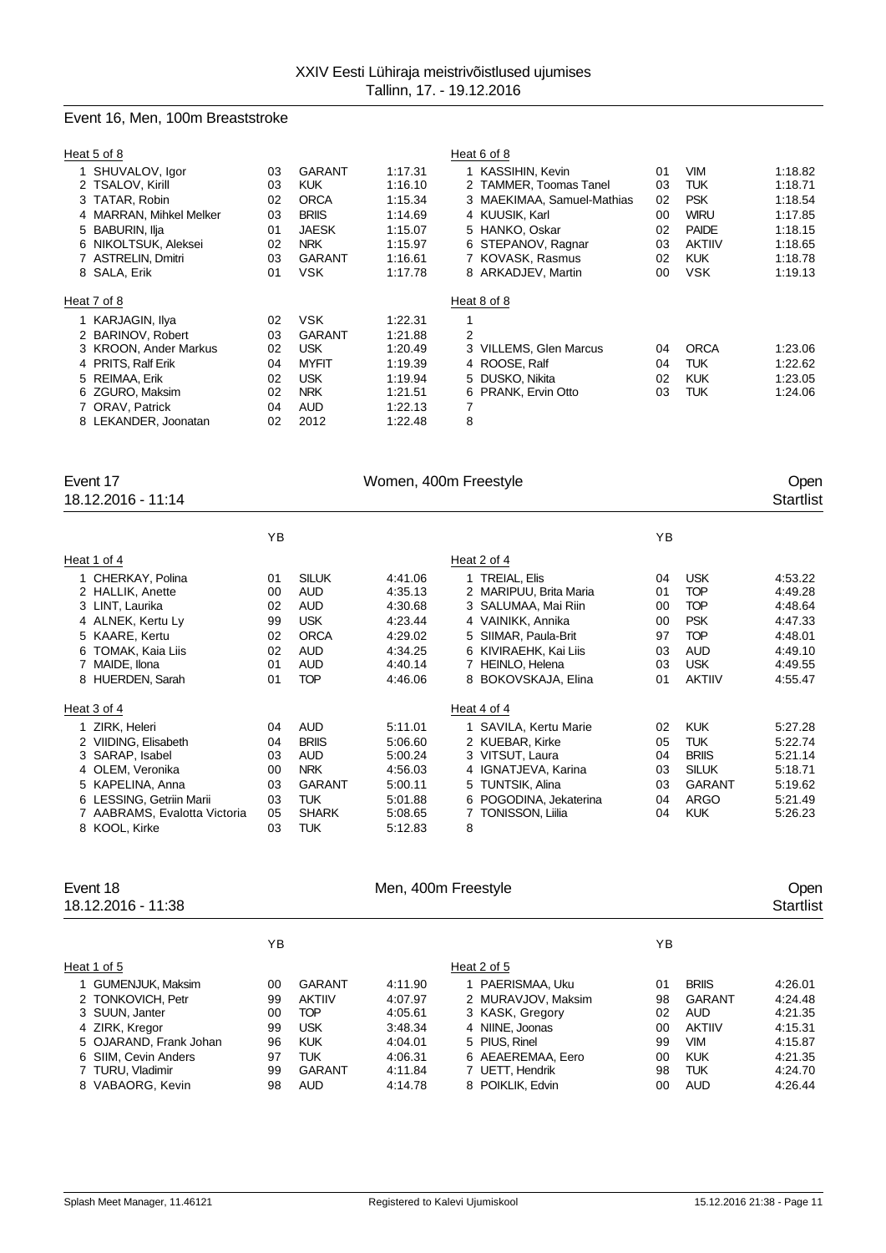# Event 16, Men, 100m Breaststroke

|                                              |                                                                                                                  |                                                                                      | Heat 6 of 8                                                                                                                                                                   |                                                   |                                                                                                                    |                                                                                      |
|----------------------------------------------|------------------------------------------------------------------------------------------------------------------|--------------------------------------------------------------------------------------|-------------------------------------------------------------------------------------------------------------------------------------------------------------------------------|---------------------------------------------------|--------------------------------------------------------------------------------------------------------------------|--------------------------------------------------------------------------------------|
| 03<br>03<br>02<br>03<br>01<br>02<br>03<br>01 | GARANT<br><b>KUK</b><br><b>ORCA</b><br><b>BRIIS</b><br><b>JAESK</b><br><b>NRK</b><br><b>GARANT</b><br><b>VSK</b> | 1:17.31<br>1:16.10<br>1:15.34<br>1:14.69<br>1:15.07<br>1:15.97<br>1:16.61<br>1:17.78 | 1 KASSIHIN, Kevin<br>2 TAMMER, Toomas Tanel<br>3 MAEKIMAA, Samuel-Mathias<br>4 KUUSIK, Karl<br>5 HANKO, Oskar<br>6 STEPANOV, Ragnar<br>7 KOVASK, Rasmus<br>8 ARKADJEV, Martin | 01<br>03<br>02<br>$00 \,$<br>02<br>03<br>02<br>00 | <b>VIM</b><br><b>TUK</b><br><b>PSK</b><br><b>WIRU</b><br><b>PAIDE</b><br><b>AKTIIV</b><br><b>KUK</b><br><b>VSK</b> | 1:18.82<br>1:18.71<br>1:18.54<br>1:17.85<br>1:18.15<br>1:18.65<br>1:18.78<br>1:19.13 |
|                                              |                                                                                                                  |                                                                                      | Heat 8 of 8                                                                                                                                                                   |                                                   |                                                                                                                    |                                                                                      |
| 02<br>03<br>02<br>04<br>02<br>02<br>04<br>02 | <b>VSK</b><br>GARANT<br><b>USK</b><br><b>MYFIT</b><br><b>USK</b><br><b>NRK</b><br><b>AUD</b><br>2012             | 1:22.31<br>1:21.88<br>1:20.49<br>1:19.39<br>1:19.94<br>1:21.51<br>1:22.13<br>1:22.48 | 2<br>3 VILLEMS, Glen Marcus<br>4 ROOSE, Ralf<br>5 DUSKO, Nikita<br>6 PRANK, Ervin Otto<br>7<br>8                                                                              | 04<br>04<br>02<br>03                              | <b>ORCA</b><br><b>TUK</b><br><b>KUK</b><br><b>TUK</b>                                                              | 1:23.06<br>1:22.62<br>1:23.05<br>1:24.06                                             |
|                                              |                                                                                                                  |                                                                                      |                                                                                                                                                                               |                                                   |                                                                                                                    |                                                                                      |

| Event 17<br>18.12.2016 - 11:14                                                                                                                                                 | Women, 400m Freestyle                        |                                                                                                                 |                                                                                      |                                                                                                                                                                                  |                                              |                                                                                                                 |                                                                                      |  |
|--------------------------------------------------------------------------------------------------------------------------------------------------------------------------------|----------------------------------------------|-----------------------------------------------------------------------------------------------------------------|--------------------------------------------------------------------------------------|----------------------------------------------------------------------------------------------------------------------------------------------------------------------------------|----------------------------------------------|-----------------------------------------------------------------------------------------------------------------|--------------------------------------------------------------------------------------|--|
|                                                                                                                                                                                | ΥB                                           |                                                                                                                 |                                                                                      |                                                                                                                                                                                  | YB                                           |                                                                                                                 |                                                                                      |  |
| Heat 1 of 4                                                                                                                                                                    |                                              |                                                                                                                 |                                                                                      | Heat 2 of 4                                                                                                                                                                      |                                              |                                                                                                                 |                                                                                      |  |
| 1 CHERKAY, Polina<br>2 HALLIK, Anette<br>3 LINT, Laurika<br>4 ALNEK, Kertu Ly<br>5 KAARE, Kertu<br>TOMAK, Kaia Liis<br>6<br>MAIDE, Ilona<br>8 HUERDEN, Sarah                   | 01<br>00<br>02<br>99<br>02<br>02<br>01<br>01 | <b>SILUK</b><br><b>AUD</b><br><b>AUD</b><br><b>USK</b><br><b>ORCA</b><br><b>AUD</b><br><b>AUD</b><br><b>TOP</b> | 4:41.06<br>4:35.13<br>4:30.68<br>4:23.44<br>4:29.02<br>4:34.25<br>4:40.14<br>4:46.06 | 1 TREIAL, Elis<br>2 MARIPUU, Brita Maria<br>3 SALUMAA, Mai Riin<br>4 VAINIKK, Annika<br>5 SIIMAR, Paula-Brit<br>6 KIVIRAEHK, Kai Liis<br>7 HEINLO, Helena<br>8 BOKOVSKAJA, Elina | 04<br>01<br>00<br>00<br>97<br>03<br>03<br>01 | <b>USK</b><br><b>TOP</b><br><b>TOP</b><br><b>PSK</b><br><b>TOP</b><br><b>AUD</b><br><b>USK</b><br><b>AKTIIV</b> | 4:53.22<br>4:49.28<br>4:48.64<br>4:47.33<br>4:48.01<br>4:49.10<br>4:49.55<br>4:55.47 |  |
| Heat 3 of 4                                                                                                                                                                    |                                              |                                                                                                                 |                                                                                      | Heat 4 of 4                                                                                                                                                                      |                                              |                                                                                                                 |                                                                                      |  |
| 1 ZIRK, Heleri<br>2 VIIDING, Elisabeth<br>3 SARAP, Isabel<br>4 OLEM, Veronika<br>5 KAPELINA, Anna<br>6 LESSING, Getriin Marii<br>7 AABRAMS, Evalotta Victoria<br>8 KOOL, Kirke | 04<br>04<br>03<br>00<br>03<br>03<br>05<br>03 | <b>AUD</b><br><b>BRIIS</b><br><b>AUD</b><br><b>NRK</b><br><b>GARANT</b><br><b>TUK</b><br><b>SHARK</b><br>TUK    | 5:11.01<br>5:06.60<br>5:00.24<br>4:56.03<br>5:00.11<br>5:01.88<br>5:08.65<br>5:12.83 | 1 SAVILA, Kertu Marie<br>2 KUEBAR, Kirke<br>3 VITSUT, Laura<br>4 IGNATJEVA, Karina<br>5 TUNTSIK, Alina<br>6 POGODINA, Jekaterina<br>7 TONISSON, Liilia<br>8                      | 02<br>05<br>04<br>03<br>03<br>04<br>04       | <b>KUK</b><br><b>TUK</b><br><b>BRIIS</b><br><b>SILUK</b><br><b>GARANT</b><br><b>ARGO</b><br><b>KUK</b>          | 5:27.28<br>5:22.74<br>5:21.14<br>5:18.71<br>5:19.62<br>5:21.49<br>5:26.23            |  |

| Event 18<br>18.12.2016 - 11:38 |    | Men, 400m Freestyle |         |                    |    |               |         |
|--------------------------------|----|---------------------|---------|--------------------|----|---------------|---------|
|                                | ΥB |                     |         |                    | YB |               |         |
| Heat 1 of 5                    |    |                     |         | Heat 2 of 5        |    |               |         |
| 1 GUMENJUK, Maksim             | 00 | GARANT              | 4:11.90 | 1 PAERISMAA, Uku   | 01 | <b>BRIIS</b>  | 4:26.01 |
| 2 TONKOVICH, Petr              | 99 | <b>AKTIIV</b>       | 4:07.97 | 2 MURAVJOV, Maksim | 98 | GARANT        | 4:24.48 |
| 3 SUUN, Janter                 | 00 | <b>TOP</b>          | 4:05.61 | 3 KASK, Gregory    | 02 | <b>AUD</b>    | 4:21.35 |
| 4 ZIRK, Kregor                 | 99 | <b>USK</b>          | 3:48.34 | 4 NIINE, Joonas    | 00 | <b>AKTIIV</b> | 4:15.31 |
| 5 OJARAND, Frank Johan         | 96 | <b>KUK</b>          | 4:04.01 | 5 PIUS, Rinel      | 99 | <b>VIM</b>    | 4:15.87 |
| 6 SIIM. Cevin Anders           | 97 | TUK                 | 4:06.31 | 6 AEAEREMAA, Eero  | 00 | <b>KUK</b>    | 4:21.35 |
| 7 TURU, Vladimir               | 99 | <b>GARANT</b>       | 4:11.84 | 7 UETT, Hendrik    | 98 | <b>TUK</b>    | 4:24.70 |
| 8 VABAORG, Kevin               | 98 | <b>AUD</b>          | 4:14.78 | 8 POIKLIK, Edvin   | 00 | <b>AUD</b>    | 4:26.44 |
|                                |    |                     |         |                    |    |               |         |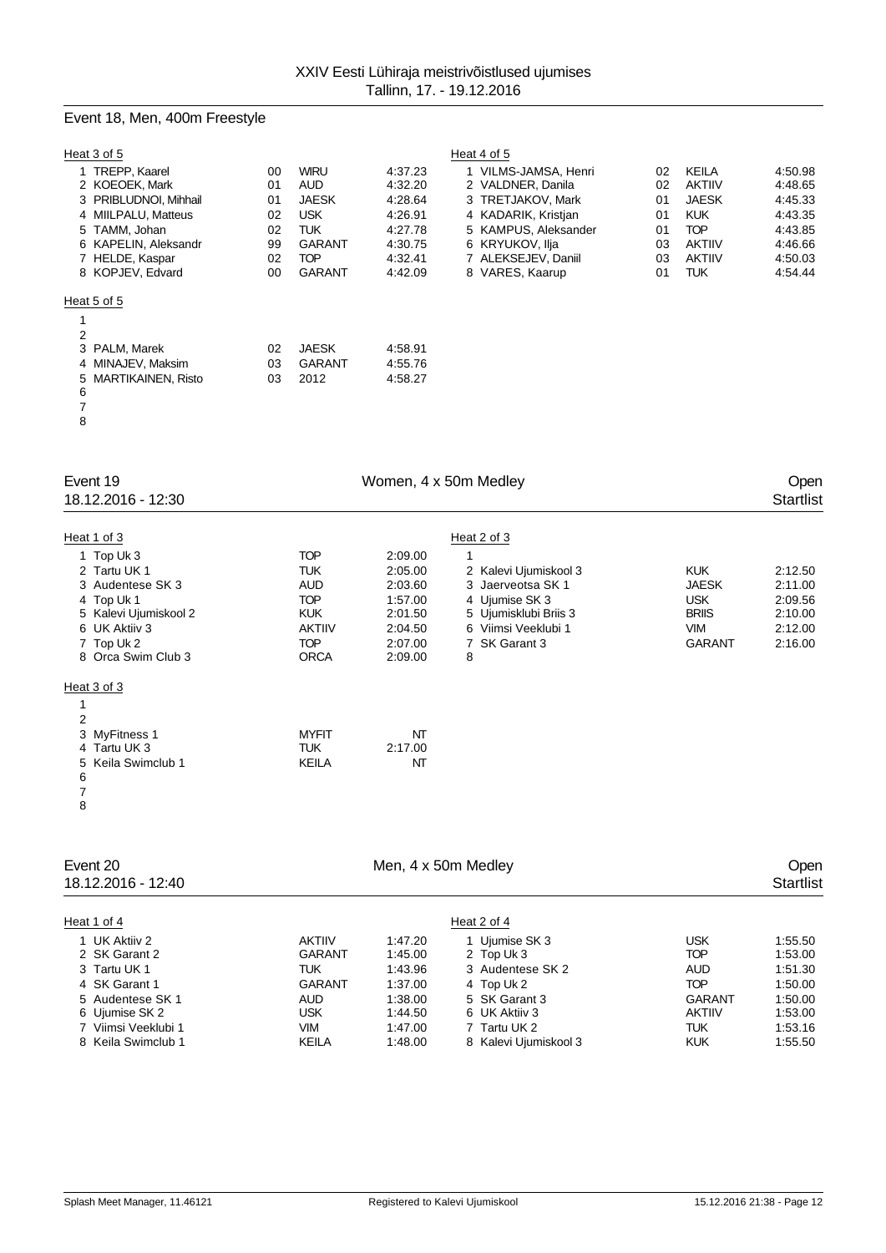# Event 18, Men, 400m Freestyle

| Heat 3 of 5                       |          |                     |                    | Heat 4 of 5                               |          |                               |                    |
|-----------------------------------|----------|---------------------|--------------------|-------------------------------------------|----------|-------------------------------|--------------------|
| 1 TREPP, Kaarel<br>2 KOEOEK, Mark | 00<br>01 | <b>WIRU</b><br>AUD. | 4:37.23<br>4:32.20 | 1 VILMS-JAMSA, Henri<br>2 VALDNER, Danila | 02<br>02 | <b>KEILA</b><br><b>AKTIIV</b> | 4:50.98<br>4:48.65 |
| 3 PRIBLUDNOI, Mihhail             | 01       | <b>JAESK</b>        | 4.28.64            | 3 TRETJAKOV, Mark                         | 01       | <b>JAESK</b>                  | 4:45.33            |
| 4 MIILPALU, Matteus               | 02       | <b>USK</b>          | 4:26.91            | 4 KADARIK, Kristjan                       | 01       | <b>KUK</b>                    | 4:43.35            |
| 5 TAMM, Johan                     | 02       | TUK                 | 4.27.78            | 5 KAMPUS, Aleksander                      | 01       | <b>TOP</b>                    | 4:43.85            |
| 6 KAPELIN, Aleksandr              | 99       | <b>GARANT</b>       | 4:30.75            | 6 KRYUKOV. Ilia                           | 03       | <b>AKTIIV</b>                 | 4:46.66            |
| 7 HELDE, Kaspar                   | 02       | <b>TOP</b>          | 4:32.41            | 7 ALEKSEJEV, Daniil                       | 03       | <b>AKTIIV</b>                 | 4:50.03            |
| 8 KOPJEV, Edvard                  | 00       | <b>GARANT</b>       | 4:42.09            | 8 VARES, Kaarup                           | 01       | <b>TUK</b>                    | 4:54.44            |
| Heat 5 of 5                       |          |                     |                    |                                           |          |                               |                    |
|                                   |          |                     |                    |                                           |          |                               |                    |
| 2                                 |          |                     |                    |                                           |          |                               |                    |
| 3 PALM, Marek                     | 02       | <b>JAESK</b>        | 4:58.91            |                                           |          |                               |                    |
| 4 MINAJEV, Maksim                 | 03       | <b>GARANT</b>       | 4:55.76            |                                           |          |                               |                    |
| 5 MARTIKAINEN, Risto<br>6         | 03       | 2012                | 4:58.27            |                                           |          |                               |                    |
|                                   |          |                     |                    |                                           |          |                               |                    |

| Event 19<br>18.12.2016 - 12:30                                                                                                                            | Women, 4 x 50m Medley                                                                                     |                                                                                      |                                                                                                                                                   |                                                                                         |                                                                |  |  |
|-----------------------------------------------------------------------------------------------------------------------------------------------------------|-----------------------------------------------------------------------------------------------------------|--------------------------------------------------------------------------------------|---------------------------------------------------------------------------------------------------------------------------------------------------|-----------------------------------------------------------------------------------------|----------------------------------------------------------------|--|--|
| Heat 1 of 3<br>1 Top Uk 3<br>2 Tartu UK 1<br>3 Audentese SK 3<br>4 Top Uk 1<br>5 Kalevi Ujumiskool 2<br>6 UK Aktiiv 3<br>7 Top Uk 2<br>8 Orca Swim Club 3 | <b>TOP</b><br>TUK<br><b>AUD</b><br><b>TOP</b><br><b>KUK</b><br><b>AKTIIV</b><br><b>TOP</b><br><b>ORCA</b> | 2:09.00<br>2:05.00<br>2:03.60<br>1:57.00<br>2:01.50<br>2:04.50<br>2:07.00<br>2:09.00 | Heat 2 of 3<br>2 Kalevi Ujumiskool 3<br>3 Jaerveotsa SK 1<br>4 Ujumise SK 3<br>5 Ujumisklubi Briis 3<br>6 Viimsi Veeklubi 1<br>7 SK Garant 3<br>8 | <b>KUK</b><br><b>JAESK</b><br><b>USK</b><br><b>BRIIS</b><br><b>VIM</b><br><b>GARANT</b> | 2:12.50<br>2:11.00<br>2:09.56<br>2:10.00<br>2:12.00<br>2:16.00 |  |  |
| Heat 3 of 3<br>$\overline{2}$<br>3 MyFitness 1<br>4 Tartu UK 3<br>5 Keila Swimclub 1<br>6<br>7<br>8                                                       | <b>MYFIT</b><br>TUK<br><b>KEILA</b>                                                                       | NT<br>2:17.00<br>NT                                                                  |                                                                                                                                                   |                                                                                         |                                                                |  |  |

| Event 20<br>18.12.2016 - 12:40                                                  | Men, 4 x 50m Medley                             |                                          |                                                                         |                                                     | Open<br><b>Startlist</b>                 |  |
|---------------------------------------------------------------------------------|-------------------------------------------------|------------------------------------------|-------------------------------------------------------------------------|-----------------------------------------------------|------------------------------------------|--|
| Heat 1 of 4                                                                     |                                                 |                                          | Heat 2 of 4                                                             |                                                     |                                          |  |
| 1 UK Aktiiv 2<br>2 SK Garant 2<br>3 Tartu UK 1                                  | <b>AKTIIV</b><br>GARANT<br><b>TUK</b>           | 1:47.20<br>1:45.00<br>1:43.96            | 1 Uiumise SK 3<br>2 Top Uk 3<br>3 Audentese SK 2                        | <b>USK</b><br><b>TOP</b><br><b>AUD</b>              | 1:55.50<br>1:53.00<br>1:51.30            |  |
| 4 SK Garant 1                                                                   | GARANT                                          | 1:37.00                                  | 4 Top Uk 2                                                              | <b>TOP</b>                                          | 1:50.00                                  |  |
| 5 Audentese SK 1<br>6 Ujumise SK 2<br>7 Viimsi Veeklubi 1<br>8 Keila Swimclub 1 | <b>AUD</b><br><b>USK</b><br>VIM<br><b>KEILA</b> | 1:38.00<br>1:44.50<br>1:47.00<br>1:48.00 | 5 SK Garant 3<br>6 UK Aktiiv 3<br>7 Tartu UK 2<br>8 Kalevi Ujumiskool 3 | GARANT<br><b>AKTIIV</b><br><b>TUK</b><br><b>KUK</b> | 1:50.00<br>1:53.00<br>1:53.16<br>1:55.50 |  |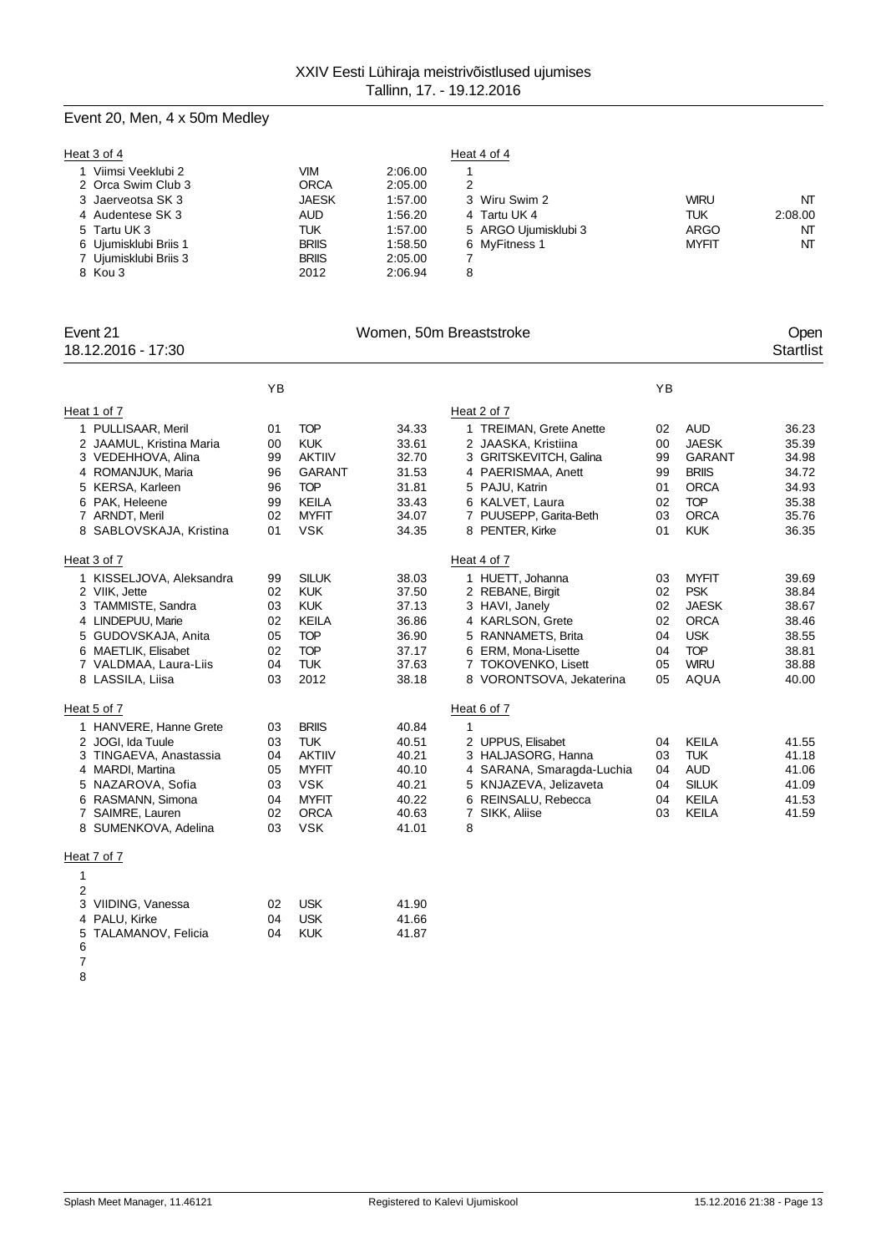# Event 20, Men, 4 x 50m Medley

| Heat 3 of 4                             |                    |                    | Heat 4 of 4          |              |         |
|-----------------------------------------|--------------------|--------------------|----------------------|--------------|---------|
| Viimsi Veeklubi 2<br>2 Orca Swim Club 3 | VIM<br><b>ORCA</b> | 2:06.00            | 2                    |              |         |
| 3 Jaerveotsa SK 3                       | <b>JAESK</b>       | 2:05.00<br>1:57.00 | 3 Wiru Swim 2        | <b>WIRU</b>  | NT      |
| 4 Audentese SK 3                        | <b>AUD</b>         | 1:56.20            | 4 Tartu UK 4         | TUK          | 2:08.00 |
| 5 Tartu UK 3                            | TUK                | 1:57.00            | 5 ARGO Ujumisklubi 3 | <b>ARGO</b>  | NΤ      |
| 6 Ujumisklubi Briis 1                   | <b>BRIIS</b>       | 1:58.50            | 6 MvFitness 1        | <b>MYFIT</b> | NT      |
| 7 Ujumisklubi Briis 3                   | <b>BRIIS</b>       | 2:05.00            |                      |              |         |
| 8 Kou 3                                 | 2012               | 2:06.94            | 8                    |              |         |

| Event 21<br>18.12.2016 - 17:30 | Women, 50m Breaststroke |               |       |                           |    |              |       |  |
|--------------------------------|-------------------------|---------------|-------|---------------------------|----|--------------|-------|--|
|                                | YB                      |               |       |                           | YB |              |       |  |
| Heat 1 of 7                    |                         |               |       | Heat 2 of 7               |    |              |       |  |
| 1 PULLISAAR, Meril             | 01                      | <b>TOP</b>    | 34.33 | 1 TREIMAN, Grete Anette   | 02 | <b>AUD</b>   | 36.23 |  |
| 2 JAAMUL, Kristina Maria       | 00                      | <b>KUK</b>    | 33.61 | 2 JAASKA, Kristiina       | 00 | <b>JAESK</b> | 35.39 |  |
| 3 VEDEHHOVA, Alina             | 99                      | <b>AKTIIV</b> | 32.70 | 3 GRITSKEVITCH, Galina    | 99 | GARANT       | 34.98 |  |
| 4 ROMANJUK, Maria              | 96                      | <b>GARANT</b> | 31.53 | 4 PAERISMAA, Anett        | 99 | <b>BRIIS</b> | 34.72 |  |
| 5 KERSA, Karleen               | 96                      | <b>TOP</b>    | 31.81 | 5 PAJU, Katrin            | 01 | <b>ORCA</b>  | 34.93 |  |
| 6 PAK, Heleene                 | 99                      | <b>KEILA</b>  | 33.43 | 6 KALVET, Laura           | 02 | <b>TOP</b>   | 35.38 |  |
| 7 ARNDT, Meril                 | 02                      | <b>MYFIT</b>  | 34.07 | 7 PUUSEPP, Garita-Beth    | 03 | <b>ORCA</b>  | 35.76 |  |
| 8 SABLOVSKAJA, Kristina        | 01                      | <b>VSK</b>    | 34.35 | 8 PENTER, Kirke           | 01 | <b>KUK</b>   | 36.35 |  |
| Heat 3 of 7                    |                         |               |       | Heat 4 of 7               |    |              |       |  |
| 1 KISSELJOVA, Aleksandra       | 99                      | <b>SILUK</b>  | 38.03 | 1 HUETT, Johanna          | 03 | <b>MYFIT</b> | 39.69 |  |
| 2 VIIK, Jette                  | 02                      | <b>KUK</b>    | 37.50 | 2 REBANE, Birgit          | 02 | <b>PSK</b>   | 38.84 |  |
| 3 TAMMISTE, Sandra             | 03                      | <b>KUK</b>    | 37.13 | 3 HAVI, Janely            | 02 | <b>JAESK</b> | 38.67 |  |
| 4 LINDEPUU, Marie              | 02                      | <b>KEILA</b>  | 36.86 | 4 KARLSON, Grete          | 02 | <b>ORCA</b>  | 38.46 |  |
| 5 GUDOVSKAJA, Anita            | 05                      | <b>TOP</b>    | 36.90 | 5 RANNAMETS, Brita        | 04 | <b>USK</b>   | 38.55 |  |
| 6 MAETLIK, Elisabet            | 02                      | <b>TOP</b>    | 37.17 | 6 ERM, Mona-Lisette       | 04 | <b>TOP</b>   | 38.81 |  |
| 7 VALDMAA, Laura-Liis          | 04                      | TUK.          | 37.63 | 7 TOKOVENKO, Lisett       | 05 | <b>WIRU</b>  | 38.88 |  |
| 8 LASSILA, Liisa               | 03                      | 2012          | 38.18 | 8 VORONTSOVA, Jekaterina  | 05 | AQUA         | 40.00 |  |
| Heat 5 of 7                    |                         |               |       | Heat 6 of 7               |    |              |       |  |
| 1 HANVERE, Hanne Grete         | 03                      | <b>BRIIS</b>  | 40.84 | $\mathbf{1}$              |    |              |       |  |
| 2 JOGI, Ida Tuule              | 03                      | <b>TUK</b>    | 40.51 | 2 UPPUS, Elisabet         | 04 | <b>KEILA</b> | 41.55 |  |
| 3 TINGAEVA, Anastassia         | 04                      | <b>AKTIIV</b> | 40.21 | 3 HALJASORG, Hanna        | 03 | <b>TUK</b>   | 41.18 |  |
| 4 MARDI, Martina               | 05                      | <b>MYFIT</b>  | 40.10 | 4 SARANA, Smaragda-Luchia | 04 | <b>AUD</b>   | 41.06 |  |
| 5 NAZAROVA, Sofia              | 03                      | <b>VSK</b>    | 40.21 | 5 KNJAZEVA, Jelizaveta    | 04 | <b>SILUK</b> | 41.09 |  |
| 6 RASMANN, Simona              | 04                      | <b>MYFIT</b>  | 40.22 | 6 REINSALU, Rebecca       | 04 | <b>KEILA</b> | 41.53 |  |
| 7 SAIMRE, Lauren               | 02                      | <b>ORCA</b>   | 40.63 | 7 SIKK, Aliise            | 03 | <b>KEILA</b> | 41.59 |  |
| 8 SUMENKOVA, Adelina           | 03                      | <b>VSK</b>    | 41.01 | 8                         |    |              |       |  |
| Heat 7 of 7                    |                         |               |       |                           |    |              |       |  |
| $\mathbf{1}$                   |                         |               |       |                           |    |              |       |  |
| 2                              |                         |               |       |                           |    |              |       |  |
| 3 VIIDING, Vanessa             | 02                      | <b>USK</b>    | 41.90 |                           |    |              |       |  |
| 4 PALU, Kirke                  | 04                      | <b>USK</b>    | 41.66 |                           |    |              |       |  |
| 5<br>TALAMANOV, Felicia        | 04                      | <b>KUK</b>    | 41.87 |                           |    |              |       |  |
| 6                              |                         |               |       |                           |    |              |       |  |
| $\overline{7}$                 |                         |               |       |                           |    |              |       |  |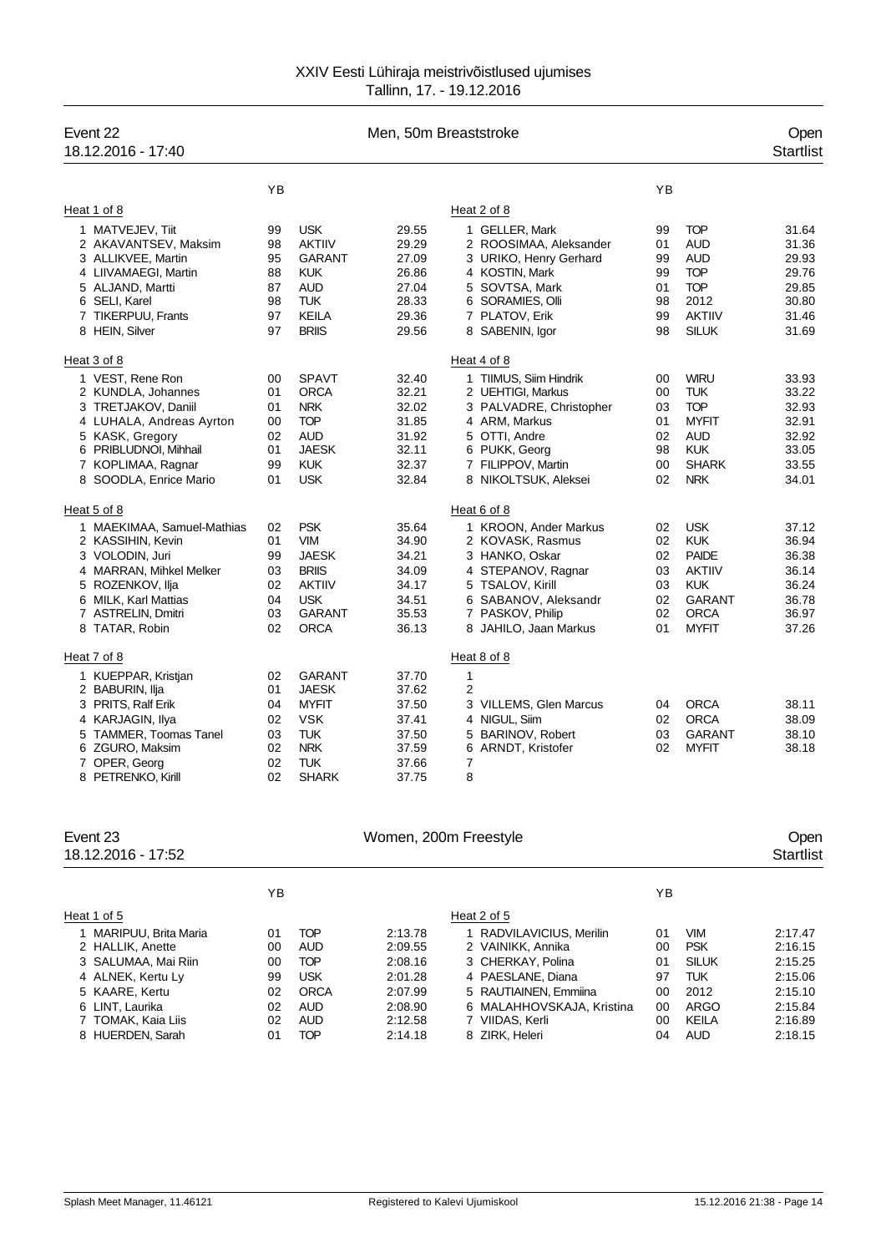| Event 22<br>18.12.2016 - 17:40                                                                                                                                                                                                                                                                                            | Men, 50m Breaststroke                                                            |                                                                                                                                                                                                              |                                                                                                                            |                                                                                                                                                                                                                                                                                                 |                                                                            |                                                                                                                                                                                                               |                                                                                                                            |
|---------------------------------------------------------------------------------------------------------------------------------------------------------------------------------------------------------------------------------------------------------------------------------------------------------------------------|----------------------------------------------------------------------------------|--------------------------------------------------------------------------------------------------------------------------------------------------------------------------------------------------------------|----------------------------------------------------------------------------------------------------------------------------|-------------------------------------------------------------------------------------------------------------------------------------------------------------------------------------------------------------------------------------------------------------------------------------------------|----------------------------------------------------------------------------|---------------------------------------------------------------------------------------------------------------------------------------------------------------------------------------------------------------|----------------------------------------------------------------------------------------------------------------------------|
|                                                                                                                                                                                                                                                                                                                           | <b>YB</b>                                                                        |                                                                                                                                                                                                              |                                                                                                                            |                                                                                                                                                                                                                                                                                                 | YB                                                                         |                                                                                                                                                                                                               |                                                                                                                            |
| Heat 1 of 8                                                                                                                                                                                                                                                                                                               |                                                                                  |                                                                                                                                                                                                              |                                                                                                                            | Heat 2 of 8                                                                                                                                                                                                                                                                                     |                                                                            |                                                                                                                                                                                                               |                                                                                                                            |
| 1 MATVEJEV, Tiit<br>2 AKAVANTSEV, Maksim<br>3 ALLIKVEE, Martin<br>4 LIIVAMAEGI, Martin<br>5 ALJAND, Martti<br>6 SELI, Karel<br>7 TIKERPUU, Frants<br>8 HEIN, Silver                                                                                                                                                       | 99<br>98<br>95<br>88<br>87<br>98<br>97<br>97                                     | <b>USK</b><br><b>AKTIIV</b><br><b>GARANT</b><br><b>KUK</b><br><b>AUD</b><br>TUK<br><b>KEILA</b><br><b>BRIIS</b>                                                                                              | 29.55<br>29.29<br>27.09<br>26.86<br>27.04<br>28.33<br>29.36<br>29.56                                                       | 1 GELLER, Mark<br>2 ROOSIMAA, Aleksander<br>3 URIKO, Henry Gerhard<br>4 KOSTIN, Mark<br>5 SOVTSA, Mark<br>6 SORAMIES, Olli<br>7 PLATOV, Erik<br>8 SABENIN, Igor                                                                                                                                 | 99<br>01<br>99<br>99<br>01<br>98<br>99<br>98                               | <b>TOP</b><br><b>AUD</b><br><b>AUD</b><br><b>TOP</b><br><b>TOP</b><br>2012<br><b>AKTIIV</b><br><b>SILUK</b>                                                                                                   | 31.64<br>31.36<br>29.93<br>29.76<br>29.85<br>30.80<br>31.46<br>31.69                                                       |
| Heat 3 of 8                                                                                                                                                                                                                                                                                                               |                                                                                  |                                                                                                                                                                                                              |                                                                                                                            | Heat 4 of 8                                                                                                                                                                                                                                                                                     |                                                                            |                                                                                                                                                                                                               |                                                                                                                            |
| 1 VEST, Rene Ron<br>2 KUNDLA, Johannes<br>3 TRETJAKOV, Daniil<br>4 LUHALA, Andreas Ayrton<br>5 KASK, Gregory<br>6 PRIBLUDNOI, Mihhail<br>7 KOPLIMAA, Ragnar<br>8 SOODLA, Enrice Mario<br>Heat 5 of 8<br>1 MAEKIMAA, Samuel-Mathias<br>2 KASSIHIN, Kevin<br>3 VOLODIN, Juri<br>4 MARRAN, Mihkel Melker<br>5 ROZENKOV, Ilja | 00<br>01<br>01<br>00<br>02<br>01<br>99<br>01<br>02<br>01<br>99<br>03<br>02<br>04 | <b>SPAVT</b><br><b>ORCA</b><br><b>NRK</b><br><b>TOP</b><br><b>AUD</b><br><b>JAESK</b><br><b>KUK</b><br><b>USK</b><br><b>PSK</b><br><b>VIM</b><br><b>JAESK</b><br><b>BRIIS</b><br><b>AKTIIV</b><br><b>USK</b> | 32.40<br>32.21<br>32.02<br>31.85<br>31.92<br>32.11<br>32.37<br>32.84<br>35.64<br>34.90<br>34.21<br>34.09<br>34.17<br>34.51 | 1 TIIMUS, Siim Hindrik<br>2 UEHTIGI, Markus<br>3 PALVADRE, Christopher<br>4 ARM, Markus<br>5 OTTI, Andre<br>6 PUKK, Georg<br>7 FILIPPOV, Martin<br>8 NIKOLTSUK, Aleksei<br>Heat 6 of 8<br>1 KROON, Ander Markus<br>2 KOVASK, Rasmus<br>3 HANKO, Oskar<br>4 STEPANOV, Ragnar<br>5 TSALOV, Kirill | 00<br>00<br>03<br>01<br>02<br>98<br>00<br>02<br>02<br>02<br>02<br>03<br>03 | <b>WIRU</b><br><b>TUK</b><br><b>TOP</b><br><b>MYFIT</b><br><b>AUD</b><br><b>KUK</b><br><b>SHARK</b><br><b>NRK</b><br><b>USK</b><br><b>KUK</b><br><b>PAIDE</b><br><b>AKTIIV</b><br><b>KUK</b><br><b>GARANT</b> | 33.93<br>33.22<br>32.93<br>32.91<br>32.92<br>33.05<br>33.55<br>34.01<br>37.12<br>36.94<br>36.38<br>36.14<br>36.24<br>36.78 |
| 6 MILK, Karl Mattias<br>7 ASTRELIN, Dmitri                                                                                                                                                                                                                                                                                | 03                                                                               | <b>GARANT</b>                                                                                                                                                                                                | 35.53                                                                                                                      | 6 SABANOV, Aleksandr<br>7 PASKOV, Philip                                                                                                                                                                                                                                                        | 02<br>02                                                                   | <b>ORCA</b>                                                                                                                                                                                                   | 36.97                                                                                                                      |
| 8 TATAR, Robin                                                                                                                                                                                                                                                                                                            | 02                                                                               | <b>ORCA</b>                                                                                                                                                                                                  | 36.13                                                                                                                      | 8 JAHILO, Jaan Markus                                                                                                                                                                                                                                                                           | 01                                                                         | <b>MYFIT</b>                                                                                                                                                                                                  | 37.26                                                                                                                      |
| Heat 7 of 8                                                                                                                                                                                                                                                                                                               |                                                                                  |                                                                                                                                                                                                              |                                                                                                                            | Heat 8 of 8                                                                                                                                                                                                                                                                                     |                                                                            |                                                                                                                                                                                                               |                                                                                                                            |
| 1 KUEPPAR, Kristjan<br>2 BABURIN, Ilja<br>3 PRITS, Ralf Erik<br>4 KARJAGIN, Ilya<br>5 TAMMER, Toomas Tanel<br>6 ZGURO, Maksim<br>7 OPER, Georg<br>8 PETRENKO, Kirill                                                                                                                                                      | 02<br>01<br>04<br>02<br>03<br>02<br>02<br>02                                     | <b>GARANT</b><br><b>JAESK</b><br><b>MYFIT</b><br><b>VSK</b><br><b>TUK</b><br><b>NRK</b><br><b>TUK</b><br><b>SHARK</b>                                                                                        | 37.70<br>37.62<br>37.50<br>37.41<br>37.50<br>37.59<br>37.66<br>37.75                                                       | $\mathbf{1}$<br>2<br>3 VILLEMS, Glen Marcus<br>4 NIGUL, Siim<br>5 BARINOV, Robert<br>6 ARNDT, Kristofer<br>7<br>8                                                                                                                                                                               | 04<br>02<br>03<br>02                                                       | <b>ORCA</b><br><b>ORCA</b><br><b>GARANT</b><br><b>MYFIT</b>                                                                                                                                                   | 38.11<br>38.09<br>38.10<br>38.18                                                                                           |

| Event 23<br>18.12.2016 - 17:52                                                                                                                    | Women, 200m Freestyle                  |                                                                                          |                                                                           |                                                                                                                                                                |                                        |                                                                                 |                                                                           |
|---------------------------------------------------------------------------------------------------------------------------------------------------|----------------------------------------|------------------------------------------------------------------------------------------|---------------------------------------------------------------------------|----------------------------------------------------------------------------------------------------------------------------------------------------------------|----------------------------------------|---------------------------------------------------------------------------------|---------------------------------------------------------------------------|
|                                                                                                                                                   | ΥB                                     |                                                                                          |                                                                           |                                                                                                                                                                | YB.                                    |                                                                                 |                                                                           |
| Heat 1 of 5                                                                                                                                       |                                        |                                                                                          |                                                                           | Heat 2 of 5                                                                                                                                                    |                                        |                                                                                 |                                                                           |
| 1 MARIPUU, Brita Maria<br>2 HALLIK, Anette<br>3 SALUMAA, Mai Riin<br>4 ALNEK, Kertu Ly<br>5 KAARE, Kertu<br>6 LINT. Laurika<br>7 TOMAK, Kaia Liis | 01<br>00<br>00<br>99<br>02<br>02<br>02 | <b>TOP</b><br><b>AUD</b><br><b>TOP</b><br><b>USK</b><br><b>ORCA</b><br><b>AUD</b><br>AUD | 2:13.78<br>2:09.55<br>2:08.16<br>2:01.28<br>2:07.99<br>2:08.90<br>2:12.58 | RADVILAVICIUS, Merilin<br>2 VAINIKK, Annika<br>3 CHERKAY, Polina<br>4 PAESLANE, Diana<br>5 RAUTIAINEN, Emmiina<br>6 MALAHHOVSKAJA, Kristina<br>7 VIIDAS, Kerli | 01<br>00<br>01<br>97<br>00<br>00<br>00 | <b>VIM</b><br><b>PSK</b><br><b>SILUK</b><br><b>TUK</b><br>2012<br>ARGO<br>KEILA | 2:17.47<br>2:16.15<br>2:15.25<br>2:15.06<br>2:15.10<br>2:15.84<br>2:16.89 |
| 8 HUERDEN, Sarah                                                                                                                                  | 01                                     | <b>TOP</b>                                                                               | 2:14.18                                                                   | 8 ZIRK, Heleri                                                                                                                                                 | 04                                     | <b>AUD</b>                                                                      | 2:18.15                                                                   |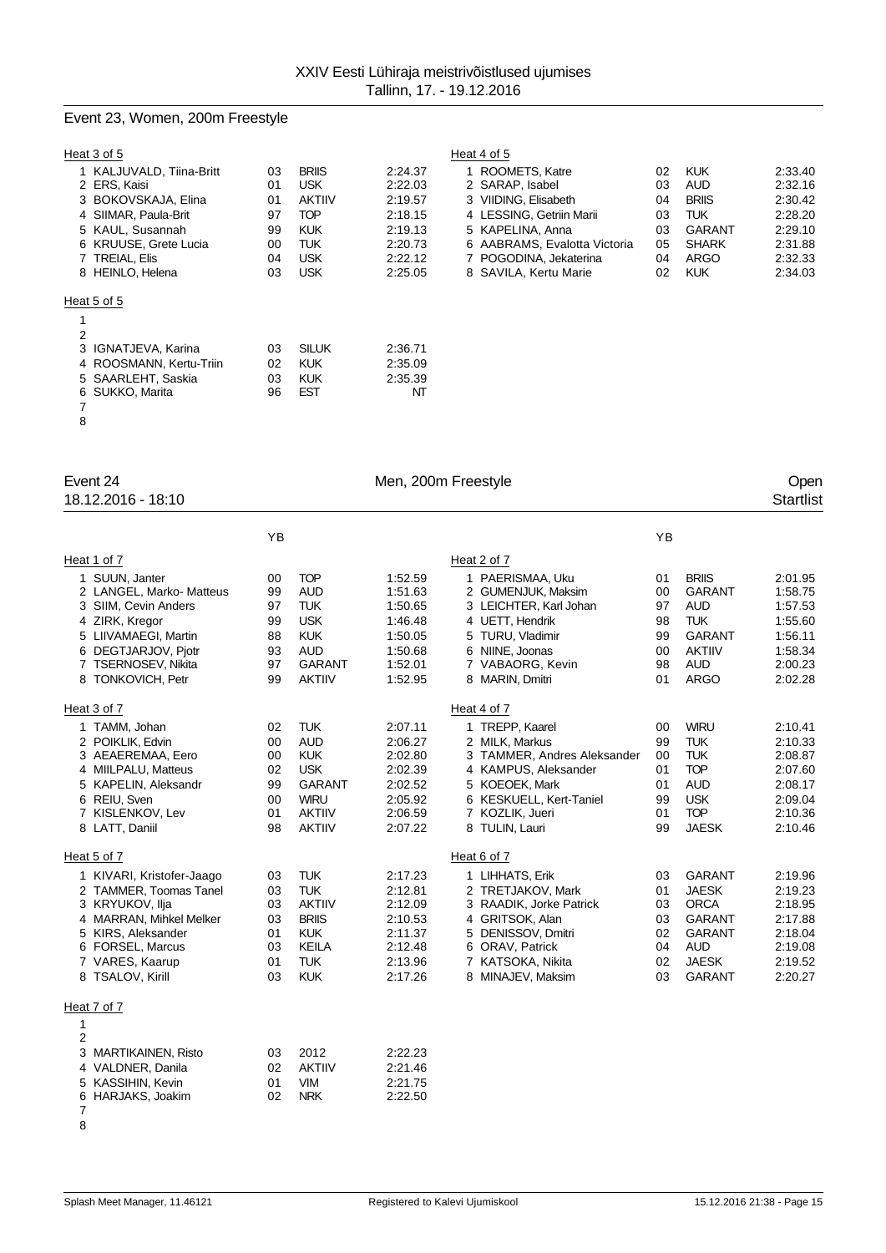# Event 23, Women, 200m Freestyle

|    | Heat 3 of 5              |    |               |         | Heat 4 of 5                  |    |               |         |
|----|--------------------------|----|---------------|---------|------------------------------|----|---------------|---------|
|    | 1 KALJUVALD, Tiina-Britt | 03 | <b>BRIIS</b>  | 2:24.37 | 1 ROOMETS, Katre             | 02 | <b>KUK</b>    | 2:33.40 |
|    | 2 ERS, Kaisi             | 01 | <b>USK</b>    | 2:22.03 | 2 SARAP, Isabel              | 03 | <b>AUD</b>    | 2:32.16 |
|    | 3 BOKOVSKAJA, Elina      | 01 | <b>AKTIIV</b> | 2:19.57 | 3 VIIDING, Elisabeth         | 04 | <b>BRIIS</b>  | 2:30.42 |
|    | 4 SIIMAR, Paula-Brit     | 97 | <b>TOP</b>    | 2:18.15 | 4 LESSING, Getriin Marii     | 03 | <b>TUK</b>    | 2:28.20 |
|    | 5 KAUL, Susannah         | 99 | <b>KUK</b>    | 2:19.13 | 5 KAPELINA, Anna             | 03 | <b>GARANT</b> | 2:29.10 |
|    | 6 KRUUSE, Grete Lucia    | 00 | <b>TUK</b>    | 2:20.73 | 6 AABRAMS, Evalotta Victoria | 05 | <b>SHARK</b>  | 2:31.88 |
|    | 7 TREIAL, Elis           | 04 | <b>USK</b>    | 2:22.12 | 7 POGODINA, Jekaterina       | 04 | ARGO          | 2:32.33 |
|    | 8 HEINLO, Helena         | 03 | <b>USK</b>    | 2:25.05 | 8 SAVILA, Kertu Marie        | 02 | <b>KUK</b>    | 2:34.03 |
|    | Heat 5 of 5              |    |               |         |                              |    |               |         |
|    |                          |    |               |         |                              |    |               |         |
| 2  |                          |    |               |         |                              |    |               |         |
|    | 3 IGNATJEVA, Karina      | 03 | <b>SILUK</b>  | 2:36.71 |                              |    |               |         |
|    | 4 ROOSMANN, Kertu-Triin  | 02 | <b>KUK</b>    | 2:35.09 |                              |    |               |         |
|    | 5 SAARLEHT, Saskia       | 03 | <b>KUK</b>    | 2:35.39 |                              |    |               |         |
| 6. | SUKKO, Marita            | 96 | EST           | NT      |                              |    |               |         |
|    |                          |    |               |         |                              |    |               |         |
| 8  |                          |    |               |         |                              |    |               |         |

| 1 ROOMETS, Katre             | 02 | <b>KUK</b>   | 2.33.40 |
|------------------------------|----|--------------|---------|
| 2 SARAP, Isabel              | 03 | AUD          | 2:32.16 |
| 3 VIIDING, Elisabeth         | 04 | <b>BRIIS</b> | 2:30.42 |
| 4 LESSING, Getriin Marii     | 03 | TI JK        | 2:28.20 |
| 5 KAPELINA, Anna             | 03 | GARANT       | 2:29.10 |
| 6 AABRAMS, Evalotta Victoria | 05 | <b>SHARK</b> | 2:31.88 |
| 7 POGODINA, Jekaterina       | 04 | ARGO         | 2:32.33 |
| 8 SAVILA, Kertu Marie        | 02 | <b>KUK</b>   | 2:34.03 |

18.12.2016 - 18:10

Event 24 Communication of the Men, 200m Freestyle Communication of the Open Communication of the Men, 200m Freestyle Communication of the Startlist<br>
18.12.2016 - 18:10

|                                                                                                                                                                                    | YB                                           |                                                                                                                        |                                                                                      |                                                                                                                                                                            | YB                                           |                                                                                                                               |                                                                                      |
|------------------------------------------------------------------------------------------------------------------------------------------------------------------------------------|----------------------------------------------|------------------------------------------------------------------------------------------------------------------------|--------------------------------------------------------------------------------------|----------------------------------------------------------------------------------------------------------------------------------------------------------------------------|----------------------------------------------|-------------------------------------------------------------------------------------------------------------------------------|--------------------------------------------------------------------------------------|
| Heat 1 of 7                                                                                                                                                                        |                                              |                                                                                                                        |                                                                                      | Heat 2 of 7                                                                                                                                                                |                                              |                                                                                                                               |                                                                                      |
| 1 SUUN, Janter<br>2 LANGEL, Marko- Matteus<br>3 SIIM, Cevin Anders<br>4 ZIRK, Kregor<br>5 LIIVAMAEGI, Martin<br>6 DEGTJARJOV, Pjotr<br>7 TSERNOSEV, Nikita<br>8 TONKOVICH, Petr    | 00<br>99<br>97<br>99<br>88<br>93<br>97<br>99 | <b>TOP</b><br><b>AUD</b><br><b>TUK</b><br><b>USK</b><br><b>KUK</b><br><b>AUD</b><br><b>GARANT</b><br><b>AKTIIV</b>     | 1:52.59<br>1:51.63<br>1:50.65<br>1:46.48<br>1:50.05<br>1:50.68<br>1:52.01<br>1:52.95 | 1 PAERISMAA, Uku<br>2 GUMENJUK, Maksim<br>3 LEICHTER, Karl Johan<br>4 UETT, Hendrik<br>5 TURU, Vladimir<br>6 NIINE, Joonas<br>7 VABAORG, Kevin<br>8 MARIN, Dmitri          | 01<br>00<br>97<br>98<br>99<br>00<br>98<br>01 | <b>BRIIS</b><br><b>GARANT</b><br><b>AUD</b><br><b>TUK</b><br><b>GARANT</b><br><b>AKTIIV</b><br><b>AUD</b><br><b>ARGO</b>      | 2:01.95<br>1:58.75<br>1:57.53<br>1:55.60<br>1:56.11<br>1:58.34<br>2:00.23<br>2:02.28 |
| Heat 3 of 7                                                                                                                                                                        |                                              |                                                                                                                        |                                                                                      | Heat 4 of 7                                                                                                                                                                |                                              |                                                                                                                               |                                                                                      |
| 1 TAMM, Johan<br>2 POIKLIK, Edvin<br>3 AEAEREMAA, Eero<br>4 MIILPALU, Matteus<br>5 KAPELIN, Aleksandr<br>6 REIU, Sven<br>7 KISLENKOV, Lev<br>8 LATT, Daniil                        | 02<br>00<br>00<br>02<br>99<br>00<br>01<br>98 | <b>TUK</b><br><b>AUD</b><br><b>KUK</b><br><b>USK</b><br><b>GARANT</b><br><b>WIRU</b><br><b>AKTIIV</b><br><b>AKTIIV</b> | 2:07.11<br>2:06.27<br>2:02.80<br>2:02.39<br>2:02.52<br>2:05.92<br>2:06.59<br>2:07.22 | 1 TREPP, Kaarel<br>2 MILK, Markus<br>3 TAMMER, Andres Aleksander<br>4 KAMPUS, Aleksander<br>5 KOEOEK, Mark<br>6 KESKUELL, Kert-Taniel<br>7 KOZLIK, Jueri<br>8 TULIN, Lauri | 00<br>99<br>00<br>01<br>01<br>99<br>01<br>99 | <b>WIRU</b><br><b>TUK</b><br><b>TUK</b><br><b>TOP</b><br><b>AUD</b><br><b>USK</b><br><b>TOP</b><br><b>JAESK</b>               | 2:10.41<br>2:10.33<br>2:08.87<br>2:07.60<br>2:08.17<br>2:09.04<br>2:10.36<br>2:10.46 |
| Heat 5 of 7                                                                                                                                                                        |                                              |                                                                                                                        |                                                                                      | Heat 6 of 7                                                                                                                                                                |                                              |                                                                                                                               |                                                                                      |
| 1 KIVARI, Kristofer-Jaago<br>2 TAMMER, Toomas Tanel<br>3 KRYUKOV, Ilja<br>4 MARRAN, Mihkel Melker<br>5 KIRS, Aleksander<br>6 FORSEL, Marcus<br>7 VARES, Kaarup<br>8 TSALOV, Kirill | 03<br>03<br>03<br>03<br>01<br>03<br>01<br>03 | <b>TUK</b><br><b>TUK</b><br><b>AKTIIV</b><br><b>BRIIS</b><br><b>KUK</b><br><b>KEILA</b><br><b>TUK</b><br><b>KUK</b>    | 2:17.23<br>2:12.81<br>2:12.09<br>2:10.53<br>2:11.37<br>2:12.48<br>2:13.96<br>2:17.26 | 1 LIHHATS, Erik<br>2 TRETJAKOV, Mark<br>3 RAADIK, Jorke Patrick<br>4 GRITSOK, Alan<br>5 DENISSOV, Dmitri<br>6 ORAV, Patrick<br>7 KATSOKA, Nikita<br>8 MINAJEV, Maksim      | 03<br>01<br>03<br>03<br>02<br>04<br>02<br>03 | <b>GARANT</b><br><b>JAESK</b><br><b>ORCA</b><br><b>GARANT</b><br><b>GARANT</b><br><b>AUD</b><br><b>JAESK</b><br><b>GARANT</b> | 2:19.96<br>2:19.23<br>2:18.95<br>2:17.88<br>2:18.04<br>2:19.08<br>2:19.52<br>2:20.27 |
| Heat 7 of 7                                                                                                                                                                        |                                              |                                                                                                                        |                                                                                      |                                                                                                                                                                            |                                              |                                                                                                                               |                                                                                      |
| 1<br>$\overline{2}$<br>3<br>MARTIKAINEN, Risto<br>4 VALDNER, Danila<br>5 KASSIHIN, Kevin<br>6 HARJAKS, Joakim                                                                      | 03<br>02<br>01<br>02                         | 2012<br><b>AKTIIV</b><br><b>VIM</b><br><b>NRK</b>                                                                      | 2:22.23<br>2:21.46<br>2:21.75<br>2:22.50                                             |                                                                                                                                                                            |                                              |                                                                                                                               |                                                                                      |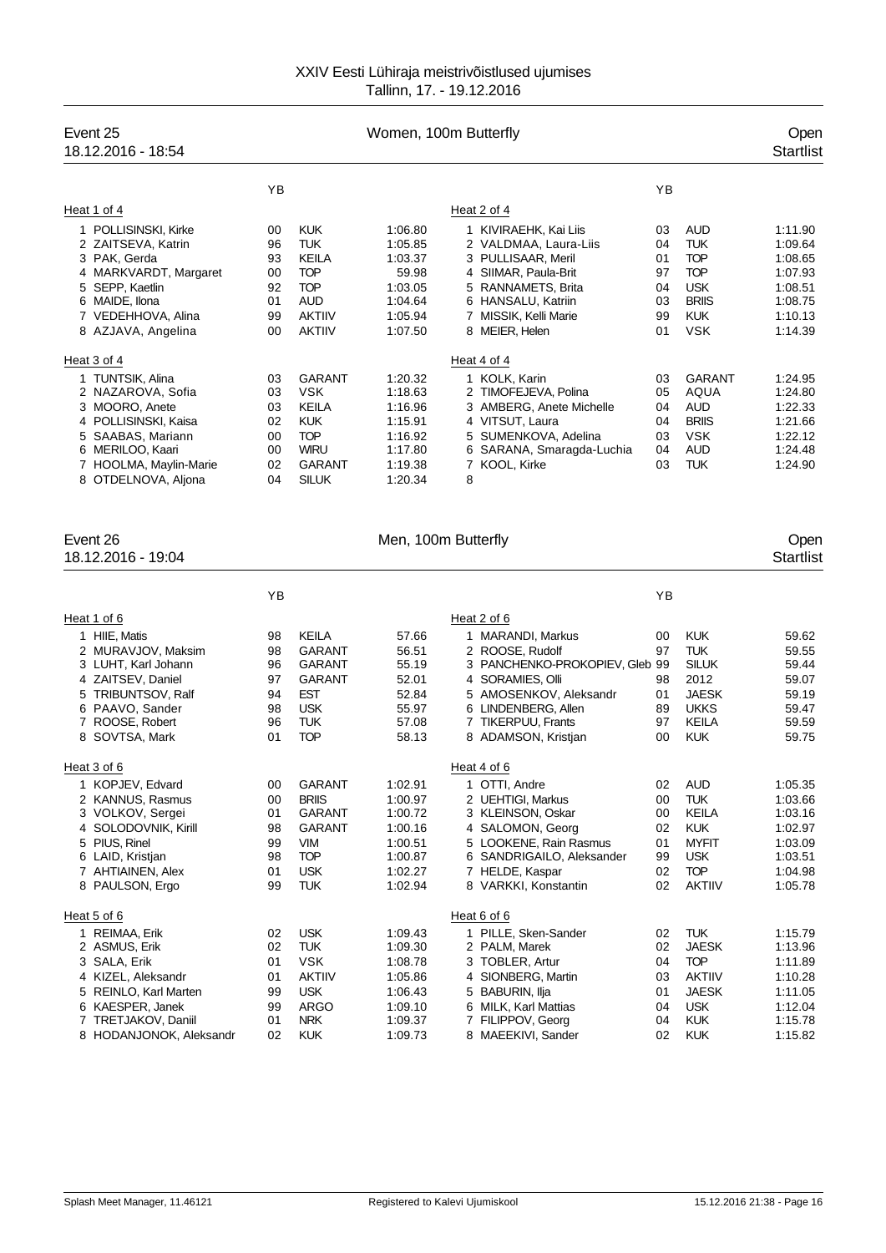| Women, 100m Butterfly<br>Event 25<br>18.12.2016 - 18:54                                                                                                                   |                                              |                                                                                                                  |                                                                                      |                                                                                                                                                                                          |                                              |                                                                                                                     | Open<br><b>Startlist</b>                                                             |
|---------------------------------------------------------------------------------------------------------------------------------------------------------------------------|----------------------------------------------|------------------------------------------------------------------------------------------------------------------|--------------------------------------------------------------------------------------|------------------------------------------------------------------------------------------------------------------------------------------------------------------------------------------|----------------------------------------------|---------------------------------------------------------------------------------------------------------------------|--------------------------------------------------------------------------------------|
|                                                                                                                                                                           | ΥB                                           |                                                                                                                  |                                                                                      |                                                                                                                                                                                          | YB                                           |                                                                                                                     |                                                                                      |
| Heat 1 of 4                                                                                                                                                               |                                              |                                                                                                                  |                                                                                      | Heat 2 of 4                                                                                                                                                                              |                                              |                                                                                                                     |                                                                                      |
| 1 POLLISINSKI, Kirke<br>2 ZAITSEVA, Katrin<br>3 PAK, Gerda<br>4 MARKVARDT, Margaret<br>5 SEPP, Kaetlin<br>6 MAIDE, Ilona<br>7 VEDEHHOVA, Alina                            | 00<br>96<br>93<br>00<br>92<br>01<br>99       | <b>KUK</b><br>TUK<br>KEILA<br><b>TOP</b><br><b>TOP</b><br><b>AUD</b><br><b>AKTIIV</b>                            | 1:06.80<br>1:05.85<br>1:03.37<br>59.98<br>1:03.05<br>1:04.64<br>1:05.94              | 1 KIVIRAEHK, Kai Liis<br>2 VALDMAA, Laura-Liis<br>3 PULLISAAR, Meril<br>4 SIIMAR, Paula-Brit<br>5 RANNAMETS, Brita<br>6 HANSALU, Katriin<br>7 MISSIK, Kelli Marie                        | 03<br>04<br>01<br>97<br>04<br>03<br>99       | <b>AUD</b><br><b>TUK</b><br><b>TOP</b><br><b>TOP</b><br><b>USK</b><br><b>BRIIS</b><br><b>KUK</b>                    | 1:11.90<br>1:09.64<br>1:08.65<br>1:07.93<br>1:08.51<br>1:08.75<br>1:10.13            |
| 8 AZJAVA, Angelina                                                                                                                                                        | 00                                           | <b>AKTIIV</b>                                                                                                    | 1:07.50                                                                              | 8 MEIER, Helen                                                                                                                                                                           | 01                                           | <b>VSK</b>                                                                                                          | 1:14.39                                                                              |
| Heat 3 of 4                                                                                                                                                               |                                              |                                                                                                                  |                                                                                      | Heat 4 of 4                                                                                                                                                                              |                                              |                                                                                                                     |                                                                                      |
| 1 TUNTSIK, Alina<br>2 NAZAROVA, Sofia<br>3 MOORO, Anete<br>4 POLLISINSKI, Kaisa<br>5 SAABAS, Mariann<br>6 MERILOO, Kaari<br>7 HOOLMA, Maylin-Marie<br>8 OTDELNOVA, Aljona | 03<br>03<br>03<br>02<br>00<br>00<br>02<br>04 | <b>GARANT</b><br>VSK.<br><b>KEILA</b><br><b>KUK</b><br><b>TOP</b><br><b>WIRU</b><br>GARANT<br><b>SILUK</b>       | 1:20.32<br>1:18.63<br>1:16.96<br>1:15.91<br>1:16.92<br>1:17.80<br>1:19.38<br>1:20.34 | 1 KOLK, Karin<br>2 TIMOFEJEVA, Polina<br>3 AMBERG, Anete Michelle<br>4 VITSUT, Laura<br>5 SUMENKOVA, Adelina<br>6 SARANA, Smaragda-Luchia<br>7 KOOL, Kirke<br>8                          | 03<br>05<br>04<br>04<br>03<br>04<br>03       | <b>GARANT</b><br>AQUA<br><b>AUD</b><br><b>BRIIS</b><br><b>VSK</b><br>AUD<br><b>TUK</b>                              | 1:24.95<br>1:24.80<br>1:22.33<br>1:21.66<br>1:22.12<br>1:24.48<br>1:24.90            |
| Event 26<br>18.12.2016 - 19:04                                                                                                                                            |                                              |                                                                                                                  | Men, 100m Butterfly                                                                  |                                                                                                                                                                                          |                                              |                                                                                                                     | Open<br><b>Startlist</b>                                                             |
|                                                                                                                                                                           | ΥB                                           |                                                                                                                  |                                                                                      |                                                                                                                                                                                          | YB                                           |                                                                                                                     |                                                                                      |
| Heat 1 of 6                                                                                                                                                               |                                              |                                                                                                                  |                                                                                      | Heat 2 of 6                                                                                                                                                                              |                                              |                                                                                                                     |                                                                                      |
| 1 HIIE, Matis<br>2 MURAVJOV, Maksim<br>3 LUHT, Karl Johann<br>4 ZAITSEV, Daniel<br>5 TRIBUNTSOV, Ralf<br>6 PAAVO, Sander<br>7 ROOSE, Robert<br>8 SOVTSA, Mark             | 98<br>98<br>96<br>97<br>94<br>98<br>96<br>01 | <b>KEILA</b><br><b>GARANT</b><br>GARANT<br><b>GARANT</b><br><b>EST</b><br><b>USK</b><br><b>TUK</b><br><b>TOP</b> | 57.66<br>56.51<br>55.19<br>52.01<br>52.84<br>55.97<br>57.08<br>58.13                 | 1 MARANDI, Markus<br>2 ROOSE, Rudolf<br>3 PANCHENKO-PROKOPIEV, Gleb 99<br>4 SORAMIES, Olli<br>5 AMOSENKOV, Aleksandr<br>6 LINDENBERG, Allen<br>7 TIKERPUU, Frants<br>8 ADAMSON, Kristjan | 00<br>97<br>98<br>01<br>89<br>97<br>00       | <b>KUK</b><br><b>TUK</b><br>SILUK<br>2012<br>JAESK<br><b>UKKS</b><br>KEILA<br><b>KUK</b>                            | 59.62<br>59.55<br>59.44<br>59.07<br>59.19<br>59.47<br>59.59<br>59.75                 |
| Heat 3 of 6                                                                                                                                                               |                                              |                                                                                                                  |                                                                                      | Heat 4 of 6                                                                                                                                                                              |                                              |                                                                                                                     |                                                                                      |
| 1<br>KOPJEV, Edvard<br>2 KANNUS, Rasmus<br>3 VOLKOV, Sergei<br>4 SOLODOVNIK, Kirill<br>5 PIUS, Rinel<br>6 LAID, Kristian<br>7 AHTIAINEN, Alex<br>8 PAULSON, Ergo          | 00<br>00<br>01<br>98<br>99<br>98<br>01<br>99 | GARANT<br><b>BRIIS</b><br>GARANT<br>GARANT<br><b>VIM</b><br><b>TOP</b><br><b>USK</b><br><b>TUK</b>               | 1:02.91<br>1:00.97<br>1:00.72<br>1:00.16<br>1:00.51<br>1:00.87<br>1:02.27<br>1:02.94 | 1 OTTI, Andre<br>2 UEHTIGI, Markus<br>3 KLEINSON, Oskar<br>4 SALOMON, Georg<br>5 LOOKENE, Rain Rasmus<br>6 SANDRIGAILO, Aleksander<br>7 HELDE, Kaspar<br>8 VARKKI, Konstantin            | 02<br>00<br>00<br>02<br>01<br>99<br>02<br>02 | <b>AUD</b><br><b>TUK</b><br><b>KEILA</b><br><b>KUK</b><br><b>MYFIT</b><br><b>USK</b><br><b>TOP</b><br><b>AKTIIV</b> | 1:05.35<br>1:03.66<br>1:03.16<br>1:02.97<br>1:03.09<br>1:03.51<br>1:04.98<br>1:05.78 |
| Heat 5 of 6                                                                                                                                                               |                                              |                                                                                                                  |                                                                                      | Heat 6 of 6                                                                                                                                                                              |                                              |                                                                                                                     |                                                                                      |
| 1 REIMAA, Erik<br>2 ASMUS, Erik<br>3 SALA, Erik<br>4 KIZEL, Aleksandr<br>5 REINLO, Karl Marten<br>6 KAESPER, Janek<br>7 TRETJAKOV, Daniil<br>8 HODANJONOK, Aleksandr      | 02<br>02<br>01<br>01<br>99<br>99<br>01<br>02 | <b>USK</b><br><b>TUK</b><br><b>VSK</b><br><b>AKTIIV</b><br><b>USK</b><br><b>ARGO</b><br><b>NRK</b><br><b>KUK</b> | 1:09.43<br>1:09.30<br>1:08.78<br>1:05.86<br>1:06.43<br>1:09.10<br>1:09.37<br>1:09.73 | 1 PILLE, Sken-Sander<br>2 PALM, Marek<br>3 TOBLER, Artur<br>4 SIONBERG, Martin<br>5 BABURIN, Ilja<br>6 MILK, Karl Mattias<br>7 FILIPPOV, Georg<br>8 MAEEKIVI, Sander                     | 02<br>02<br>04<br>03<br>01<br>04<br>04<br>02 | <b>TUK</b><br><b>JAESK</b><br><b>TOP</b><br><b>AKTIIV</b><br>JAESK<br><b>USK</b><br><b>KUK</b><br><b>KUK</b>        | 1:15.79<br>1:13.96<br>1:11.89<br>1:10.28<br>1:11.05<br>1:12.04<br>1:15.78<br>1:15.82 |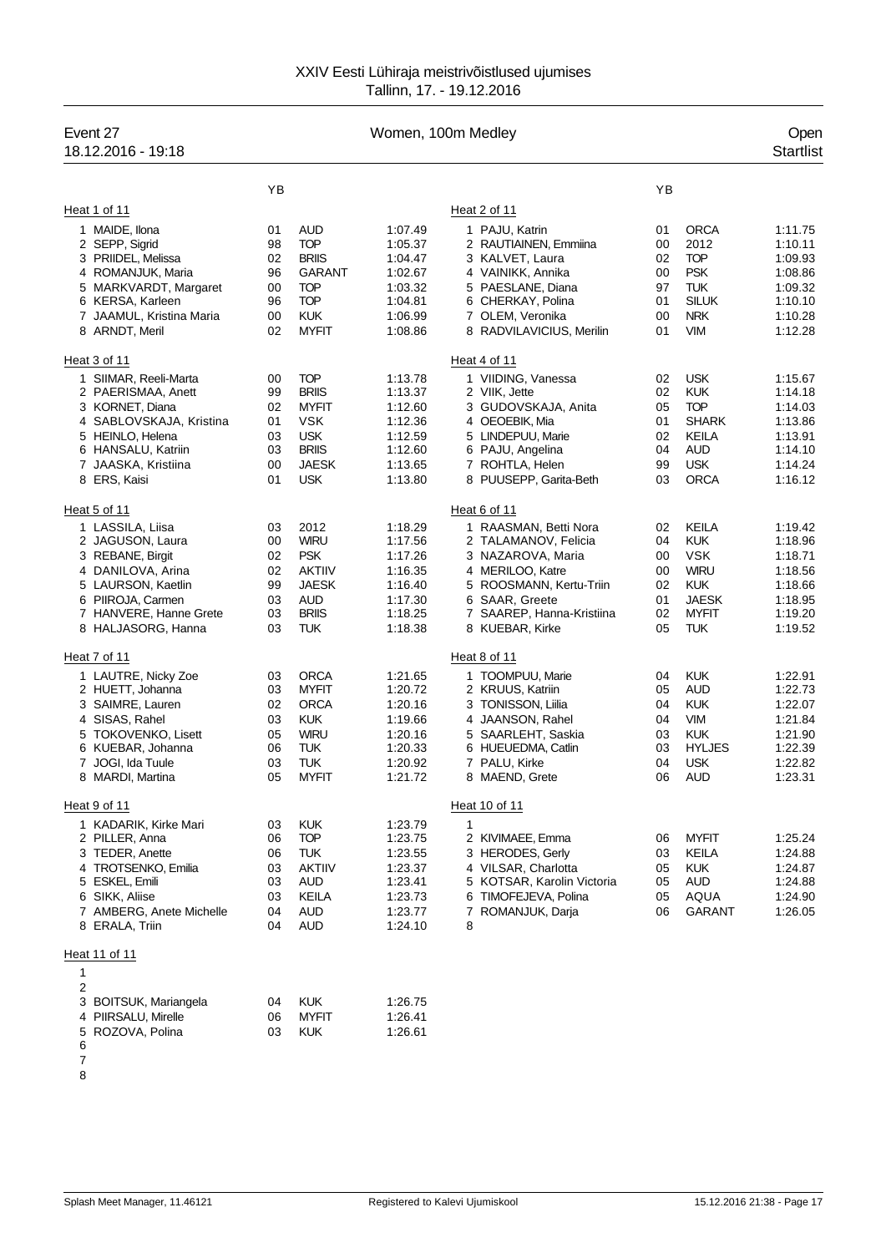| Event 27<br>Women, 100m Medley<br>18.12.2016 - 19:18                                                                                                                       |                                              |                                                                                                                      |                                                                                      |                                                                                                                                                                                     |                                              | Open<br><b>Startlist</b>                                                                                            |                                                                                      |
|----------------------------------------------------------------------------------------------------------------------------------------------------------------------------|----------------------------------------------|----------------------------------------------------------------------------------------------------------------------|--------------------------------------------------------------------------------------|-------------------------------------------------------------------------------------------------------------------------------------------------------------------------------------|----------------------------------------------|---------------------------------------------------------------------------------------------------------------------|--------------------------------------------------------------------------------------|
|                                                                                                                                                                            | YB                                           |                                                                                                                      |                                                                                      |                                                                                                                                                                                     | YB                                           |                                                                                                                     |                                                                                      |
| Heat 1 of 11                                                                                                                                                               |                                              |                                                                                                                      |                                                                                      | Heat 2 of 11                                                                                                                                                                        |                                              |                                                                                                                     |                                                                                      |
| 1 MAIDE, Ilona<br>2 SEPP, Sigrid<br>3 PRIIDEL, Melissa<br>4 ROMANJUK, Maria<br>5 MARKVARDT, Margaret<br>6 KERSA, Karleen<br>7 JAAMUL, Kristina Maria<br>8 ARNDT, Meril     | 01<br>98<br>02<br>96<br>00<br>96<br>00<br>02 | <b>AUD</b><br><b>TOP</b><br><b>BRIIS</b><br><b>GARANT</b><br><b>TOP</b><br><b>TOP</b><br><b>KUK</b><br><b>MYFIT</b>  | 1:07.49<br>1:05.37<br>1:04.47<br>1:02.67<br>1:03.32<br>1:04.81<br>1:06.99<br>1:08.86 | 1 PAJU, Katrin<br>2 RAUTIAINEN, Emmiina<br>3 KALVET, Laura<br>4 VAINIKK, Annika<br>5 PAESLANE, Diana<br>6 CHERKAY, Polina<br>7 OLEM, Veronika<br>8 RADVILAVICIUS, Merilin           | 01<br>00<br>02<br>00<br>97<br>01<br>00<br>01 | <b>ORCA</b><br>2012<br><b>TOP</b><br><b>PSK</b><br><b>TUK</b><br><b>SILUK</b><br><b>NRK</b><br><b>VIM</b>           | 1:11.75<br>1:10.11<br>1:09.93<br>1:08.86<br>1:09.32<br>1:10.10<br>1:10.28<br>1:12.28 |
| Heat 3 of 11                                                                                                                                                               |                                              |                                                                                                                      |                                                                                      |                                                                                                                                                                                     |                                              |                                                                                                                     |                                                                                      |
| 1 SIIMAR, Reeli-Marta<br>2 PAERISMAA, Anett<br>3 KORNET, Diana<br>4 SABLOVSKAJA, Kristina<br>5 HEINLO, Helena<br>6 HANSALU, Katriin<br>7 JAASKA, Kristiina<br>8 ERS, Kaisi | 00<br>99<br>02<br>01<br>03<br>03<br>00<br>01 | <b>TOP</b><br><b>BRIIS</b><br><b>MYFIT</b><br><b>VSK</b><br><b>USK</b><br><b>BRIIS</b><br><b>JAESK</b><br><b>USK</b> | 1:13.78<br>1:13.37<br>1:12.60<br>1:12.36<br>1:12.59<br>1:12.60<br>1:13.65<br>1:13.80 | Heat 4 of 11<br>1 VIIDING, Vanessa<br>2 VIIK, Jette<br>3 GUDOVSKAJA, Anita<br>4 OEOEBIK, Mia<br>5 LINDEPUU, Marie<br>6 PAJU, Angelina<br>7 ROHTLA, Helen<br>8 PUUSEPP, Garita-Beth  | 02<br>02<br>05<br>01<br>02<br>04<br>99<br>03 | <b>USK</b><br><b>KUK</b><br><b>TOP</b><br><b>SHARK</b><br>KEILA<br>AUD<br><b>USK</b><br><b>ORCA</b>                 | 1:15.67<br>1:14.18<br>1:14.03<br>1:13.86<br>1:13.91<br>1:14.10<br>1:14.24<br>1:16.12 |
| Heat 5 of 11                                                                                                                                                               |                                              |                                                                                                                      |                                                                                      | Heat 6 of 11                                                                                                                                                                        |                                              |                                                                                                                     |                                                                                      |
| 1 LASSILA, Liisa<br>2 JAGUSON, Laura<br>3 REBANE, Birgit<br>4 DANILOVA, Arina<br>5 LAURSON, Kaetlin<br>6 PIIROJA, Carmen<br>7 HANVERE, Hanne Grete<br>8 HALJASORG, Hanna   | 03<br>00<br>02<br>02<br>99<br>03<br>03<br>03 | 2012<br><b>WIRU</b><br><b>PSK</b><br><b>AKTIIV</b><br><b>JAESK</b><br><b>AUD</b><br><b>BRIIS</b><br>TUK              | 1:18.29<br>1:17.56<br>1:17.26<br>1:16.35<br>1:16.40<br>1:17.30<br>1:18.25<br>1:18.38 | 1 RAASMAN, Betti Nora<br>2 TALAMANOV, Felicia<br>3 NAZAROVA, Maria<br>4 MERILOO, Katre<br>5 ROOSMANN, Kertu-Triin<br>6 SAAR, Greete<br>7 SAAREP, Hanna-Kristiina<br>8 KUEBAR, Kirke | 02<br>04<br>00<br>00<br>02<br>01<br>02<br>05 | <b>KEILA</b><br><b>KUK</b><br><b>VSK</b><br><b>WIRU</b><br><b>KUK</b><br><b>JAESK</b><br><b>MYFIT</b><br><b>TUK</b> | 1:19.42<br>1:18.96<br>1:18.71<br>1:18.56<br>1:18.66<br>1:18.95<br>1:19.20<br>1:19.52 |
| Heat 7 of 11                                                                                                                                                               |                                              |                                                                                                                      |                                                                                      | Heat 8 of 11                                                                                                                                                                        |                                              |                                                                                                                     |                                                                                      |
| 1 LAUTRE, Nicky Zoe<br>2 HUETT, Johanna<br>3 SAIMRE, Lauren<br>4 SISAS, Rahel<br>5 TOKOVENKO, Lisett<br>6 KUEBAR, Johanna<br>7 JOGI, Ida Tuule<br>8 MARDI, Martina         | 03<br>03<br>02<br>03<br>05<br>06<br>03<br>05 | <b>ORCA</b><br><b>MYFIT</b><br><b>ORCA</b><br><b>KUK</b><br><b>WIRU</b><br><b>TUK</b><br><b>TUK</b><br><b>MYFIT</b>  | 1:21.65<br>1:20.72<br>1:20.16<br>1:19.66<br>1:20.16<br>1:20.33<br>1:20.92<br>1:21.72 | 1 TOOMPUU, Marie<br>2 KRUUS, Katriin<br>3 TONISSON, Liilia<br>4 JAANSON, Rahel<br>5 SAARLEHT, Saskia<br>6 HUEUEDMA, Catlin<br>7 PALU, Kirke<br>8 MAEND, Grete                       | 04<br>05<br>04<br>04<br>03<br>03<br>04<br>06 | <b>KUK</b><br><b>AUD</b><br><b>KUK</b><br><b>VIM</b><br><b>KUK</b><br><b>HYLJES</b><br><b>USK</b><br><b>AUD</b>     | 1:22.91<br>1:22.73<br>1:22.07<br>1:21.84<br>1:21.90<br>1:22.39<br>1:22.82<br>1:23.31 |
| Heat 9 of 11                                                                                                                                                               |                                              |                                                                                                                      |                                                                                      | Heat 10 of 11                                                                                                                                                                       |                                              |                                                                                                                     |                                                                                      |
| 1 KADARIK, Kirke Mari<br>2 PILLER, Anna<br>3 TEDER, Anette<br>4 TROTSENKO, Emilia<br>5 ESKEL, Emili<br>6 SIKK, Aliise<br>7 AMBERG, Anete Michelle<br>8 ERALA, Triin        | 03<br>06<br>06<br>03<br>03<br>03<br>04<br>04 | <b>KUK</b><br><b>TOP</b><br><b>TUK</b><br><b>AKTIIV</b><br>AUD<br><b>KEILA</b><br><b>AUD</b><br><b>AUD</b>           | 1:23.79<br>1:23.75<br>1:23.55<br>1:23.37<br>1:23.41<br>1:23.73<br>1:23.77<br>1:24.10 | 1<br>2 KIVIMAEE, Emma<br>3 HERODES, Gerly<br>4 VILSAR, Charlotta<br>5 KOTSAR, Karolin Victoria<br>6 TIMOFEJEVA, Polina<br>7 ROMANJUK, Darja<br>8                                    | 06<br>03<br>05<br>05<br>05<br>06             | <b>MYFIT</b><br><b>KEILA</b><br><b>KUK</b><br><b>AUD</b><br><b>AQUA</b><br><b>GARANT</b>                            | 1:25.24<br>1:24.88<br>1.24.87<br>1:24.88<br>1:24.90<br>1:26.05                       |
| Heat 11 of 11                                                                                                                                                              |                                              |                                                                                                                      |                                                                                      |                                                                                                                                                                                     |                                              |                                                                                                                     |                                                                                      |
| 1<br>2<br>3 BOITSUK, Mariangela<br>4 PIIRSALU, Mirelle<br>5 ROZOVA, Polina<br>6<br>$\overline{7}$                                                                          | 04<br>06<br>03                               | <b>KUK</b><br><b>MYFIT</b><br><b>KUK</b>                                                                             | 1:26.75<br>1:26.41<br>1:26.61                                                        |                                                                                                                                                                                     |                                              |                                                                                                                     |                                                                                      |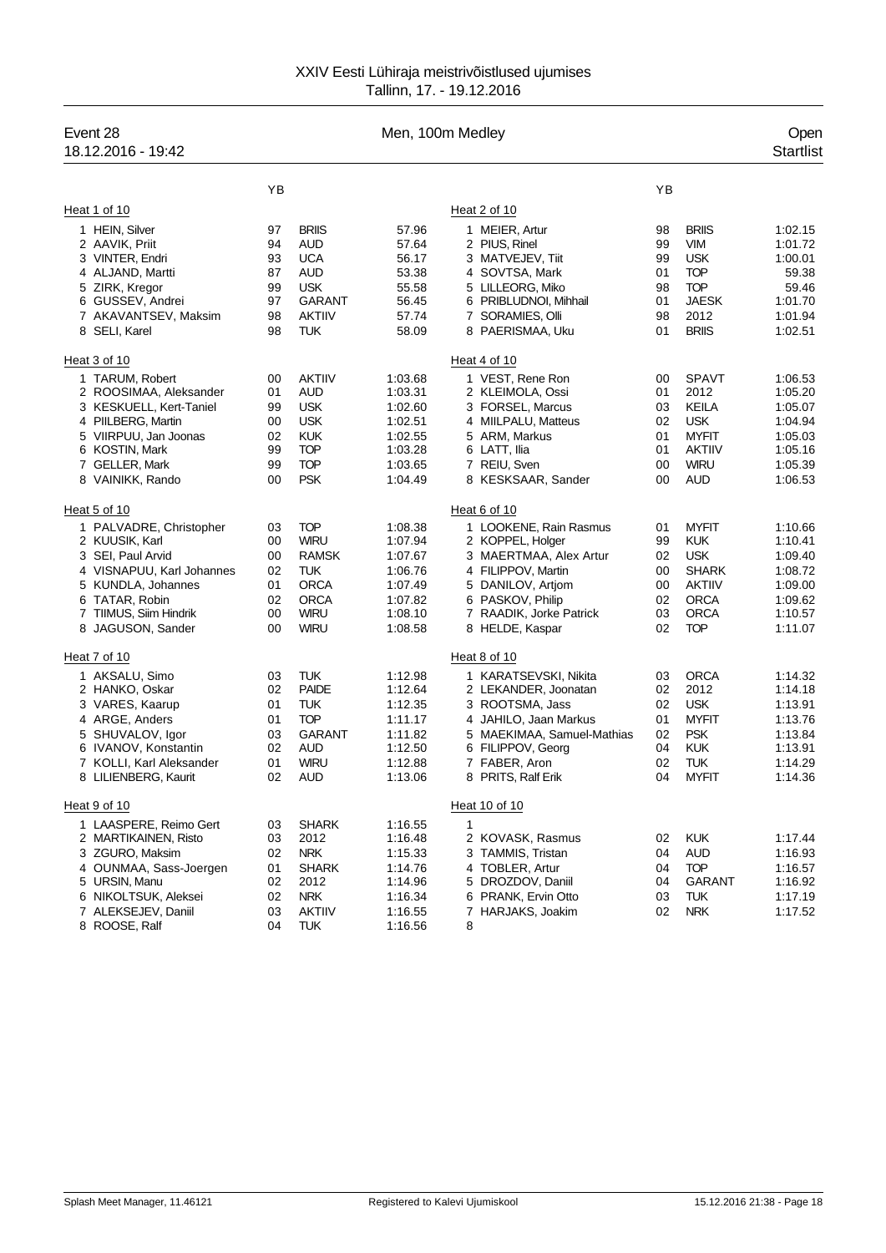| Event 28<br>18.12.2016 - 19:42                                                                                                                                                     |                                              |                                                                                                                      | Men, 100m Medley                                                                     |                                                                                                                                                                                     |                                              |                                                                                                                       | Open<br><b>Startlist</b>                                                             |
|------------------------------------------------------------------------------------------------------------------------------------------------------------------------------------|----------------------------------------------|----------------------------------------------------------------------------------------------------------------------|--------------------------------------------------------------------------------------|-------------------------------------------------------------------------------------------------------------------------------------------------------------------------------------|----------------------------------------------|-----------------------------------------------------------------------------------------------------------------------|--------------------------------------------------------------------------------------|
|                                                                                                                                                                                    | YB                                           |                                                                                                                      |                                                                                      |                                                                                                                                                                                     | YB                                           |                                                                                                                       |                                                                                      |
| Heat 1 of 10                                                                                                                                                                       |                                              |                                                                                                                      |                                                                                      | Heat 2 of 10                                                                                                                                                                        |                                              |                                                                                                                       |                                                                                      |
| 1 HEIN, Silver<br>2 AAVIK, Priit<br>3 VINTER, Endri<br>4 ALJAND, Martti<br>5 ZIRK, Kregor<br>6 GUSSEV, Andrei<br>7 AKAVANTSEV, Maksim<br>8 SELI, Karel                             | 97<br>94<br>93<br>87<br>99<br>97<br>98<br>98 | <b>BRIIS</b><br><b>AUD</b><br><b>UCA</b><br><b>AUD</b><br><b>USK</b><br><b>GARANT</b><br><b>AKTIIV</b><br><b>TUK</b> | 57.96<br>57.64<br>56.17<br>53.38<br>55.58<br>56.45<br>57.74<br>58.09                 | 1 MEIER, Artur<br>2 PIUS, Rinel<br>3 MATVEJEV, Tiit<br>4 SOVTSA, Mark<br>5 LILLEORG, Miko<br>6 PRIBLUDNOI, Mihhail<br>7 SORAMIES, Olli<br>8 PAERISMAA, Uku                          | 98<br>99<br>99<br>01<br>98<br>01<br>98<br>01 | <b>BRIIS</b><br><b>VIM</b><br><b>USK</b><br><b>TOP</b><br><b>TOP</b><br><b>JAESK</b><br>2012<br><b>BRIIS</b>          | 1:02.15<br>1:01.72<br>1:00.01<br>59.38<br>59.46<br>1:01.70<br>1:01.94<br>1:02.51     |
| Heat 3 of 10                                                                                                                                                                       |                                              |                                                                                                                      |                                                                                      | Heat 4 of 10                                                                                                                                                                        |                                              |                                                                                                                       |                                                                                      |
| 1 TARUM, Robert<br>2 ROOSIMAA, Aleksander<br>3 KESKUELL, Kert-Taniel<br>4 PIILBERG, Martin<br>5 VIIRPUU, Jan Joonas<br>6 KOSTIN, Mark<br>7 GELLER, Mark<br>8 VAINIKK, Rando        | 00<br>01<br>99<br>00<br>02<br>99<br>99<br>00 | <b>AKTIIV</b><br><b>AUD</b><br><b>USK</b><br><b>USK</b><br><b>KUK</b><br><b>TOP</b><br><b>TOP</b><br><b>PSK</b>      | 1:03.68<br>1:03.31<br>1:02.60<br>1:02.51<br>1:02.55<br>1:03.28<br>1:03.65<br>1:04.49 | 1 VEST, Rene Ron<br>2 KLEIMOLA, Ossi<br>3 FORSEL, Marcus<br>4 MIILPALU, Matteus<br>5 ARM, Markus<br>6 LATT, Ilia<br>7 REIU, Sven<br>8 KESKSAAR, Sander                              | 00<br>01<br>03<br>02<br>01<br>01<br>00<br>00 | <b>SPAVT</b><br>2012<br>KEILA<br><b>USK</b><br><b>MYFIT</b><br><b>AKTIIV</b><br><b>WIRU</b><br><b>AUD</b>             | 1:06.53<br>1:05.20<br>1:05.07<br>1:04.94<br>1:05.03<br>1:05.16<br>1:05.39<br>1:06.53 |
| Heat 5 of 10                                                                                                                                                                       |                                              |                                                                                                                      |                                                                                      | Heat 6 of 10                                                                                                                                                                        |                                              |                                                                                                                       |                                                                                      |
| 1 PALVADRE, Christopher<br>2 KUUSIK, Karl<br>3 SEI, Paul Arvid<br>4 VISNAPUU, Karl Johannes<br>5 KUNDLA, Johannes<br>6 TATAR, Robin<br>7 TIIMUS, Siim Hindrik<br>8 JAGUSON, Sander | 03<br>00<br>00<br>02<br>01<br>02<br>00<br>00 | <b>TOP</b><br><b>WIRU</b><br><b>RAMSK</b><br><b>TUK</b><br><b>ORCA</b><br><b>ORCA</b><br><b>WIRU</b><br><b>WIRU</b>  | 1:08.38<br>1:07.94<br>1:07.67<br>1:06.76<br>1:07.49<br>1:07.82<br>1:08.10<br>1:08.58 | 1 LOOKENE, Rain Rasmus<br>2 KOPPEL, Holger<br>3 MAERTMAA, Alex Artur<br>4 FILIPPOV, Martin<br>5 DANILOV, Artjom<br>6 PASKOV, Philip<br>7 RAADIK, Jorke Patrick<br>8 HELDE, Kaspar   | 01<br>99<br>02<br>00<br>00<br>02<br>03<br>02 | <b>MYFIT</b><br><b>KUK</b><br><b>USK</b><br><b>SHARK</b><br><b>AKTIIV</b><br><b>ORCA</b><br><b>ORCA</b><br><b>TOP</b> | 1:10.66<br>1:10.41<br>1:09.40<br>1:08.72<br>1:09.00<br>1:09.62<br>1:10.57<br>1:11.07 |
| Heat 7 of 10                                                                                                                                                                       |                                              |                                                                                                                      |                                                                                      | Heat 8 of 10                                                                                                                                                                        |                                              |                                                                                                                       |                                                                                      |
| 1 AKSALU, Simo<br>2 HANKO, Oskar<br>3 VARES, Kaarup<br>4 ARGE, Anders<br>5 SHUVALOV, Igor<br>6 IVANOV, Konstantin<br>7 KOLLI, Karl Aleksander<br>8 LILIENBERG, Kaurit              | 03<br>02<br>01<br>01<br>03<br>02<br>01<br>02 | <b>TUK</b><br><b>PAIDE</b><br><b>TUK</b><br><b>TOP</b><br>GARANT<br>AUD<br><b>WIRU</b><br><b>AUD</b>                 | 1:12.98<br>1:12.64<br>1:12.35<br>1:11.17<br>1:11.82<br>1:12.50<br>1:12.88<br>1:13.06 | 1 KARATSEVSKI, Nikita<br>2 LEKANDER, Joonatan<br>3 ROOTSMA, Jass<br>4 JAHILO, Jaan Markus<br>5 MAEKIMAA, Samuel-Mathias<br>6 FILIPPOV, Georg<br>7 FABER, Aron<br>8 PRITS, Ralf Erik | 03<br>02<br>02<br>01<br>02<br>04<br>02<br>04 | <b>ORCA</b><br>2012<br><b>USK</b><br><b>MYFIT</b><br><b>PSK</b><br><b>KUK</b><br><b>TUK</b><br><b>MYFIT</b>           | 1:14.32<br>1:14.18<br>1:13.91<br>1:13.76<br>1:13.84<br>1:13.91<br>1:14.29<br>1:14.36 |
| Heat 9 of 10                                                                                                                                                                       |                                              |                                                                                                                      |                                                                                      | Heat 10 of 10                                                                                                                                                                       |                                              |                                                                                                                       |                                                                                      |
| 1 LAASPERE, Reimo Gert<br>2 MARTIKAINEN, Risto<br>3 ZGURO, Maksim<br>4 OUNMAA, Sass-Joergen<br>5 URSIN, Manu<br>6 NIKOLTSUK, Aleksei<br>7 ALEKSEJEV, Daniil<br>8 ROOSE, Ralf       | 03<br>03<br>02<br>01<br>02<br>02<br>03<br>04 | <b>SHARK</b><br>2012<br><b>NRK</b><br><b>SHARK</b><br>2012<br><b>NRK</b><br><b>AKTIIV</b><br><b>TUK</b>              | 1:16.55<br>1:16.48<br>1:15.33<br>1:14.76<br>1:14.96<br>1:16.34<br>1:16.55<br>1:16.56 | $\mathbf{1}$<br>2 KOVASK, Rasmus<br>3 TAMMIS, Tristan<br>4 TOBLER, Artur<br>5 DROZDOV, Daniil<br>6 PRANK, Ervin Otto<br>7 HARJAKS, Joakim<br>8                                      | 02<br>04<br>04<br>04<br>03<br>02             | <b>KUK</b><br><b>AUD</b><br><b>TOP</b><br>GARANT<br><b>TUK</b><br><b>NRK</b>                                          | 1.17.44<br>1:16.93<br>1:16.57<br>1:16.92<br>1:17.19<br>1:17.52                       |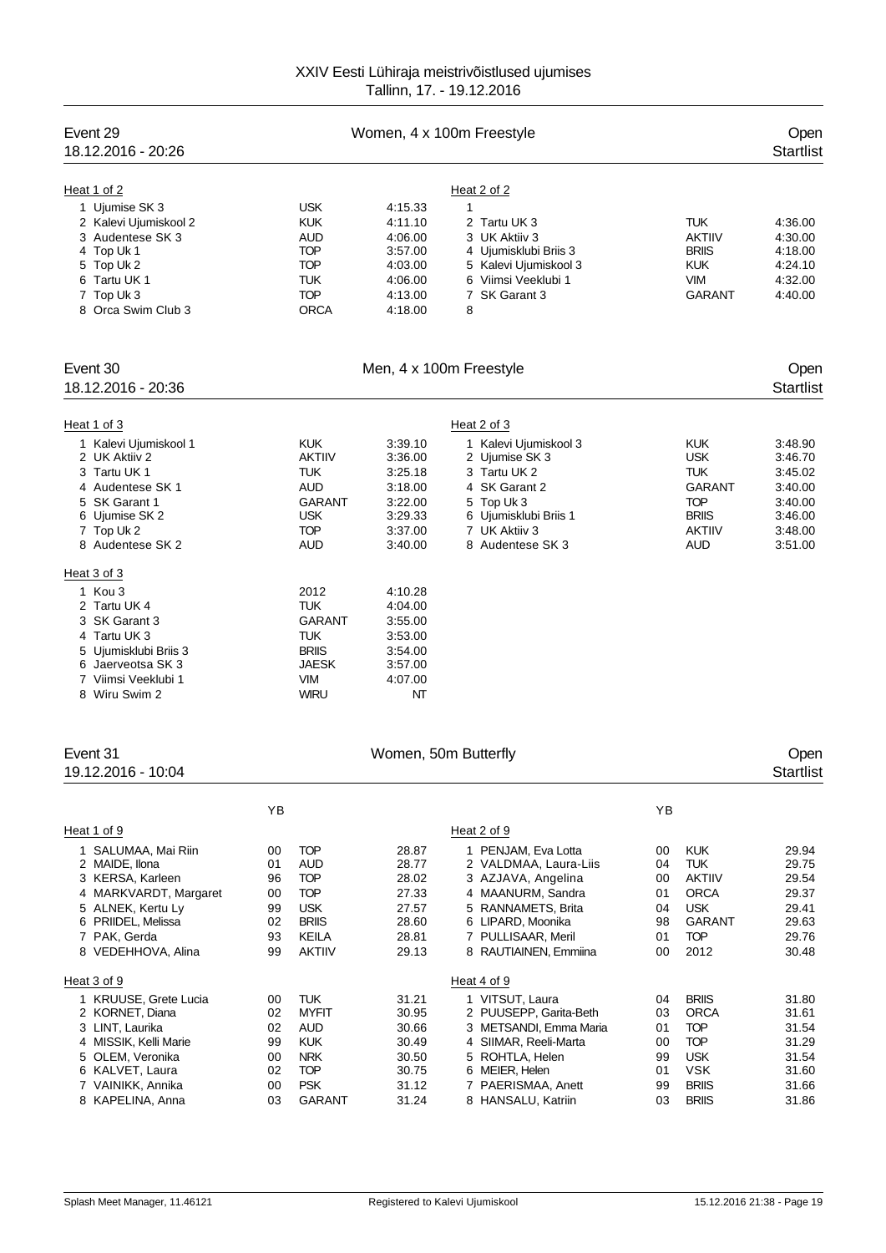| Event 29<br>18.12.2016 - 20:26                                                                                                                                                     |                                              |                                                                                                                   |                                                                                      | Women, 4 x 100m Freestyle                                                                                                                                                                        |                                              |                                                                                                                      | Open<br><b>Startlist</b>                                                             |
|------------------------------------------------------------------------------------------------------------------------------------------------------------------------------------|----------------------------------------------|-------------------------------------------------------------------------------------------------------------------|--------------------------------------------------------------------------------------|--------------------------------------------------------------------------------------------------------------------------------------------------------------------------------------------------|----------------------------------------------|----------------------------------------------------------------------------------------------------------------------|--------------------------------------------------------------------------------------|
| Heat 1 of 2<br>1 Ujumise SK 3<br>2 Kalevi Ujumiskool 2<br>3 Audentese SK 3<br>4 Top Uk 1<br>5 Top Uk 2<br>6 Tartu UK 1<br>7 Top Uk 3<br>8 Orca Swim Club 3                         |                                              | <b>USK</b><br><b>KUK</b><br><b>AUD</b><br>TOP<br><b>TOP</b><br>TUK<br><b>TOP</b><br><b>ORCA</b>                   | 4:15.33<br>4:11.10<br>4:06.00<br>3:57.00<br>4:03.00<br>4:06.00<br>4:13.00<br>4:18.00 | Heat 2 of 2<br>$\mathbf{1}$<br>2 Tartu UK 3<br>3 UK Aktiiv 3<br>4 Ujumisklubi Briis 3<br>5 Kalevi Ujumiskool 3<br>6 Viimsi Veeklubi 1<br>7 SK Garant 3<br>8                                      |                                              | <b>TUK</b><br><b>AKTIIV</b><br><b>BRIIS</b><br><b>KUK</b><br><b>VIM</b><br><b>GARANT</b>                             | 4:36.00<br>4:30.00<br>4:18.00<br>4:24.10<br>4:32.00<br>4:40.00                       |
| Event 30<br>18.12.2016 - 20:36                                                                                                                                                     |                                              |                                                                                                                   |                                                                                      | Men, 4 x 100m Freestyle                                                                                                                                                                          |                                              |                                                                                                                      | Open<br><b>Startlist</b>                                                             |
| Heat 1 of 3                                                                                                                                                                        |                                              |                                                                                                                   |                                                                                      | Heat 2 of 3                                                                                                                                                                                      |                                              |                                                                                                                      |                                                                                      |
| 1 Kalevi Ujumiskool 1<br>2 UK Aktiiv 2<br>3 Tartu UK 1<br>4 Audentese SK 1<br>5 SK Garant 1<br>6 Ujumise SK 2<br>7 Top Uk 2<br>8 Audentese SK 2<br>Heat 3 of 3                     |                                              | <b>KUK</b><br><b>AKTIIV</b><br>TUK<br><b>AUD</b><br>GARANT<br><b>USK</b><br>TOP<br><b>AUD</b>                     | 3:39.10<br>3:36.00<br>3:25.18<br>3:18.00<br>3:22.00<br>3:29.33<br>3:37.00<br>3:40.00 | 1 Kalevi Ujumiskool 3<br>2 Ujumise SK 3<br>3 Tartu UK 2<br>4 SK Garant 2<br>5 Top Uk 3<br>6 Ujumisklubi Briis 1<br>7 UK Aktiiv 3<br>8 Audentese SK 3                                             |                                              | <b>KUK</b><br><b>USK</b><br><b>TUK</b><br><b>GARANT</b><br><b>TOP</b><br><b>BRIIS</b><br><b>AKTIIV</b><br><b>AUD</b> | 3:48.90<br>3:46.70<br>3:45.02<br>3:40.00<br>3:40.00<br>3:46.00<br>3:48.00<br>3:51.00 |
| 1 Kou 3<br>2 Tartu UK 4<br>3 SK Garant 3<br>4 Tartu UK 3<br>5 Ujumisklubi Briis 3<br>6 Jaerveotsa SK 3<br>7 Viimsi Veeklubi 1<br>8 Wiru Swim 2                                     |                                              | 2012<br>TUK<br><b>GARANT</b><br>TUK<br><b>BRIIS</b><br>JAESK<br><b>VIM</b><br><b>WIRU</b>                         | 4:10.28<br>4:04.00<br>3:55.00<br>3:53.00<br>3:54.00<br>3:57.00<br>4:07.00<br>NT      |                                                                                                                                                                                                  |                                              |                                                                                                                      |                                                                                      |
| Event 31<br>19.12.2016 - 10:04                                                                                                                                                     |                                              |                                                                                                                   | Women, 50m Butterfly                                                                 |                                                                                                                                                                                                  |                                              |                                                                                                                      | Open<br><b>Startlist</b>                                                             |
|                                                                                                                                                                                    | ΥB                                           |                                                                                                                   |                                                                                      |                                                                                                                                                                                                  | ΥB                                           |                                                                                                                      |                                                                                      |
| Heat 1 of 9<br>1 SALUMAA, Mai Riin<br>2 MAIDE, Ilona<br>3 KERSA, Karleen<br>4 MARKVARDT, Margaret<br>5 ALNEK, Kertu Ly<br>6 PRIIDEL, Melissa<br>7 PAK, Gerda<br>8 VEDEHHOVA, Alina | 00<br>01<br>96<br>00<br>99<br>02<br>93<br>99 | <b>TOP</b><br>AUD<br><b>TOP</b><br><b>TOP</b><br><b>USK</b><br><b>BRIIS</b><br>KEILA<br><b>AKTIIV</b>             | 28.87<br>28.77<br>28.02<br>27.33<br>27.57<br>28.60<br>28.81<br>29.13                 | Heat 2 of 9<br>1 PENJAM, Eva Lotta<br>2 VALDMAA, Laura-Liis<br>3 AZJAVA, Angelina<br>4 MAANURM, Sandra<br>5 RANNAMETS, Brita<br>6 LIPARD, Moonika<br>7 PULLISAAR, Meril<br>8 RAUTIAINEN, Emmiina | 00<br>04<br>00<br>01<br>04<br>98<br>01<br>00 | <b>KUK</b><br>TUK<br><b>AKTIIV</b><br><b>ORCA</b><br><b>USK</b><br><b>GARANT</b><br><b>TOP</b><br>2012               | 29.94<br>29.75<br>29.54<br>29.37<br>29.41<br>29.63<br>29.76<br>30.48                 |
| Heat 3 of 9                                                                                                                                                                        |                                              |                                                                                                                   |                                                                                      | Heat 4 of 9                                                                                                                                                                                      |                                              |                                                                                                                      |                                                                                      |
| 1 KRUUSE, Grete Lucia<br>2 KORNET, Diana<br>3 LINT, Laurika<br>4 MISSIK, Kelli Marie<br>5 OLEM, Veronika<br>6 KALVET, Laura<br>7 VAINIKK, Annika<br>8 KAPELINA, Anna               | 00<br>02<br>02<br>99<br>00<br>02<br>00<br>03 | <b>TUK</b><br><b>MYFIT</b><br><b>AUD</b><br><b>KUK</b><br><b>NRK</b><br><b>TOP</b><br><b>PSK</b><br><b>GARANT</b> | 31.21<br>30.95<br>30.66<br>30.49<br>30.50<br>30.75<br>31.12<br>31.24                 | 1 VITSUT, Laura<br>2 PUUSEPP, Garita-Beth<br>3 METSANDI, Emma Maria<br>4 SIIMAR, Reeli-Marta<br>5 ROHTLA, Helen<br>6 MEIER, Helen<br>7 PAERISMAA, Anett<br>8 HANSALU, Katriin                    | 04<br>03<br>01<br>00<br>99<br>01<br>99<br>03 | <b>BRIIS</b><br><b>ORCA</b><br><b>TOP</b><br><b>TOP</b><br><b>USK</b><br><b>VSK</b><br><b>BRIIS</b><br><b>BRIIS</b>  | 31.80<br>31.61<br>31.54<br>31.29<br>31.54<br>31.60<br>31.66<br>31.86                 |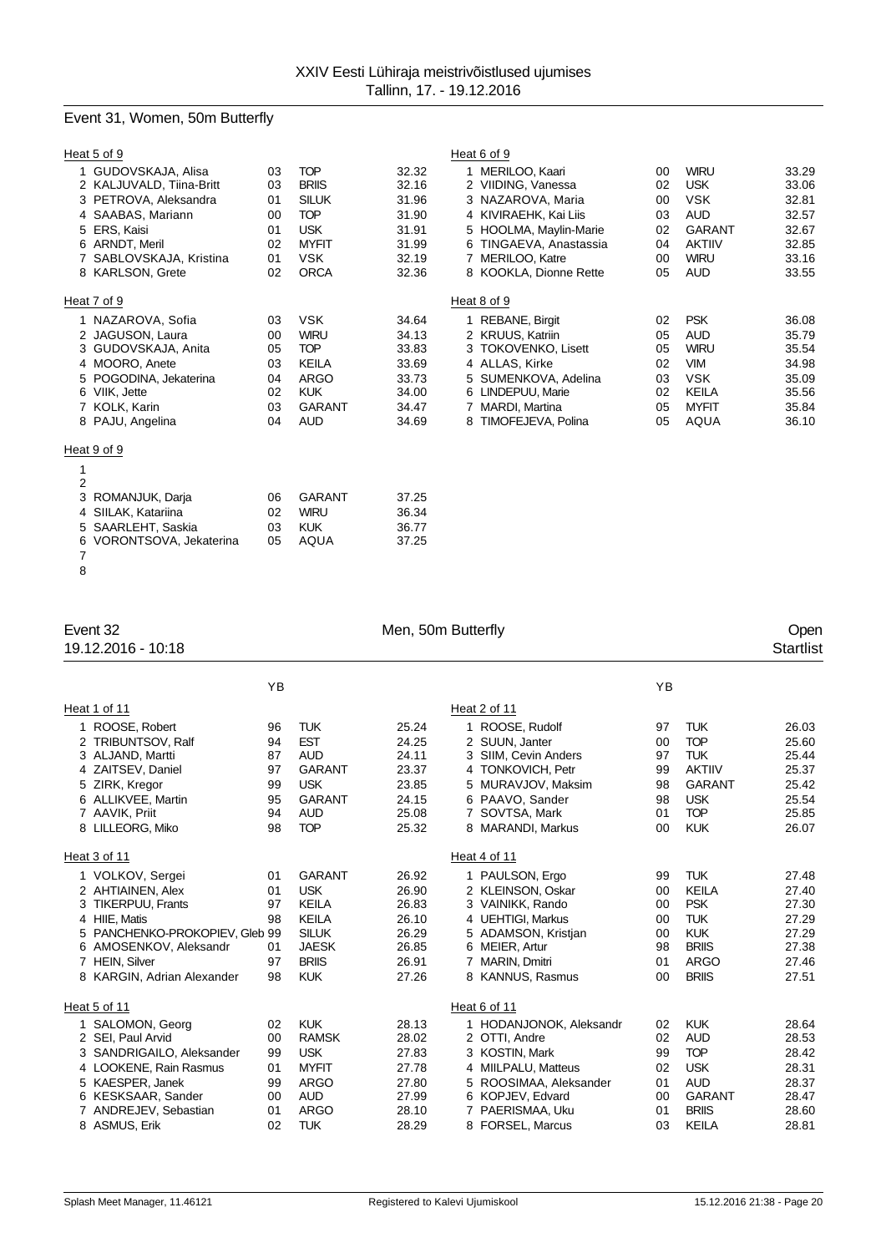# Event 31, Women, 50m Butterfly

| Heat 5 of 9              |    |               |       | Heat 6 of 9             |    |               |       |
|--------------------------|----|---------------|-------|-------------------------|----|---------------|-------|
| 1 GUDOVSKAJA, Alisa      | 03 | <b>TOP</b>    | 32.32 | 1 MERILOO, Kaari        | 00 | <b>WIRU</b>   | 33.29 |
| 2 KALJUVALD, Tiina-Britt | 03 | <b>BRIIS</b>  | 32.16 | 2 VIIDING, Vanessa      | 02 | <b>USK</b>    | 33.06 |
| 3 PETROVA, Aleksandra    | 01 | <b>SILUK</b>  | 31.96 | 3 NAZAROVA, Maria       | 00 | <b>VSK</b>    | 32.81 |
| 4 SAABAS, Mariann        | 00 | <b>TOP</b>    | 31.90 | 4 KIVIRAEHK, Kai Liis   | 03 | <b>AUD</b>    | 32.57 |
| ERS, Kaisi<br>5          | 01 | <b>USK</b>    | 31.91 | 5 HOOLMA, Maylin-Marie  | 02 | <b>GARANT</b> | 32.67 |
| 6 ARNDT, Meril           | 02 | <b>MYFIT</b>  | 31.99 | 6 TINGAEVA, Anastassia  | 04 | <b>AKTIIV</b> | 32.85 |
| 7 SABLOVSKAJA, Kristina  | 01 | <b>VSK</b>    | 32.19 | 7 MERILOO, Katre        | 00 | <b>WIRU</b>   | 33.16 |
| 8 KARLSON, Grete         | 02 | <b>ORCA</b>   | 32.36 | 8 KOOKLA, Dionne Rette  | 05 | <b>AUD</b>    | 33.55 |
| Heat 7 of 9              |    |               |       | Heat 8 of 9             |    |               |       |
| 1 NAZAROVA, Sofia        | 03 | <b>VSK</b>    | 34.64 | 1 REBANE, Birgit        | 02 | <b>PSK</b>    | 36.08 |
| 2 JAGUSON, Laura         | 00 | <b>WIRU</b>   | 34.13 | 2 KRUUS, Katriin        | 05 | <b>AUD</b>    | 35.79 |
| 3 GUDOVSKAJA, Anita      | 05 | <b>TOP</b>    | 33.83 | 3 TOKOVENKO, Lisett     | 05 | <b>WIRU</b>   | 35.54 |
| 4 MOORO, Anete           | 03 | <b>KEILA</b>  | 33.69 | 4 ALLAS, Kirke          | 02 | <b>VIM</b>    | 34.98 |
| 5 POGODINA, Jekaterina   | 04 | <b>ARGO</b>   | 33.73 | 5 SUMENKOVA, Adelina    | 03 | <b>VSK</b>    | 35.09 |
| 6 VIIK, Jette            | 02 | <b>KUK</b>    | 34.00 | 6 LINDEPUU, Marie       | 02 | KEILA         | 35.56 |
| 7 KOLK, Karin            | 03 | <b>GARANT</b> | 34.47 | 7 MARDI, Martina        | 05 | <b>MYFIT</b>  | 35.84 |
| 8 PAJU, Angelina         | 04 | <b>AUD</b>    | 34.69 | TIMOFEJEVA, Polina<br>8 | 05 | <b>AQUA</b>   | 36.10 |
| Heat 9 of 9              |    |               |       |                         |    |               |       |
| 1                        |    |               |       |                         |    |               |       |
| $\overline{2}$           |    |               |       |                         |    |               |       |
| 3<br>ROMANJUK, Darja     | 06 | <b>GARANT</b> | 37.25 |                         |    |               |       |
| 4 SIILAK, Katariina      | 02 | <b>WIRU</b>   | 36.34 |                         |    |               |       |
| 5 SAARLEHT, Saskia       | 03 | <b>KUK</b>    | 36.77 |                         |    |               |       |
| 6 VORONTSOVA, Jekaterina | 05 | AQUA          | 37.25 |                         |    |               |       |

 

# 19.12.2016 - 10:18

# Event 32 Open<br>
19.12.2016 - 10:18 Open<br>
19.12.2016 - 10:18 Startlist

|             |                                                                                                                                                                                                | YB                                           |                                                                                                                           |                                                                      |  |                                                                                                                                                                         | YB                                                    |                                                                                                                     |                                                                      |
|-------------|------------------------------------------------------------------------------------------------------------------------------------------------------------------------------------------------|----------------------------------------------|---------------------------------------------------------------------------------------------------------------------------|----------------------------------------------------------------------|--|-------------------------------------------------------------------------------------------------------------------------------------------------------------------------|-------------------------------------------------------|---------------------------------------------------------------------------------------------------------------------|----------------------------------------------------------------------|
|             | Heat 1 of 11                                                                                                                                                                                   |                                              |                                                                                                                           |                                                                      |  | Heat 2 of 11                                                                                                                                                            |                                                       |                                                                                                                     |                                                                      |
| 4<br>5.     | ROOSE, Robert<br><b>TRIBUNTSOV, Ralf</b><br>ALJAND, Martti<br>ZAITSEV, Daniel<br>ZIRK, Kregor<br>ALLIKVEE, Martin<br>AAVIK, Priit<br>8 LILLEORG, Miko                                          | 96<br>94<br>87<br>97<br>99<br>95<br>94<br>98 | <b>TUK</b><br><b>EST</b><br><b>AUD</b><br><b>GARANT</b><br><b>USK</b><br><b>GARANT</b><br><b>AUD</b><br><b>TOP</b>        | 25.24<br>24.25<br>24.11<br>23.37<br>23.85<br>24.15<br>25.08<br>25.32 |  | 1 ROOSE, Rudolf<br>2 SUUN, Janter<br>3 SIIM, Cevin Anders<br>4 TONKOVICH, Petr<br>5 MURAVJOV, Maksim<br>6 PAAVO, Sander<br>7 SOVTSA, Mark<br>8 MARANDI, Markus          | 97<br>00<br>97<br>99<br>98<br>98<br>01<br>00          | <b>TUK</b><br><b>TOP</b><br><b>TUK</b><br><b>AKTIIV</b><br><b>GARANT</b><br><b>USK</b><br><b>TOP</b><br><b>KUK</b>  | 26.03<br>25.60<br>25.44<br>25.37<br>25.42<br>25.54<br>25.85<br>26.07 |
|             | Heat 3 of 11                                                                                                                                                                                   |                                              |                                                                                                                           |                                                                      |  | Heat 4 of 11                                                                                                                                                            |                                                       |                                                                                                                     |                                                                      |
| 3<br>6<br>7 | 1 VOLKOV, Sergei<br>2 AHTIAINEN, Alex<br><b>TIKERPUU, Frants</b><br>4 HIIE. Matis<br>PANCHENKO-PROKOPIEV, Gleb 99<br>AMOSENKOV, Aleksandr<br><b>HEIN, Silver</b><br>8 KARGIN, Adrian Alexander | 01<br>01<br>97<br>98<br>01<br>97<br>98       | <b>GARANT</b><br><b>USK</b><br><b>KEILA</b><br><b>KEILA</b><br><b>SILUK</b><br><b>JAESK</b><br><b>BRIIS</b><br><b>KUK</b> | 26.92<br>26.90<br>26.83<br>26.10<br>26.29<br>26.85<br>26.91<br>27.26 |  | 1 PAULSON, Ergo<br>2 KLEINSON, Oskar<br>3 VAINIKK, Rando<br>4 UEHTIGI. Markus<br>5 ADAMSON, Kristjan<br>6 MEIER, Artur<br>7 MARIN, Dmitri<br>8 KANNUS, Rasmus           | 99<br>00<br>$00\,$<br>00<br>00<br>98<br>01<br>$00 \,$ | <b>TUK</b><br><b>KEILA</b><br><b>PSK</b><br><b>TUK</b><br><b>KUK</b><br><b>BRIIS</b><br><b>ARGO</b><br><b>BRIIS</b> | 27.48<br>27.40<br>27.30<br>27.29<br>27.29<br>27.38<br>27.46<br>27.51 |
|             | Heat 5 of 11                                                                                                                                                                                   |                                              |                                                                                                                           |                                                                      |  | Heat 6 of 11                                                                                                                                                            |                                                       |                                                                                                                     |                                                                      |
| 5.<br>6     | SALOMON, Georg<br>2 SEI, Paul Arvid<br>SANDRIGAILO, Aleksander<br>4 LOOKENE, Rain Rasmus<br>KAESPER, Janek<br>KESKSAAR, Sander<br>ANDREJEV, Sebastian<br>8 ASMUS, Erik                         | 02<br>00<br>99<br>01<br>99<br>00<br>01<br>02 | <b>KUK</b><br><b>RAMSK</b><br><b>USK</b><br><b>MYFIT</b><br><b>ARGO</b><br><b>AUD</b><br><b>ARGO</b><br><b>TUK</b>        | 28.13<br>28.02<br>27.83<br>27.78<br>27.80<br>27.99<br>28.10<br>28.29 |  | 1 HODANJONOK, Aleksandr<br>2 OTTI, Andre<br>3 KOSTIN, Mark<br>4 MIILPALU, Matteus<br>5 ROOSIMAA, Aleksander<br>6 KOPJEV, Edvard<br>7 PAERISMAA, Uku<br>8 FORSEL, Marcus | 02<br>02<br>99<br>02<br>01<br>$00\,$<br>01<br>03      | <b>KUK</b><br><b>AUD</b><br><b>TOP</b><br><b>USK</b><br><b>AUD</b><br><b>GARANT</b><br><b>BRIIS</b><br><b>KEILA</b> | 28.64<br>28.53<br>28.42<br>28.31<br>28.37<br>28.47<br>28.60<br>28.81 |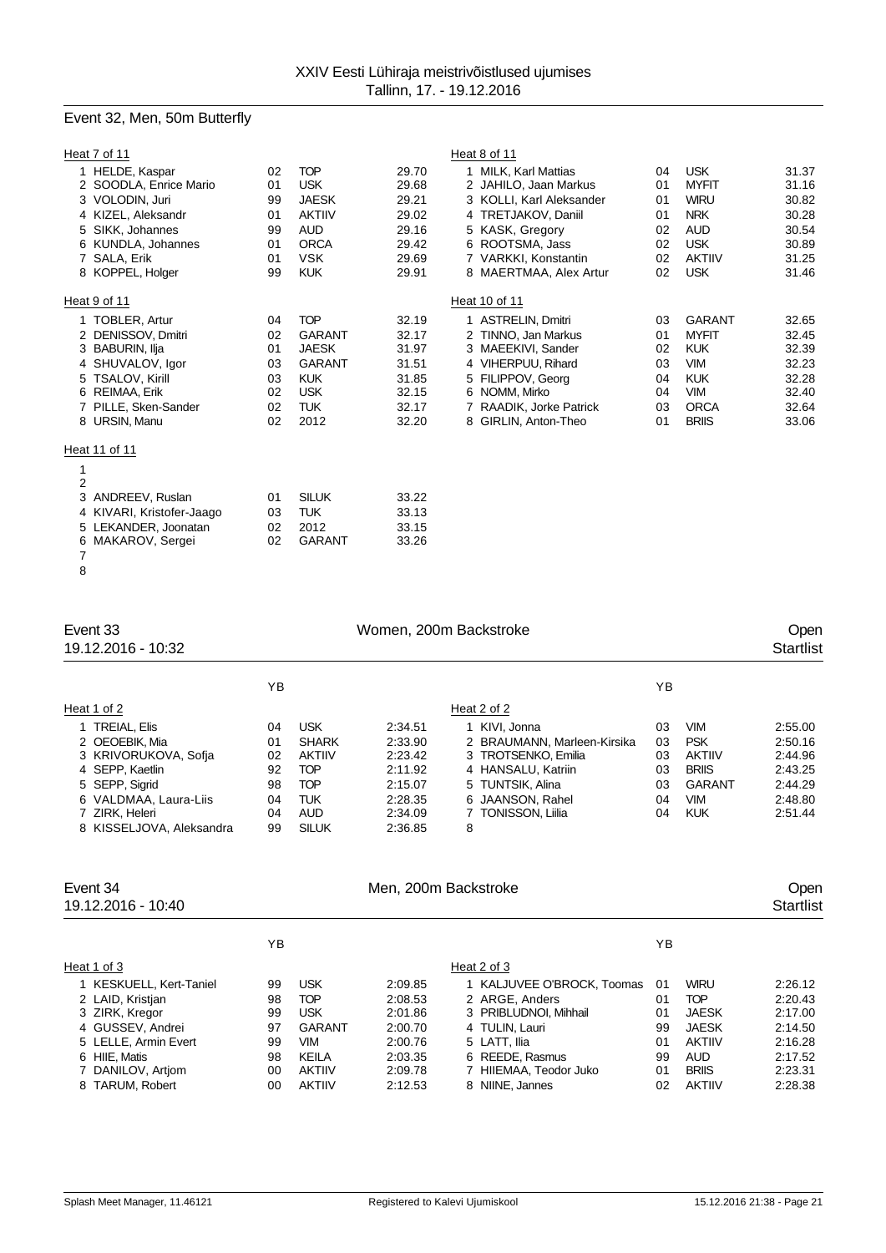# Event 32, Men, 50m Butterfly

| Heat 7 of 11              |    |               |       | Heat 8 of 11             |    |               |       |
|---------------------------|----|---------------|-------|--------------------------|----|---------------|-------|
| HELDE, Kaspar             | 02 | <b>TOP</b>    | 29.70 | 1 MILK. Karl Mattias     | 04 | <b>USK</b>    | 31.37 |
| 2 SOODLA, Enrice Mario    | 01 | <b>USK</b>    | 29.68 | 2 JAHILO, Jaan Markus    | 01 | <b>MYFIT</b>  | 31.16 |
| 3 VOLODIN, Juri           | 99 | <b>JAESK</b>  | 29.21 | 3 KOLLI, Karl Aleksander | 01 | <b>WIRU</b>   | 30.82 |
| 4 KIZEL, Aleksandr        | 01 | <b>AKTIIV</b> | 29.02 | 4 TRETJAKOV, Daniil      | 01 | <b>NRK</b>    | 30.28 |
| 5 SIKK, Johannes          | 99 | <b>AUD</b>    | 29.16 | 5 KASK, Gregory          | 02 | <b>AUD</b>    | 30.54 |
| 6 KUNDLA, Johannes        | 01 | <b>ORCA</b>   | 29.42 | 6 ROOTSMA, Jass          | 02 | <b>USK</b>    | 30.89 |
| 7 SALA, Erik              | 01 | <b>VSK</b>    | 29.69 | 7 VARKKI, Konstantin     | 02 | <b>AKTIIV</b> | 31.25 |
| 8 KOPPEL, Holger          | 99 | <b>KUK</b>    | 29.91 | 8 MAERTMAA, Alex Artur   | 02 | <b>USK</b>    | 31.46 |
| Heat 9 of 11              |    |               |       | Heat 10 of 11            |    |               |       |
| 1 TOBLER, Artur           | 04 | <b>TOP</b>    | 32.19 | 1 ASTRELIN, Dmitri       | 03 | <b>GARANT</b> | 32.65 |
| 2 DENISSOV, Dmitri        | 02 | <b>GARANT</b> | 32.17 | 2 TINNO, Jan Markus      | 01 | <b>MYFIT</b>  | 32.45 |
| 3 BABURIN, Ilja           | 01 | <b>JAESK</b>  | 31.97 | 3 MAEEKIVI, Sander       | 02 | <b>KUK</b>    | 32.39 |
| 4 SHUVALOV, Igor          | 03 | <b>GARANT</b> | 31.51 | 4 VIHERPUU, Rihard       | 03 | <b>VIM</b>    | 32.23 |
| 5 TSALOV, Kirill          | 03 | <b>KUK</b>    | 31.85 | 5 FILIPPOV, Georg        | 04 | <b>KUK</b>    | 32.28 |
| 6 REIMAA, Erik            | 02 | <b>USK</b>    | 32.15 | 6 NOMM, Mirko            | 04 | <b>VIM</b>    | 32.40 |
| 7 PILLE, Sken-Sander      | 02 | <b>TUK</b>    | 32.17 | 7 RAADIK, Jorke Patrick  | 03 | <b>ORCA</b>   | 32.64 |
| 8 URSIN, Manu             | 02 | 2012          | 32.20 | 8 GIRLIN, Anton-Theo     | 01 | <b>BRIIS</b>  | 33.06 |
| Heat 11 of 11             |    |               |       |                          |    |               |       |
|                           |    |               |       |                          |    |               |       |
| $\overline{2}$            |    |               |       |                          |    |               |       |
| ANDREEV, Ruslan<br>3      | 01 | <b>SILUK</b>  | 33.22 |                          |    |               |       |
| 4 KIVARI, Kristofer-Jaago | 03 | <b>TUK</b>    | 33.13 |                          |    |               |       |
| 5 LEKANDER, Joonatan      | 02 | 2012          | 33.15 |                          |    |               |       |
| 6 MAKAROV, Sergei         | 02 | <b>GARANT</b> | 33.26 |                          |    |               |       |

| Event 33<br>19.12.2016 - 10:32                                                                                                                                       | Women, 200m Backstroke                       |                                                                                                              |                                                                                      |                                                                                                                                                              |                                        |                                                                                                 |                                                                           |  |  |  |
|----------------------------------------------------------------------------------------------------------------------------------------------------------------------|----------------------------------------------|--------------------------------------------------------------------------------------------------------------|--------------------------------------------------------------------------------------|--------------------------------------------------------------------------------------------------------------------------------------------------------------|----------------------------------------|-------------------------------------------------------------------------------------------------|---------------------------------------------------------------------------|--|--|--|
|                                                                                                                                                                      | YB                                           |                                                                                                              |                                                                                      |                                                                                                                                                              | YB                                     |                                                                                                 |                                                                           |  |  |  |
| Heat 1 of 2                                                                                                                                                          |                                              |                                                                                                              |                                                                                      | Heat 2 of 2                                                                                                                                                  |                                        |                                                                                                 |                                                                           |  |  |  |
| 1 TREIAL, Elis<br>2 OEOEBIK, Mia<br>3 KRIVORUKOVA, Sofja<br>4 SEPP, Kaetlin<br>5 SEPP, Sigrid<br>6 VALDMAA, Laura-Liis<br>7 ZIRK, Heleri<br>8 KISSELJOVA, Aleksandra | 04<br>01<br>02<br>92<br>98<br>04<br>04<br>99 | <b>USK</b><br><b>SHARK</b><br><b>AKTIIV</b><br><b>TOP</b><br><b>TOP</b><br><b>TUK</b><br>AUD<br><b>SILUK</b> | 2:34.51<br>2:33.90<br>2:23.42<br>2:11.92<br>2:15.07<br>2:28.35<br>2:34.09<br>2:36.85 | 1 KIVI, Jonna<br>2 BRAUMANN, Marleen-Kirsika<br>3 TROTSENKO, Emilia<br>4 HANSALU, Katriin<br>5 TUNTSIK, Alina<br>6 JAANSON, Rahel<br>7 TONISSON, Liilia<br>8 | 03<br>03<br>03<br>03<br>03<br>04<br>04 | <b>VIM</b><br><b>PSK</b><br>AKTIIV<br><b>BRIIS</b><br><b>GARANT</b><br><b>VIM</b><br><b>KUK</b> | 2:55.00<br>2:50.16<br>2:44.96<br>2:43.25<br>2:44.29<br>2:48.80<br>2:51.44 |  |  |  |
| Event 34<br>19.12.2016 - 10:40                                                                                                                                       |                                              |                                                                                                              | Men, 200m Backstroke                                                                 |                                                                                                                                                              |                                        |                                                                                                 | Open<br><b>Startlist</b>                                                  |  |  |  |
|                                                                                                                                                                      | ΥB                                           |                                                                                                              |                                                                                      |                                                                                                                                                              | ΥB                                     |                                                                                                 |                                                                           |  |  |  |

| Heat 1 of 3             |    |               |         | Heat 2 of 3                |    |               |         |
|-------------------------|----|---------------|---------|----------------------------|----|---------------|---------|
| 1 KESKUELL, Kert-Taniel | 99 | <b>USK</b>    | 2:09.85 | 1 KALJUVEE O'BROCK, Toomas | 01 | <b>WIRU</b>   | 2:26.12 |
| 2 LAID, Kristian        | 98 | <b>TOP</b>    | 2:08.53 | 2 ARGE, Anders             | 01 | <b>TOP</b>    | 2:20.43 |
| 3 ZIRK, Kregor          | 99 | <b>USK</b>    | 2:01.86 | 3 PRIBLUDNOI, Mihhail      | 01 | <b>JAESK</b>  | 2:17.00 |
| 4 GUSSEV, Andrei        | 97 | GARANT        | 2:00.70 | 4 TULIN, Lauri             | 99 | <b>JAESK</b>  | 2:14.50 |
| 5 LELLE, Armin Evert    | 99 | VIM           | 2:00.76 | 5 LATT. Ilia               | 01 | <b>AKTIIV</b> | 2:16.28 |
| 6 HIIE, Matis           | 98 | KEILA         | 2:03.35 | 6 REEDE, Rasmus            | 99 | <b>AUD</b>    | 2:17.52 |
| 7 DANILOV, Artiom       | 00 | <b>AKTIIV</b> | 2:09.78 | 7 HIIEMAA, Teodor Juko     | 01 | <b>BRIIS</b>  | 2:23.31 |
| 8 TARUM, Robert         | 00 | <b>AKTIIV</b> | 2:12.53 | 8 NIINE, Jannes            | 02 | <b>AKTIIV</b> | 2:28.38 |
|                         |    |               |         |                            |    |               |         |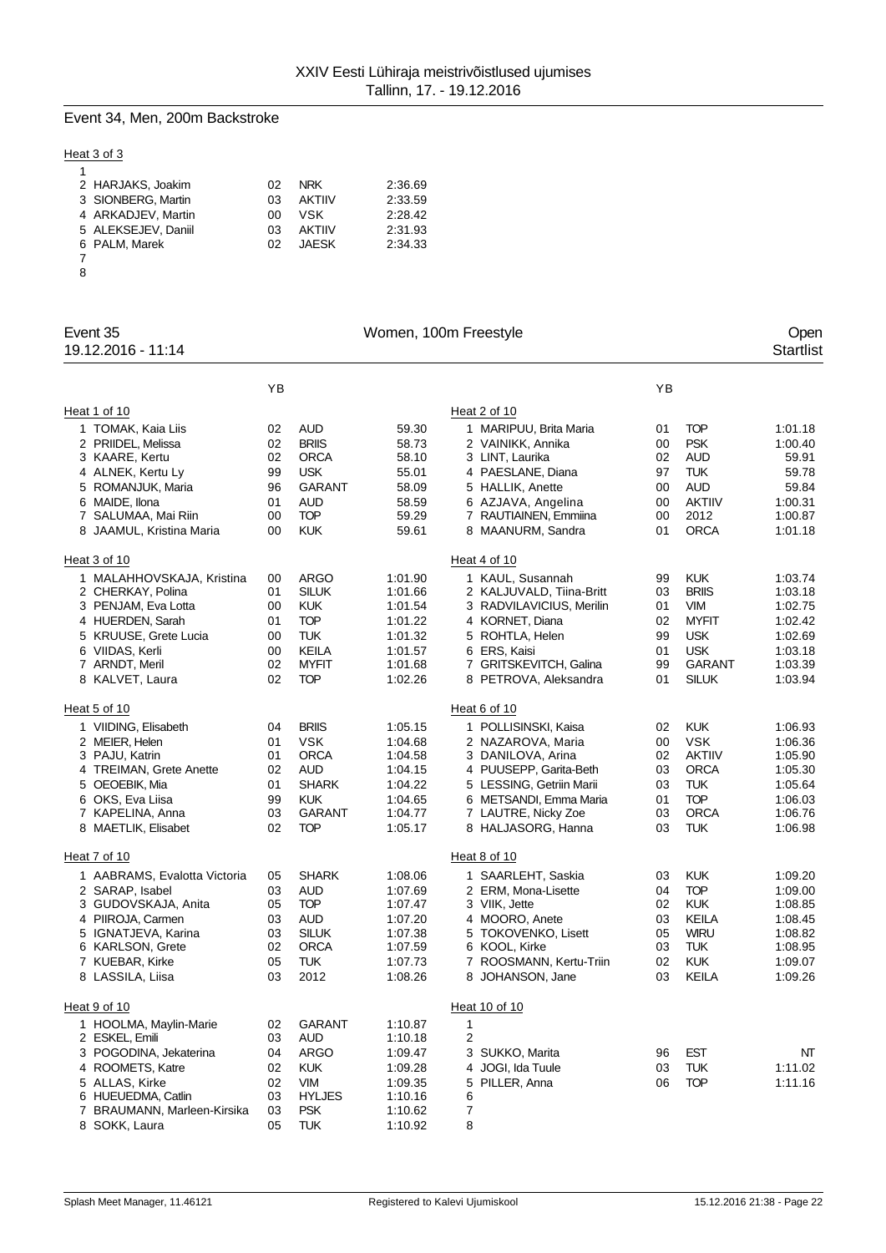## Event 34, Men, 200m Backstroke

## Heat 3 of 3

|   | 2 HARJAKS, Joakim   | በ2  | <b>NRK</b>    | 2:36.69 |
|---|---------------------|-----|---------------|---------|
|   | 3 SIONBERG, Martin  | 03  | <b>AKTIIV</b> | 2:33.59 |
|   | 4 ARKADJEV, Martin  | ΩO  | VSK           | 2:28.42 |
|   | 5 ALEKSEJEV, Daniil | 03  | <b>AKTIIV</b> | 2:31.93 |
|   | 6 PALM, Marek       | 02. | JAFSK.        | 2:34.33 |
|   |                     |     |               |         |
| 8 |                     |     |               |         |

| Event 35<br>19.12.2016 - 11:14           |          |                           |                    | Women, 100m Freestyle                    |          |                          | Open<br><b>Startlist</b> |
|------------------------------------------|----------|---------------------------|--------------------|------------------------------------------|----------|--------------------------|--------------------------|
|                                          | YB       |                           |                    |                                          | YB       |                          |                          |
| Heat 1 of 10                             |          |                           |                    | Heat 2 of 10                             |          |                          |                          |
| 1 TOMAK, Kaia Liis                       | 02       | <b>AUD</b>                | 59.30              | 1 MARIPUU, Brita Maria                   | 01       | <b>TOP</b>               | 1:01.18                  |
| 2 PRIIDEL, Melissa                       | 02       | <b>BRIIS</b>              | 58.73              | 2 VAINIKK, Annika                        | 00       | <b>PSK</b>               | 1:00.40                  |
| 3 KAARE, Kertu                           | 02       | <b>ORCA</b>               | 58.10              | 3 LINT, Laurika                          | 02       | <b>AUD</b>               | 59.91                    |
| 4 ALNEK, Kertu Ly                        | 99       | <b>USK</b>                | 55.01              | 4 PAESLANE, Diana                        | 97       | <b>TUK</b>               | 59.78                    |
| 5 ROMANJUK, Maria                        | 96       | <b>GARANT</b>             | 58.09              | 5 HALLIK, Anette                         | 00       | <b>AUD</b>               | 59.84                    |
| 6 MAIDE, Ilona                           | 01       | <b>AUD</b>                | 58.59              | 6 AZJAVA, Angelina                       | 00       | <b>AKTIIV</b>            | 1:00.31                  |
| 7 SALUMAA, Mai Riin                      | 00       | <b>TOP</b>                | 59.29              | 7 RAUTIAINEN, Emmiina                    | 00       | 2012                     | 1:00.87                  |
| 8 JAAMUL, Kristina Maria                 | 00       | <b>KUK</b>                | 59.61              | 8 MAANURM, Sandra                        | 01       | <b>ORCA</b>              | 1:01.18                  |
| Heat 3 of 10                             |          |                           |                    | Heat 4 of 10                             |          |                          |                          |
| 1 MALAHHOVSKAJA, Kristina                | 00       | <b>ARGO</b>               | 1:01.90            | 1 KAUL, Susannah                         | 99       | <b>KUK</b>               | 1:03.74                  |
| 2 CHERKAY, Polina                        | 01       | <b>SILUK</b>              | 1:01.66            | 2 KALJUVALD, Tiina-Britt                 | 03       | <b>BRIIS</b>             | 1:03.18                  |
| 3 PENJAM, Eva Lotta                      | 00       | <b>KUK</b>                | 1:01.54            | 3 RADVILAVICIUS, Merilin                 | 01       | <b>VIM</b>               | 1:02.75                  |
| 4 HUERDEN, Sarah                         | 01       | <b>TOP</b>                | 1:01.22            | 4 KORNET, Diana                          | 02       | <b>MYFIT</b>             | 1:02.42<br>1:02.69       |
| 5 KRUUSE, Grete Lucia<br>6 VIIDAS, Kerli | 00<br>00 | <b>TUK</b><br>KEILA       | 1:01.32<br>1:01.57 | 5 ROHTLA, Helen<br>6 ERS, Kaisi          | 99<br>01 | <b>USK</b><br><b>USK</b> | 1:03.18                  |
| 7 ARNDT, Meril                           | 02       | <b>MYFIT</b>              | 1:01.68            | 7 GRITSKEVITCH, Galina                   | 99       | <b>GARANT</b>            | 1:03.39                  |
| 8 KALVET, Laura                          | 02       | <b>TOP</b>                | 1:02.26            | 8 PETROVA, Aleksandra                    | 01       | <b>SILUK</b>             | 1:03.94                  |
| Heat 5 of 10                             |          |                           |                    | Heat 6 of 10                             |          |                          |                          |
| 1 VIIDING, Elisabeth                     | 04       | <b>BRIIS</b>              | 1:05.15            | 1 POLLISINSKI, Kaisa                     | 02       | <b>KUK</b>               | 1:06.93                  |
| 2 MEIER, Helen                           | 01       | <b>VSK</b>                | 1:04.68            | 2 NAZAROVA, Maria                        | 00       | <b>VSK</b>               | 1:06.36                  |
| 3 PAJU, Katrin                           | 01       | ORCA                      | 1:04.58            | 3 DANILOVA, Arina                        | 02       | <b>AKTIIV</b>            | 1:05.90                  |
| 4 TREIMAN, Grete Anette                  | 02       | <b>AUD</b>                | 1:04.15            | 4 PUUSEPP, Garita-Beth                   | 03       | <b>ORCA</b>              | 1:05.30                  |
| 5 OEOEBIK, Mia                           | 01       | <b>SHARK</b>              | 1:04.22            | 5 LESSING, Getriin Marii                 | 03       | <b>TUK</b>               | 1:05.64                  |
| 6 OKS, Eva Liisa                         | 99       | <b>KUK</b>                | 1:04.65            | 6 METSANDI, Emma Maria                   | 01       | <b>TOP</b>               | 1:06.03                  |
| 7 KAPELINA, Anna                         | 03       | GARANT                    | 1:04.77            | 7 LAUTRE, Nicky Zoe                      | 03       | <b>ORCA</b>              | 1:06.76                  |
| 8 MAETLIK, Elisabet                      | 02       | <b>TOP</b>                | 1:05.17            | 8 HALJASORG, Hanna                       | 03       | <b>TUK</b>               | 1:06.98                  |
| Heat 7 of 10                             |          |                           |                    | Heat 8 of 10                             |          |                          |                          |
| 1 AABRAMS, Evalotta Victoria             | 05       | <b>SHARK</b>              | 1:08.06            | 1 SAARLEHT, Saskia                       | 03       | <b>KUK</b>               | 1:09.20                  |
| 2 SARAP, Isabel                          | 03       | <b>AUD</b>                | 1:07.69            | 2 ERM, Mona-Lisette                      | 04       | <b>TOP</b>               | 1:09.00                  |
| 3 GUDOVSKAJA, Anita                      | 05       | <b>TOP</b>                | 1:07.47            | 3 VIIK, Jette                            | 02       | <b>KUK</b>               | 1:08.85                  |
| 4 PIIROJA, Carmen                        | 03       | <b>AUD</b>                | 1:07.20            | 4 MOORO, Anete                           | 03       | KEILA                    | 1:08.45                  |
| 5 IGNATJEVA, Karina                      | 03       | <b>SILUK</b>              | 1:07.38            | 5 TOKOVENKO, Lisett                      | 05       | <b>WIRU</b>              | 1:08.82<br>1:08.95       |
| 6 KARLSON, Grete<br>7 KUEBAR, Kirke      | 02       | <b>ORCA</b><br><b>TUK</b> | 1:07.59            | 6 KOOL, Kirke<br>7 ROOSMANN, Kertu-Triin | 03<br>02 | <b>TUK</b><br><b>KUK</b> | 1:09.07                  |
| 8 LASSILA, Liisa                         | 05<br>03 | 2012                      | 1:07.73<br>1:08.26 | 8 JOHANSON, Jane                         | 03       | <b>KEILA</b>             | 1:09.26                  |
|                                          |          |                           |                    |                                          |          |                          |                          |
| Heat 9 of 10                             |          |                           |                    | Heat 10 of 10                            |          |                          |                          |
| 1 HOOLMA, Maylin-Marie<br>2 ESKEL, Emili | 02<br>03 | <b>GARANT</b><br>AUD      | 1:10.87<br>1:10.18 | 1<br>2                                   |          |                          |                          |
| 3 POGODINA, Jekaterina                   | 04       | <b>ARGO</b>               | 1:09.47            | 3 SUKKO, Marita                          | 96       | <b>EST</b>               | NΤ                       |
| 4 ROOMETS, Katre                         | 02       | <b>KUK</b>                | 1:09.28            | 4 JOGI, Ida Tuule                        | 03       | <b>TUK</b>               | 1:11.02                  |
| 5 ALLAS, Kirke                           | 02       | <b>VIM</b>                | 1:09.35            | 5 PILLER, Anna                           | 06       | <b>TOP</b>               | 1:11.16                  |
| 6 HUEUEDMA, Catlin                       | 03       | <b>HYLJES</b>             | 1:10.16            | 6                                        |          |                          |                          |
| 7 BRAUMANN, Marleen-Kirsika              | 03       | <b>PSK</b>                | 1:10.62            | 7                                        |          |                          |                          |
| 8 SOKK, Laura                            | 05       | <b>TUK</b>                | 1:10.92            | 8                                        |          |                          |                          |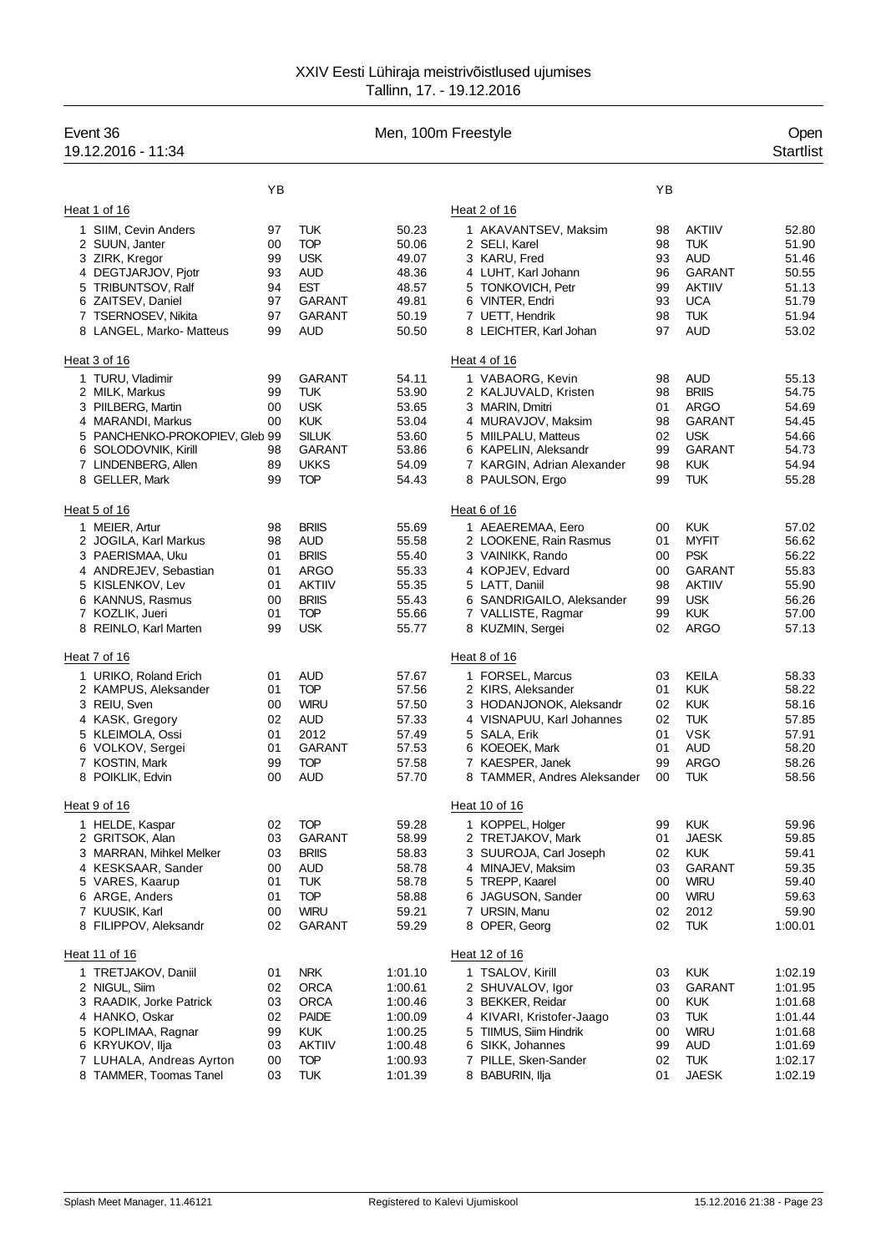| Event 36<br>19.12.2016 - 11:34                |          |                               |                    | Men, 100m Freestyle                                |          |                             | Open<br><b>Startlist</b> |
|-----------------------------------------------|----------|-------------------------------|--------------------|----------------------------------------------------|----------|-----------------------------|--------------------------|
|                                               | YB       |                               |                    |                                                    | YB       |                             |                          |
| Heat 1 of 16                                  |          |                               |                    | Heat 2 of 16                                       |          |                             |                          |
| 1 SIIM, Cevin Anders                          | 97       | TUK                           | 50.23              | 1 AKAVANTSEV, Maksim                               | 98       | <b>AKTIIV</b>               | 52.80                    |
| 2 SUUN, Janter                                | 00       | <b>TOP</b>                    | 50.06              | 2 SELI, Karel                                      | 98       | <b>TUK</b>                  | 51.90                    |
| 3 ZIRK, Kregor                                | 99       | <b>USK</b>                    | 49.07              | 3 KARU, Fred                                       | 93       | AUD                         | 51.46                    |
| 4 DEGTJARJOV, Pjotr                           | 93       | <b>AUD</b>                    | 48.36              | 4 LUHT, Karl Johann                                | 96       | <b>GARANT</b>               | 50.55                    |
| 5 TRIBUNTSOV, Ralf                            | 94       | <b>EST</b>                    | 48.57              | 5 TONKOVICH, Petr                                  | 99       | <b>AKTIIV</b>               | 51.13                    |
| 6 ZAITSEV, Daniel<br>7 TSERNOSEV, Nikita      | 97<br>97 | GARANT<br>GARANT              | 49.81<br>50.19     | 6 VINTER, Endri<br>7 UETT, Hendrik                 | 93<br>98 | <b>UCA</b><br><b>TUK</b>    | 51.79<br>51.94           |
| 8 LANGEL, Marko- Matteus                      | 99       | AUD                           | 50.50              | 8 LEICHTER, Karl Johan                             | 97       | <b>AUD</b>                  | 53.02                    |
| Heat 3 of 16                                  |          |                               |                    | Heat 4 of 16                                       |          |                             |                          |
| 1 TURU, Vladimir                              | 99       | <b>GARANT</b>                 | 54.11              | 1 VABAORG, Kevin                                   | 98       | <b>AUD</b>                  | 55.13                    |
| 2 MILK, Markus                                | 99       | TUK                           | 53.90              | 2 KALJUVALD, Kristen                               | 98       | <b>BRIIS</b>                | 54.75                    |
| 3 PIILBERG, Martin                            | 00       | <b>USK</b>                    | 53.65              | 3 MARIN, Dmitri                                    | 01       | <b>ARGO</b>                 | 54.69                    |
| 4 MARANDI, Markus                             | 00       | <b>KUK</b>                    | 53.04              | 4 MURAVJOV, Maksim                                 | 98       | <b>GARANT</b>               | 54.45                    |
| 5 PANCHENKO-PROKOPIEV, Gleb 99                | 98       | <b>SILUK</b><br><b>GARANT</b> | 53.60              | 5 MIILPALU, Matteus                                | 02<br>99 | <b>USK</b><br>GARANT        | 54.66                    |
| 6 SOLODOVNIK, Kirill<br>7 LINDENBERG, Allen   | 89       | <b>UKKS</b>                   | 53.86<br>54.09     | 6 KAPELIN, Aleksandr<br>7 KARGIN, Adrian Alexander | 98       | <b>KUK</b>                  | 54.73<br>54.94           |
| 8 GELLER, Mark                                | 99       | <b>TOP</b>                    | 54.43              | 8 PAULSON, Ergo                                    | 99       | <b>TUK</b>                  | 55.28                    |
| Heat 5 of 16                                  |          |                               |                    | Heat 6 of 16                                       |          |                             |                          |
| 1 MEIER, Artur                                | 98       | <b>BRIIS</b>                  | 55.69              | 1 AEAEREMAA, Eero                                  | 00       | <b>KUK</b>                  | 57.02                    |
| 2 JOGILA, Karl Markus                         | 98       | <b>AUD</b>                    | 55.58              | 2 LOOKENE, Rain Rasmus                             | 01       | <b>MYFIT</b>                | 56.62                    |
| 3 PAERISMAA, Uku                              | 01       | <b>BRIIS</b>                  | 55.40              | 3 VAINIKK, Rando                                   | 00       | <b>PSK</b>                  | 56.22                    |
| 4 ANDREJEV, Sebastian                         | 01       | <b>ARGO</b>                   | 55.33              | 4 KOPJEV, Edvard                                   | 00       | <b>GARANT</b>               | 55.83                    |
| 5 KISLENKOV, Lev                              | 01       | <b>AKTIIV</b><br><b>BRIIS</b> | 55.35              | 5 LATT, Daniil                                     | 98       | <b>AKTIIV</b>               | 55.90                    |
| 6 KANNUS, Rasmus<br>7 KOZLIK, Jueri           | 00<br>01 | <b>TOP</b>                    | 55.43<br>55.66     | 6 SANDRIGAILO, Aleksander<br>7 VALLISTE, Ragmar    | 99<br>99 | <b>USK</b><br><b>KUK</b>    | 56.26<br>57.00           |
| 8 REINLO, Karl Marten                         | 99       | <b>USK</b>                    | 55.77              | 8 KUZMIN, Sergei                                   | 02       | <b>ARGO</b>                 | 57.13                    |
| Heat 7 of 16                                  |          |                               |                    | Heat 8 of 16                                       |          |                             |                          |
| 1 URIKO, Roland Erich                         | 01       | AUD                           | 57.67              | 1 FORSEL, Marcus                                   | 03       | <b>KEILA</b>                | 58.33                    |
| 2 KAMPUS, Aleksander                          | 01       | <b>TOP</b>                    | 57.56              | 2 KIRS, Aleksander                                 | 01       | <b>KUK</b>                  | 58.22                    |
| 3 REIU, Sven                                  | 00       | <b>WIRU</b>                   | 57.50              | 3 HODANJONOK, Aleksandr                            | 02       | <b>KUK</b>                  | 58.16                    |
| 4 KASK, Gregory<br>5 KLEIMOLA, Ossi           | 02<br>01 | <b>AUD</b><br>2012            | 57.33<br>57.49     | 4 VISNAPUU, Karl Johannes<br>5 SALA, Erik          | 02<br>01 | <b>TUK</b><br><b>VSK</b>    | 57.85<br>57.91           |
| 6 VOLKOV, Sergei                              | 01       | GARANT                        | 57.53              | 6 KOEOEK, Mark                                     | 01       | <b>AUD</b>                  | 58.20                    |
| 7 KOSTIN, Mark                                | 99       | <b>TOP</b>                    | 57.58              | 7 KAESPER, Janek                                   | 99       | <b>ARGO</b>                 | 58.26                    |
| POIKLIK, Edvin<br>8                           | 00       | <b>AUD</b>                    | 57.70              | 8 TAMMER, Andres Aleksander                        | 00       | <b>TUK</b>                  | 58.56                    |
| Heat 9 of 16                                  |          |                               |                    | Heat 10 of 16                                      |          |                             |                          |
| 1 HELDE, Kaspar                               | 02       | <b>TOP</b>                    | 59.28              | 1 KOPPEL, Holger                                   | 99       | <b>KUK</b>                  | 59.96                    |
| 2 GRITSOK, Alan                               | 03       | GARANT                        | 58.99              | 2 TRETJAKOV, Mark                                  | 01       | <b>JAESK</b>                | 59.85                    |
| 3 MARRAN, Mihkel Melker<br>4 KESKSAAR, Sander | 03<br>00 | <b>BRIIS</b><br><b>AUD</b>    | 58.83<br>58.78     | 3 SUUROJA, Carl Joseph<br>4 MINAJEV, Maksim        | 02<br>03 | <b>KUK</b><br><b>GARANT</b> | 59.41<br>59.35           |
| 5 VARES, Kaarup                               | 01       | <b>TUK</b>                    | 58.78              | 5 TREPP, Kaarel                                    | 00       | <b>WIRU</b>                 | 59.40                    |
| 6 ARGE, Anders                                | 01       | <b>TOP</b>                    | 58.88              | 6 JAGUSON, Sander                                  | 00       | <b>WIRU</b>                 | 59.63                    |
| 7 KUUSIK, Karl                                | 00       | <b>WIRU</b>                   | 59.21              | 7 URSIN, Manu                                      | 02       | 2012                        | 59.90                    |
| 8 FILIPPOV, Aleksandr                         | 02       | <b>GARANT</b>                 | 59.29              | 8 OPER, Georg                                      | 02       | <b>TUK</b>                  | 1:00.01                  |
| Heat 11 of 16                                 |          |                               |                    | Heat 12 of 16                                      |          |                             |                          |
| 1 TRETJAKOV, Daniil                           | 01       | <b>NRK</b>                    | 1:01.10            | 1 TSALOV, Kirill                                   | 03       | <b>KUK</b>                  | 1:02.19                  |
| 2 NIGUL, Siim                                 | 02       | <b>ORCA</b>                   | 1:00.61            | 2 SHUVALOV, Igor                                   | 03       | <b>GARANT</b>               | 1:01.95                  |
| 3 RAADIK, Jorke Patrick<br>4 HANKO, Oskar     | 03<br>02 | <b>ORCA</b><br><b>PAIDE</b>   | 1:00.46<br>1:00.09 | 3 BEKKER, Reidar<br>4 KIVARI, Kristofer-Jaago      | 00<br>03 | <b>KUK</b><br><b>TUK</b>    | 1:01.68<br>1:01.44       |
| 5 KOPLIMAA, Ragnar                            | 99       | <b>KUK</b>                    | 1:00.25            | 5 TIIMUS, Siim Hindrik                             | 00       | <b>WIRU</b>                 | 1:01.68                  |
| 6 KRYUKOV, Ilja                               | 03       | <b>AKTIIV</b>                 | 1:00.48            | 6 SIKK, Johannes                                   | 99       | <b>AUD</b>                  | 1:01.69                  |
| 7 LUHALA, Andreas Ayrton                      | 00       | <b>TOP</b>                    | 1:00.93            | 7 PILLE, Sken-Sander                               | 02       | <b>TUK</b>                  | 1:02.17                  |
| 8 TAMMER, Toomas Tanel                        | 03       | <b>TUK</b>                    | 1:01.39            | 8 BABURIN, Ilja                                    | 01       | <b>JAESK</b>                | 1:02.19                  |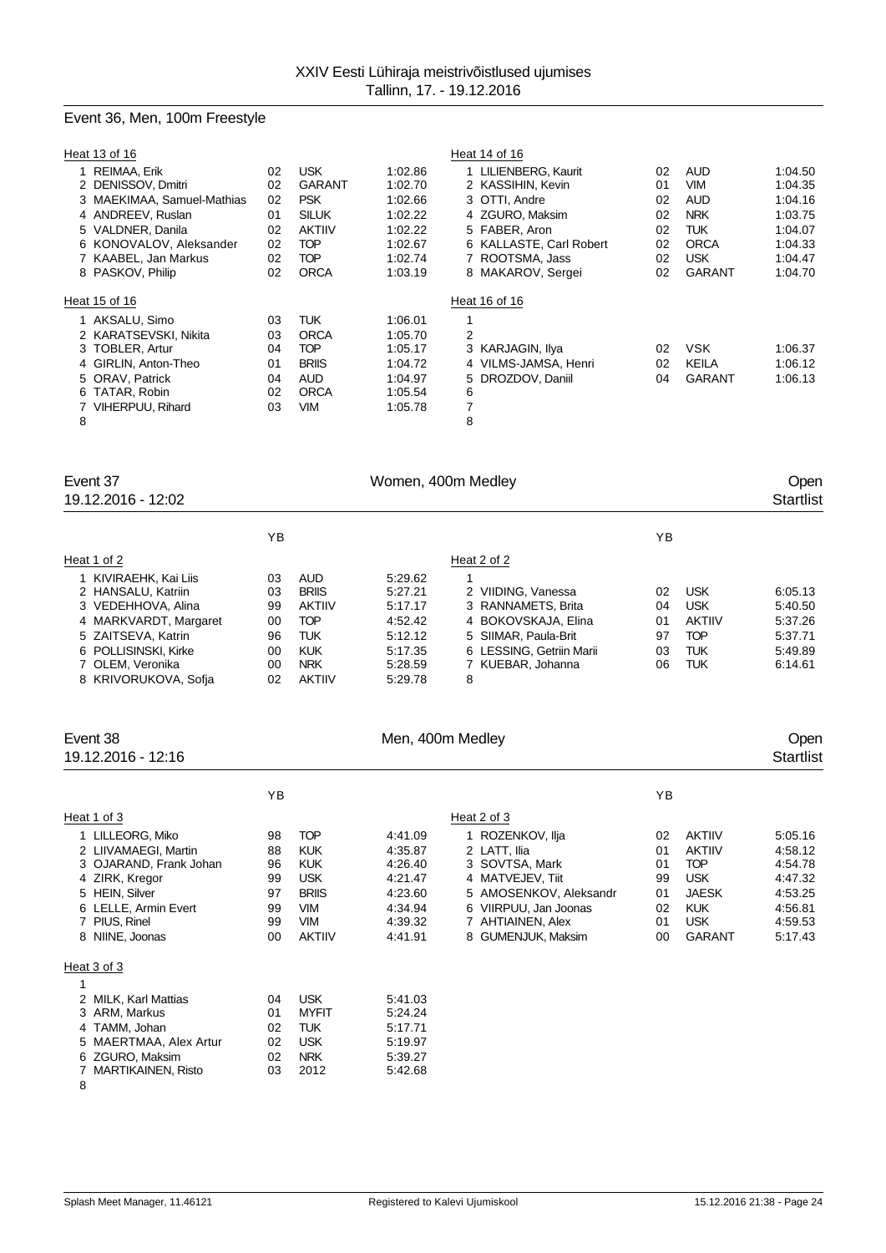# Event 36, Men, 100m Freestyle

|   | Heat 13 of 16                        |          |                             |                    | Heat 14 of 16                             |          |                   |                    |
|---|--------------------------------------|----------|-----------------------------|--------------------|-------------------------------------------|----------|-------------------|--------------------|
|   | 1 REIMAA, Erik<br>2 DENISSOV, Dmitri | 02<br>02 | <b>USK</b><br><b>GARANT</b> | 1:02.86<br>1:02.70 | 1 LILIENBERG, Kaurit<br>2 KASSIHIN, Kevin | 02<br>01 | AUD<br><b>VIM</b> | 1:04.50<br>1:04.35 |
|   | 3 MAEKIMAA, Samuel-Mathias           | 02       | <b>PSK</b>                  | 1:02.66            | 3 OTTI, Andre                             | 02       | <b>AUD</b>        | 1:04.16            |
|   | 4 ANDREEV, Ruslan                    | 01       | <b>SILUK</b>                | 1:02.22            | 4 ZGURO, Maksim                           | 02       | <b>NRK</b>        | 1:03.75            |
|   | 5 VALDNER, Danila                    | 02       | <b>AKTIIV</b>               | 1:02.22            | 5 FABER, Aron                             | 02       | TUK               | 1:04.07            |
|   | 6 KONOVALOV, Aleksander              | 02       | <b>TOP</b>                  | 1:02.67            | 6 KALLASTE, Carl Robert                   | 02       | <b>ORCA</b>       | 1:04.33            |
|   | 7 KAABEL, Jan Markus                 | 02       | TOP                         | 1:02.74            | 7 ROOTSMA, Jass                           | 02       | <b>USK</b>        | 1:04.47            |
|   | 8 PASKOV, Philip                     | 02       | <b>ORCA</b>                 | 1:03.19            | 8 MAKAROV, Sergei                         | 02       | <b>GARANT</b>     | 1:04.70            |
|   | Heat 15 of 16                        |          |                             |                    | Heat 16 of 16                             |          |                   |                    |
|   | 1 AKSALU, Simo                       | 03       | <b>TUK</b>                  | 1:06.01            | 1                                         |          |                   |                    |
|   | 2 KARATSEVSKI, Nikita                | 03       | <b>ORCA</b>                 | 1:05.70            | 2                                         |          |                   |                    |
|   | 3 TOBLER, Artur                      | 04       | TOP                         | 1:05.17            | 3 KARJAGIN, Ilya                          | 02       | <b>VSK</b>        | 1:06.37            |
|   | 4 GIRLIN, Anton-Theo                 | 01       | <b>BRIIS</b>                | 1:04.72            | 4 VILMS-JAMSA, Henri                      | 02       | KEILA             | 1:06.12            |
|   | 5 ORAV, Patrick                      | 04       | <b>AUD</b>                  | 1:04.97            | 5 DROZDOV, Daniil                         | 04       | <b>GARANT</b>     | 1:06.13            |
|   | 6 TATAR, Robin                       | 02       | <b>ORCA</b>                 | 1:05.54            | 6                                         |          |                   |                    |
|   | 7 VIHERPUU, Rihard                   | 03       | VIM                         | 1:05.78            | 7                                         |          |                   |                    |
| 8 |                                      |          |                             |                    | 8                                         |          |                   |                    |

| Women, 400m Medley |               |         |                          |    |               |         |  |
|--------------------|---------------|---------|--------------------------|----|---------------|---------|--|
| ΥB                 |               |         |                          | ΥB |               |         |  |
|                    |               |         | Heat 2 of 2              |    |               |         |  |
| 03                 | <b>AUD</b>    | 5:29.62 |                          |    |               |         |  |
| 03                 | <b>BRIIS</b>  | 5:27.21 | 2 VIIDING, Vanessa       | 02 | <b>USK</b>    | 6:05.13 |  |
| 99                 | <b>AKTIIV</b> | 5:17.17 | 3 RANNAMETS, Brita       | 04 | <b>USK</b>    | 5:40.50 |  |
| 00                 | <b>TOP</b>    | 4:52.42 | 4 BOKOVSKAJA, Elina      | 01 | <b>AKTIIV</b> | 5:37.26 |  |
| 96                 | <b>TUK</b>    | 5:12.12 | 5 SIIMAR, Paula-Brit     | 97 | <b>TOP</b>    | 5:37.71 |  |
| 00                 | <b>KUK</b>    | 5:17.35 | 6 LESSING, Getriin Marii | 03 | <b>TUK</b>    | 5:49.89 |  |
| 00                 | <b>NRK</b>    | 5.28.59 | 7 KUEBAR, Johanna        | 06 | TUK           | 6.14.61 |  |
| 02                 | <b>AKTIIV</b> | 5:29.78 | 8                        |    |               |         |  |
|                    |               |         |                          |    |               |         |  |

| Event 38<br>19.12.2016 - 12:16                                                                                                                                     |                                              |                                                                                                                   | Men, 400m Medley                                                                     |                                                                                                                                                                      |                                              |                                                                                                                         | Open<br>Startlist                                                                    |
|--------------------------------------------------------------------------------------------------------------------------------------------------------------------|----------------------------------------------|-------------------------------------------------------------------------------------------------------------------|--------------------------------------------------------------------------------------|----------------------------------------------------------------------------------------------------------------------------------------------------------------------|----------------------------------------------|-------------------------------------------------------------------------------------------------------------------------|--------------------------------------------------------------------------------------|
|                                                                                                                                                                    | ΥB                                           |                                                                                                                   |                                                                                      |                                                                                                                                                                      | ΥB                                           |                                                                                                                         |                                                                                      |
| Heat 1 of 3                                                                                                                                                        |                                              |                                                                                                                   |                                                                                      | Heat 2 of 3                                                                                                                                                          |                                              |                                                                                                                         |                                                                                      |
| 1 LILLEORG, Miko<br>2 LIIVAMAEGI, Martin<br>3 OJARAND, Frank Johan<br>4 ZIRK, Kregor<br>5 HEIN, Silver<br>6 LELLE, Armin Evert<br>7 PIUS, Rinel<br>8 NIINE, Joonas | 98<br>88<br>96<br>99<br>97<br>99<br>99<br>00 | <b>TOP</b><br><b>KUK</b><br><b>KUK</b><br><b>USK</b><br><b>BRIIS</b><br><b>VIM</b><br><b>VIM</b><br><b>AKTIIV</b> | 4:41.09<br>4:35.87<br>4:26.40<br>4:21.47<br>4:23.60<br>4:34.94<br>4:39.32<br>4:41.91 | 1 ROZENKOV, Ilja<br>2 LATT. Ilia<br>3 SOVTSA, Mark<br>4 MATVEJEV, Tiit<br>5 AMOSENKOV, Aleksandr<br>6 VIIRPUU, Jan Joonas<br>7 AHTIAINEN, Alex<br>8 GUMENJUK, Maksim | 02<br>01<br>01<br>99<br>01<br>02<br>01<br>00 | <b>AKTIIV</b><br><b>AKTIIV</b><br><b>TOP</b><br><b>USK</b><br><b>JAESK</b><br><b>KUK</b><br><b>USK</b><br><b>GARANT</b> | 5:05.16<br>4:58.12<br>4:54.78<br>4:47.32<br>4:53.25<br>4:56.81<br>4:59.53<br>5:17.43 |
| Heat 3 of 3                                                                                                                                                        |                                              |                                                                                                                   |                                                                                      |                                                                                                                                                                      |                                              |                                                                                                                         |                                                                                      |
| 2 MILK, Karl Mattias<br>3 ARM, Markus                                                                                                                              | 04<br>01                                     | <b>USK</b><br><b>MYFIT</b>                                                                                        | 5:41.03<br>5:24.24                                                                   |                                                                                                                                                                      |                                              |                                                                                                                         |                                                                                      |

| 3 ANNI MAINUS          | ,,, | <b>IVITELI</b> | 0.24.24 |
|------------------------|-----|----------------|---------|
| 4 TAMM, Johan          | 02. | TI JK          | 5:17.71 |
| 5 MAERTMAA, Alex Artur | 02. | USK            | 5:19.97 |
| 6 ZGURO, Maksim        | 02. | <b>NRK</b>     | 5:39.27 |
| 7 MARTIKAINEN, Risto   | 03. | 2012           | 5:42.68 |
| -8                     |     |                |         |

## Splash Meet Manager, 11.46121 Registered to Kalevi Ujumiskool 15.12.2016 21:38 - Page 24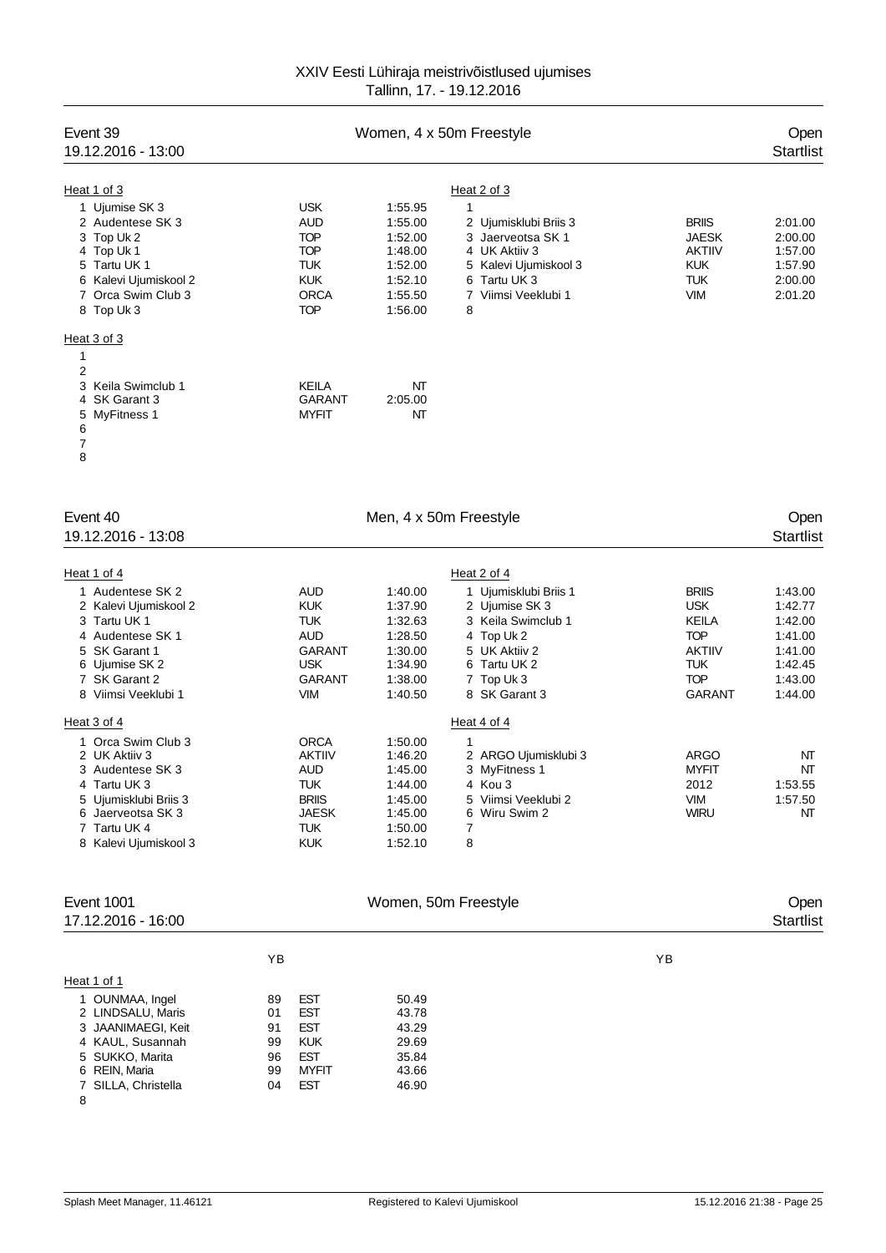### XXIV Eesti Lühiraja meistrivõistlused ujumises Tallinn, 17. - 19.12.2016

| Event 39<br>19.12.2016 - 13:00                                                                                                                                                |                                              |                                                                                                        |                                                                                      | Women, 4 x 50m Freestyle                                                                                                                                        |                                                                                                                 | Open<br><b>Startlist</b>                                                             |
|-------------------------------------------------------------------------------------------------------------------------------------------------------------------------------|----------------------------------------------|--------------------------------------------------------------------------------------------------------|--------------------------------------------------------------------------------------|-----------------------------------------------------------------------------------------------------------------------------------------------------------------|-----------------------------------------------------------------------------------------------------------------|--------------------------------------------------------------------------------------|
| Heat 1 of 3<br>1 Ujumise SK 3<br>2 Audentese SK 3<br>3 Top Uk 2<br>4 Top Uk 1<br>5 Tartu UK 1<br>6 Kalevi Ujumiskool 2<br>7 Orca Swim Club 3<br>8 Top Uk 3                    |                                              | <b>USK</b><br><b>AUD</b><br><b>TOP</b><br><b>TOP</b><br>TUK<br><b>KUK</b><br><b>ORCA</b><br><b>TOP</b> | 1:55.95<br>1:55.00<br>1:52.00<br>1:48.00<br>1:52.00<br>1:52.10<br>1:55.50<br>1:56.00 | Heat 2 of 3<br>$\mathbf{1}$<br>2 Ujumisklubi Briis 3<br>3 Jaerveotsa SK 1<br>4 UK Aktiiv 3<br>5 Kalevi Ujumiskool 3<br>6 Tartu UK 3<br>7 Viimsi Veeklubi 1<br>8 | <b>BRIIS</b><br><b>JAESK</b><br><b>AKTIIV</b><br><b>KUK</b><br><b>TUK</b><br><b>VIM</b>                         | 2:01.00<br>2:00.00<br>1:57.00<br>1:57.90<br>2:00.00<br>2:01.20                       |
| Heat 3 of 3<br>1<br>$\overline{2}$<br>3<br>Keila Swimclub 1<br>SK Garant 3<br>4<br><b>MyFitness 1</b><br>5<br>6<br>7<br>8                                                     |                                              | KEILA<br><b>GARANT</b><br><b>MYFIT</b>                                                                 | NT<br>2:05.00<br>NΤ                                                                  |                                                                                                                                                                 |                                                                                                                 |                                                                                      |
| Event 40<br>19.12.2016 - 13:08                                                                                                                                                |                                              |                                                                                                        | Men, 4 x 50m Freestyle                                                               |                                                                                                                                                                 |                                                                                                                 | Open<br><b>Startlist</b>                                                             |
| Heat 1 of 4<br>1 Audentese SK 2<br>2 Kalevi Ujumiskool 2<br>3 Tartu UK 1<br>4 Audentese SK 1<br>5 SK Garant 1<br>6 Ujumise SK 2<br>7 SK Garant 2<br>8 Viimsi Veeklubi 1       |                                              | AUD<br><b>KUK</b><br><b>TUK</b><br>AUD<br><b>GARANT</b><br><b>USK</b><br>GARANT<br><b>VIM</b>          | 1:40.00<br>1:37.90<br>1:32.63<br>1:28.50<br>1:30.00<br>1:34.90<br>1:38.00<br>1:40.50 | Heat 2 of 4<br>1 Ujumisklubi Briis 1<br>2 Ujumise SK 3<br>3 Keila Swimclub 1<br>4 Top Uk 2<br>5 UK Aktiiv 2<br>6 Tartu UK 2<br>7 Top Uk 3<br>8 SK Garant 3      | <b>BRIIS</b><br><b>USK</b><br>KEILA<br><b>TOP</b><br><b>AKTIIV</b><br><b>TUK</b><br><b>TOP</b><br><b>GARANT</b> | 1:43.00<br>1:42.77<br>1:42.00<br>1:41.00<br>1:41.00<br>1:42.45<br>1:43.00<br>1:44.00 |
| Heat 3 of 4<br>1 Orca Swim Club 3<br>2 UK Aktiiv 3<br>3 Audentese SK 3<br>4 Tartu UK 3<br>5 Ujumisklubi Briis 3<br>6 Jaerveotsa SK 3<br>7 Tartu UK 4<br>8 Kalevi Ujumiskool 3 |                                              | <b>ORCA</b><br><b>AKTIIV</b><br>AUD<br>TUK<br><b>BRIIS</b><br><b>JAESK</b><br><b>TUK</b><br><b>KUK</b> | 1:50.00<br>1:46.20<br>1:45.00<br>1:44.00<br>1:45.00<br>1:45.00<br>1:50.00<br>1:52.10 | Heat 4 of 4<br>1<br>2 ARGO Ujumisklubi 3<br>3 MyFitness 1<br>4 Kou 3<br>5 Viimsi Veeklubi 2<br>6 Wiru Swim 2<br>7<br>8                                          | <b>ARGO</b><br><b>MYFIT</b><br>2012<br><b>VIM</b><br><b>WIRU</b>                                                | NΤ<br>NT<br>1:53.55<br>1:57.50<br>NT                                                 |
| Event 1001<br>17.12.2016 - 16:00                                                                                                                                              |                                              |                                                                                                        | Women, 50m Freestyle                                                                 |                                                                                                                                                                 |                                                                                                                 | Open<br><b>Startlist</b>                                                             |
| Heat 1 of 1<br>1 OUNMAA, Ingel<br>2 LINDSALU, Maris<br>3 JAANIMAEGI, Keit<br>4 KAUL, Susannah<br>5 SUKKO, Marita<br>6 REIN, Maria<br>7 SILLA, Christella<br>8                 | YB<br>89<br>01<br>91<br>99<br>96<br>99<br>04 | EST<br><b>EST</b><br><b>EST</b><br><b>KUK</b><br><b>EST</b><br><b>MYFIT</b><br><b>EST</b>              | 50.49<br>43.78<br>43.29<br>29.69<br>35.84<br>43.66<br>46.90                          |                                                                                                                                                                 | YB                                                                                                              |                                                                                      |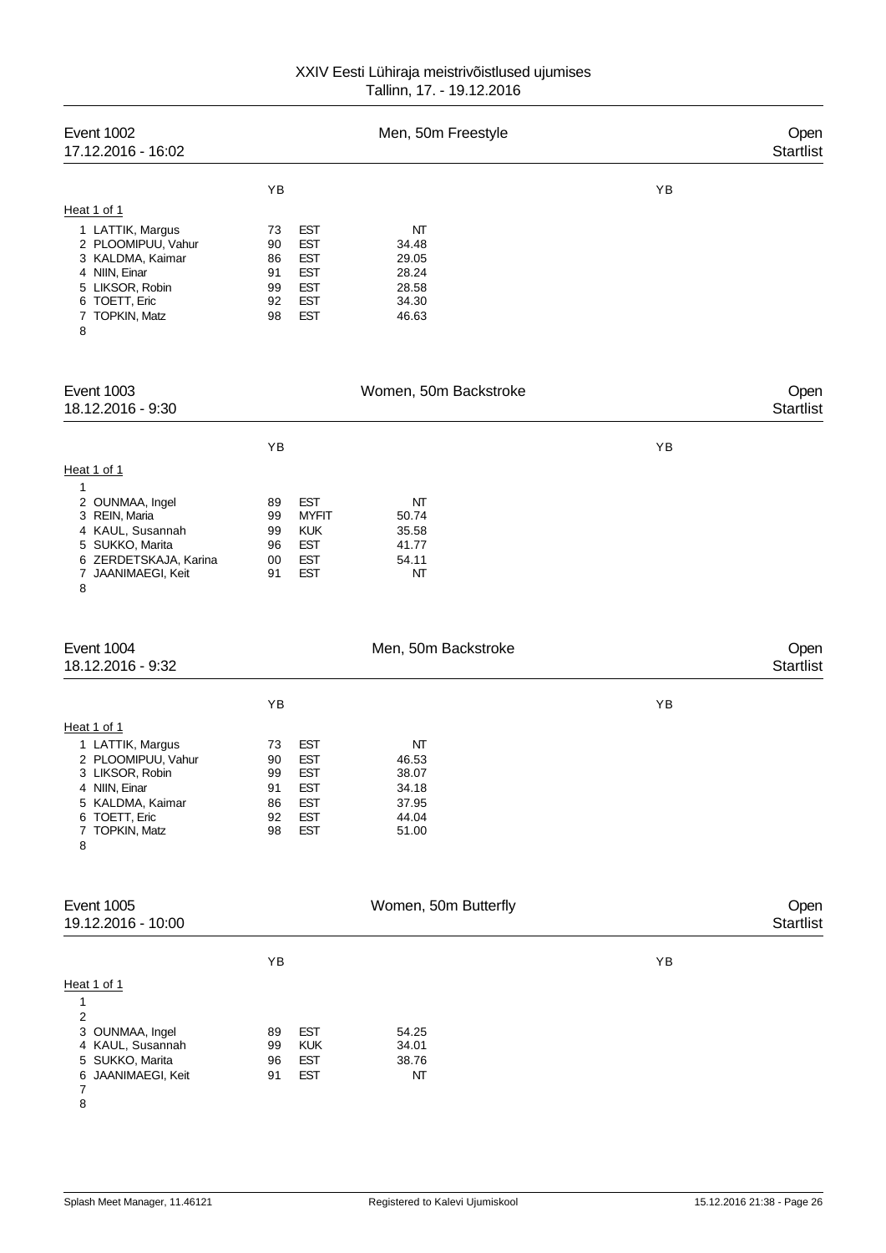## XXIV Eesti Lühiraja meistrivõistlused ujumises Tallinn, 17. - 19.12.2016

| <b>Event 1002</b><br>17.12.2016 - 16:02                                                                                                               |                                                                                                                                          | Men, 50m Freestyle                                       |    | Open<br><b>Startlist</b> |
|-------------------------------------------------------------------------------------------------------------------------------------------------------|------------------------------------------------------------------------------------------------------------------------------------------|----------------------------------------------------------|----|--------------------------|
|                                                                                                                                                       | YB                                                                                                                                       |                                                          | YB |                          |
| Heat 1 of 1<br>1 LATTIK, Margus<br>2 PLOOMIPUU, Vahur<br>3 KALDMA, Kaimar<br>4 NIIN, Einar<br>5 LIKSOR, Robin<br>6 TOETT, Eric<br>7 TOPKIN, Matz<br>8 | <b>EST</b><br>73<br><b>EST</b><br>90<br><b>EST</b><br>86<br>91<br><b>EST</b><br><b>EST</b><br>99<br><b>EST</b><br>92<br>98<br><b>EST</b> | NT<br>34.48<br>29.05<br>28.24<br>28.58<br>34.30<br>46.63 |    |                          |
| <b>Event 1003</b><br>18.12.2016 - 9:30                                                                                                                |                                                                                                                                          | Women, 50m Backstroke                                    |    | Open<br><b>Startlist</b> |
|                                                                                                                                                       | YB                                                                                                                                       |                                                          | YB |                          |
| Heat 1 of 1                                                                                                                                           |                                                                                                                                          |                                                          |    |                          |
| 1<br>2 OUNMAA, Ingel<br>3 REIN, Maria<br>4 KAUL, Susannah<br>5 SUKKO, Marita<br>6 ZERDETSKAJA, Karina<br>7 JAANIMAEGI, Keit<br>8                      | <b>EST</b><br>89<br><b>MYFIT</b><br>99<br><b>KUK</b><br>99<br><b>EST</b><br>96<br><b>EST</b><br>00<br><b>EST</b><br>91                   | NT<br>50.74<br>35.58<br>41.77<br>54.11<br>NT             |    |                          |
| Event 1004<br>18.12.2016 - 9:32                                                                                                                       |                                                                                                                                          | Men, 50m Backstroke                                      |    | Open<br><b>Startlist</b> |
|                                                                                                                                                       | YB                                                                                                                                       |                                                          | YB |                          |
| Heat 1 of 1<br>1 LATTIK, Margus<br>2 PLOOMIPUU, Vahur<br>3 LIKSOR, Robin<br>4 NIIN, Einar<br>5 KALDMA, Kaimar<br>6 TOETT, Eric<br>7 TOPKIN, Matz<br>8 | <b>EST</b><br>73<br><b>EST</b><br>90<br>99<br><b>EST</b><br>91<br>EST<br>86<br><b>EST</b><br><b>EST</b><br>92<br><b>EST</b><br>98        | NT<br>46.53<br>38.07<br>34.18<br>37.95<br>44.04<br>51.00 |    |                          |
| <b>Event 1005</b><br>19.12.2016 - 10:00                                                                                                               |                                                                                                                                          | Women, 50m Butterfly                                     |    | Open<br><b>Startlist</b> |
|                                                                                                                                                       | YB                                                                                                                                       |                                                          | YB |                          |
| Heat 1 of 1<br>1<br>2<br>3 OUNMAA, Ingel<br>4 KAUL, Susannah<br>5 SUKKO, Marita<br>JAANIMAEGI, Keit<br>6<br>7<br>8                                    | <b>EST</b><br>89<br><b>KUK</b><br>99<br><b>EST</b><br>96<br><b>EST</b><br>91                                                             | 54.25<br>34.01<br>38.76<br>NΤ                            |    |                          |